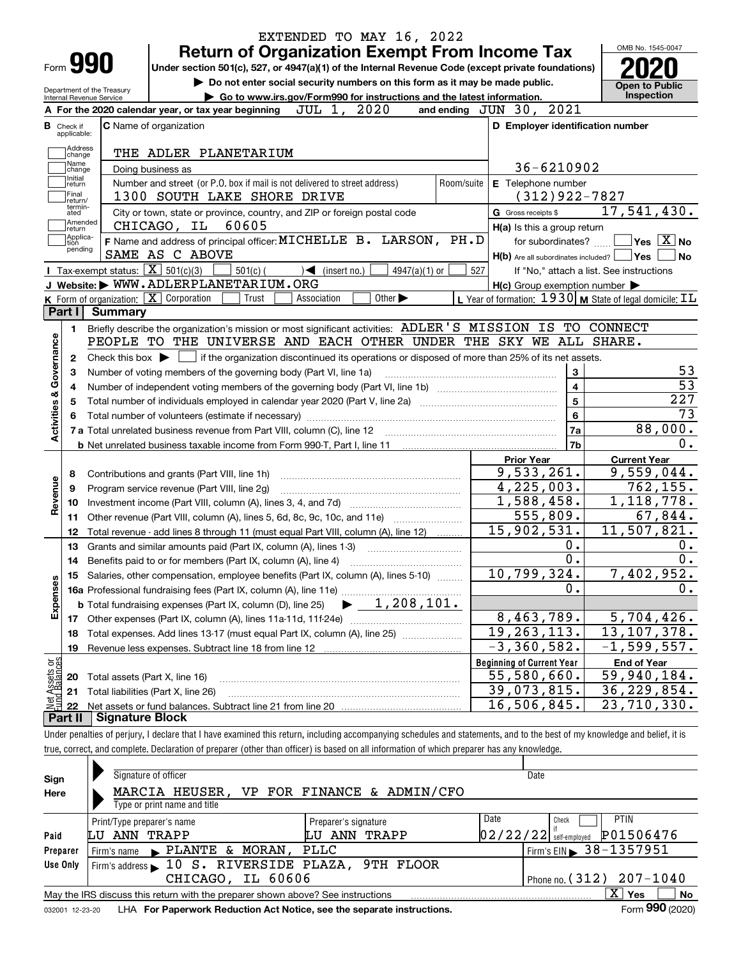|                                                      | <b>Return of Organization Exempt From Income Tax</b>                                                                                         |            |                                                     | OMB No. 1545-0047                                                  |
|------------------------------------------------------|----------------------------------------------------------------------------------------------------------------------------------------------|------------|-----------------------------------------------------|--------------------------------------------------------------------|
| Form <b>990</b>                                      | Under section 501(c), 527, or 4947(a)(1) of the Internal Revenue Code (except private foundations)                                           |            |                                                     |                                                                    |
| Department of the Treasury                           | Do not enter social security numbers on this form as it may be made public.                                                                  |            |                                                     | Open to Public<br>Inspection                                       |
| Internal Revenue Service                             | Go to www.irs.gov/Form990 for instructions and the latest information.<br>JUL 1, 2020<br>A For the 2020 calendar year, or tax year beginning |            | 2021<br>and ending $JUN$ 30,                        |                                                                    |
| <b>B</b> Check if                                    | <b>C</b> Name of organization                                                                                                                |            | D Employer identification number                    |                                                                    |
| applicable:                                          |                                                                                                                                              |            |                                                     |                                                                    |
| Address<br>change<br>Name                            | THE ADLER PLANETARIUM                                                                                                                        |            |                                                     |                                                                    |
| change<br>Initial                                    | Doing business as                                                                                                                            |            | 36-6210902                                          |                                                                    |
| return<br> Final                                     | Number and street (or P.O. box if mail is not delivered to street address)<br>1300 SOUTH LAKE SHORE DRIVE                                    | Room/suite | E Telephone number<br>$(312)922 - 7827$             |                                                                    |
| return/<br>termin-<br>ated                           | City or town, state or province, country, and ZIP or foreign postal code                                                                     |            | G Gross receipts \$                                 | 17,541,430.                                                        |
| Amended<br> return                                   | 60605<br>CHICAGO, IL                                                                                                                         |            | H(a) Is this a group return                         |                                                                    |
| Applica-<br>tion<br>pending                          | F Name and address of principal officer: MICHELLE B. LARSON, PH.D                                                                            |            | for subordinates?                                   | $\overline{\mathsf{Yes}}$ $\overline{\mathsf{X}}$ No               |
|                                                      | SAME AS C ABOVE                                                                                                                              |            | H(b) Are all subordinates included?   Yes           | No                                                                 |
|                                                      | Tax-exempt status: $\boxed{\mathbf{X}}$ 501(c)(3)<br>$501(c)$ (<br>$\sqrt{\frac{2}{1}}$ (insert no.)<br>$4947(a)(1)$ or                      | 527        |                                                     | If "No," attach a list. See instructions                           |
|                                                      | J Website: WWW.ADLERPLANETARIUM.ORG                                                                                                          |            | $H(c)$ Group exemption number $\blacktriangleright$ |                                                                    |
| Part I                                               | K Form of organization: X Corporation<br>Other $\blacktriangleright$<br>Trust<br>Association                                                 |            |                                                     | L Year of formation: $1930$ M State of legal domicile: $\text{TL}$ |
|                                                      | Summary                                                                                                                                      |            |                                                     |                                                                    |
| 1.                                                   | Briefly describe the organization's mission or most significant activities: ADLER'S MISSION IS TO CONNECT                                    |            |                                                     |                                                                    |
|                                                      | PEOPLE TO THE UNIVERSE AND EACH OTHER UNDER THE SKY WE ALL SHARE.                                                                            |            |                                                     |                                                                    |
| 2                                                    | Check this box $\blacktriangleright$ $\Box$ if the organization discontinued its operations or disposed of more than 25% of its net assets.  |            |                                                     |                                                                    |
|                                                      |                                                                                                                                              |            |                                                     |                                                                    |
| З                                                    | Number of voting members of the governing body (Part VI, line 1a)                                                                            |            | 3                                                   |                                                                    |
| 4                                                    |                                                                                                                                              |            | $\overline{\mathbf{4}}$                             | 53<br>$\overline{53}$                                              |
| 5                                                    |                                                                                                                                              |            | 5                                                   |                                                                    |
| 6                                                    |                                                                                                                                              |            | 6                                                   |                                                                    |
|                                                      | 7 a Total unrelated business revenue from Part VIII, column (C), line 12                                                                     |            | 7a                                                  |                                                                    |
|                                                      | <b>b</b> Net unrelated business taxable income from Form 990-T, Part I, line 11 <b>manual contract of the Contract Part</b>                  |            | 7b                                                  |                                                                    |
|                                                      |                                                                                                                                              |            | <b>Prior Year</b>                                   | 227<br>73<br>88,000.<br>0.<br><b>Current Year</b>                  |
| 8                                                    | Contributions and grants (Part VIII, line 1h)                                                                                                |            | 9,533,261.                                          |                                                                    |
| 9                                                    | Program service revenue (Part VIII, line 2g)                                                                                                 |            | $\overline{4,225,003}$ .                            | 9,559,044.<br>762, 155.                                            |
| 10                                                   |                                                                                                                                              |            | 1,588,458.                                          | 1, 118, 778.                                                       |
| 11                                                   | Other revenue (Part VIII, column (A), lines 5, 6d, 8c, 9c, 10c, and 11e)                                                                     |            | $\overline{555}$ , 809.                             | 67,844.                                                            |
| 12                                                   | Total revenue - add lines 8 through 11 (must equal Part VIII, column (A), line 12)                                                           |            | 15,902,531.                                         | 11,507,821.                                                        |
| 13                                                   | Grants and similar amounts paid (Part IX, column (A), lines 1-3)                                                                             |            | 0.                                                  | 0.                                                                 |
| 14                                                   | Benefits paid to or for members (Part IX, column (A), line 4)                                                                                |            | $\overline{0}$ .                                    | 0.                                                                 |
| 15                                                   | Salaries, other compensation, employee benefits (Part IX, column (A), lines 5-10)                                                            |            | 10,799,324.                                         | 7,402,952.                                                         |
|                                                      | 16a Professional fundraising fees (Part IX, column (A), line 11e)                                                                            |            | 0.                                                  | 0.                                                                 |
|                                                      | $\blacktriangleright$ $1,208,101.$<br><b>b</b> Total fundraising expenses (Part IX, column (D), line 25)                                     |            |                                                     |                                                                    |
| 17                                                   |                                                                                                                                              |            | 8,463,789.                                          | 5,704,426.                                                         |
| 18                                                   | Total expenses. Add lines 13-17 (must equal Part IX, column (A), line 25)                                                                    |            | 19, 263, 113.                                       | 13, 107, 378.                                                      |
| 19                                                   |                                                                                                                                              |            | $-3,360,582$ .                                      | $-1,599,557.$                                                      |
|                                                      |                                                                                                                                              |            | <b>Beginning of Current Year</b>                    | <b>End of Year</b>                                                 |
| Activities & Governance<br>Revenue<br>Expenses<br>20 |                                                                                                                                              |            | 55,580,660.                                         |                                                                    |
|                                                      | Total assets (Part X, line 16)                                                                                                               |            |                                                     | $\overline{59,940,184}$ .                                          |
| t Assets or<br>d Balances<br>21<br>혏<br>22           | Total liabilities (Part X, line 26)                                                                                                          |            | 39,073,815.<br>16, 506, 845.                        | 36, 229, 854.<br>23,710,330.                                       |

| complete.<br>true.<br>and<br>rror<br>CO<br>ועטו | Declaration<br>, preparer<br>н | rother than<br>officer<br>nar' | baseo<br>n<br>. information<br>all | anv<br>which<br>, preparer<br>nas<br>OL. | <sup>,</sup> knowledae. |
|-------------------------------------------------|--------------------------------|--------------------------------|------------------------------------|------------------------------------------|-------------------------|
|                                                 |                                |                                |                                    |                                          |                         |

| Sign     |                                                                                                                     | Signature of officer                              |                              |  |  |                                                   |       |                                           |      | Date |                          |                            |  |
|----------|---------------------------------------------------------------------------------------------------------------------|---------------------------------------------------|------------------------------|--|--|---------------------------------------------------|-------|-------------------------------------------|------|------|--------------------------|----------------------------|--|
| Here     |                                                                                                                     |                                                   |                              |  |  |                                                   |       | MARCIA HEUSER, VP FOR FINANCE & ADMIN/CFO |      |      |                          |                            |  |
|          |                                                                                                                     |                                                   | Type or print name and title |  |  |                                                   |       |                                           |      |      |                          |                            |  |
|          |                                                                                                                     | Print/Type preparer's name                        |                              |  |  | Preparer's signature                              |       |                                           | Date |      | Check                    | <b>PTIN</b>                |  |
| Paid     | LU                                                                                                                  | ANN TRAPP                                         |                              |  |  | LU ANN                                            | TRAPP |                                           |      |      | $02/22/22$ self-employed | P01506476                  |  |
| Preparer |                                                                                                                     | Firm's name $\blacktriangleright$ PLANTE & MORAN, |                              |  |  | PLLC                                              |       |                                           |      |      |                          | Firm's EIN 38-1357951      |  |
| Use Only |                                                                                                                     |                                                   |                              |  |  | Firm's address > 10 S. RIVERSIDE PLAZA, 9TH FLOOR |       |                                           |      |      |                          |                            |  |
|          |                                                                                                                     |                                                   | CHICAGO, IL 60606            |  |  |                                                   |       |                                           |      |      |                          | Phone no. $(312)$ 207-1040 |  |
|          | $\mathbf{x}$<br><b>No</b><br>Yes<br>May the IRS discuss this return with the preparer shown above? See instructions |                                                   |                              |  |  |                                                   |       |                                           |      |      |                          |                            |  |
|          | Form 990 (2020)<br>LHA For Paperwork Reduction Act Notice, see the separate instructions.<br>032001 12-23-20        |                                                   |                              |  |  |                                                   |       |                                           |      |      |                          |                            |  |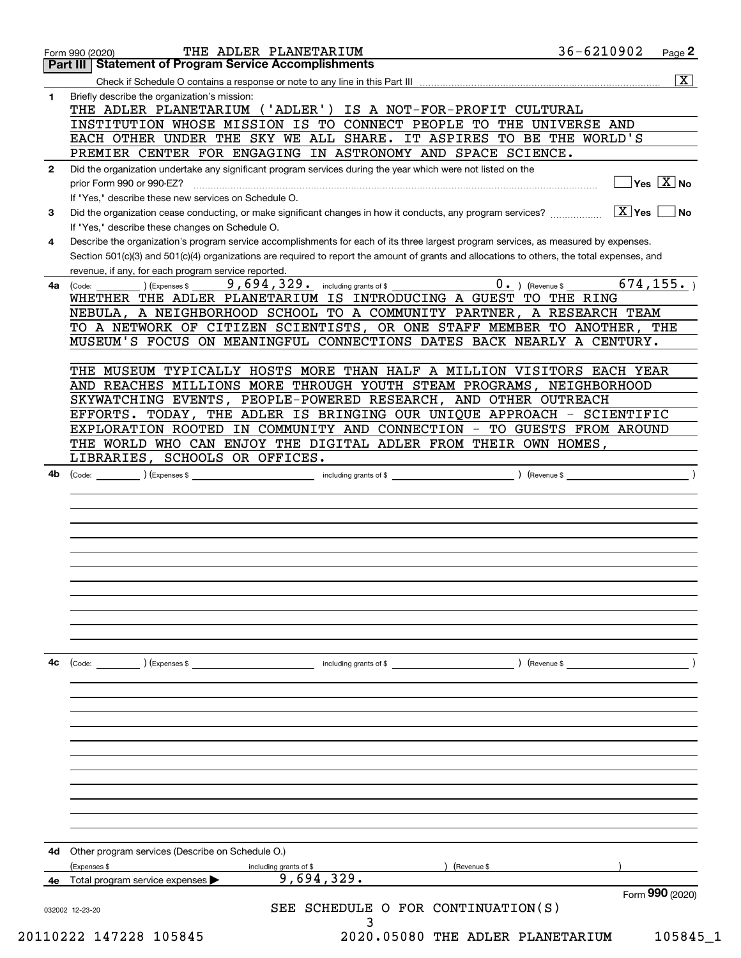|              | 36-6210902<br>THE ADLER PLANETARIUM<br>Page 2<br>Form 990 (2020)<br>Part III   Statement of Program Service Accomplishments                  |
|--------------|----------------------------------------------------------------------------------------------------------------------------------------------|
|              | $\overline{\mathbf{x}}$                                                                                                                      |
| 1            | Briefly describe the organization's mission:                                                                                                 |
|              | THE ADLER PLANETARIUM ('ADLER')<br>IS A NOT-FOR-PROFIT CULTURAL                                                                              |
|              | INSTITUTION WHOSE MISSION IS TO CONNECT PEOPLE TO THE UNIVERSE AND                                                                           |
|              | EACH OTHER UNDER THE SKY WE ALL SHARE. IT ASPIRES TO BE THE WORLD'S                                                                          |
|              | PREMIER CENTER FOR ENGAGING IN ASTRONOMY AND SPACE SCIENCE.                                                                                  |
| $\mathbf{2}$ | Did the organization undertake any significant program services during the year which were not listed on the                                 |
|              | $\sqrt{}$ Yes $\sqrt{}$ X $\sqrt{}$ No<br>prior Form 990 or 990-EZ?                                                                          |
|              | If "Yes," describe these new services on Schedule O.                                                                                         |
| 3            | $\sqrt{X}$ Yes<br>Did the organization cease conducting, or make significant changes in how it conducts, any program services?<br><b>No</b>  |
|              | If "Yes," describe these changes on Schedule O.                                                                                              |
| 4            | Describe the organization's program service accomplishments for each of its three largest program services, as measured by expenses.         |
|              | Section 501(c)(3) and 501(c)(4) organizations are required to report the amount of grants and allocations to others, the total expenses, and |
|              | revenue, if any, for each program service reported.                                                                                          |
| 4a           | 674, 155.<br>9,694,329.<br>$0 \cdot$ ) (Revenue \$<br>(Expenses \$<br>including grants of \$<br>(Code:                                       |
|              | WHETHER THE ADLER PLANETARIUM IS INTRODUCING A GUEST TO THE RING                                                                             |
|              | NEBULA, A NEIGHBORHOOD SCHOOL TO A COMMUNITY PARTNER, A RESEARCH TEAM                                                                        |
|              | TO A NETWORK OF CITIZEN SCIENTISTS, OR ONE STAFF MEMBER TO ANOTHER, THE                                                                      |
|              | MUSEUM'S FOCUS ON MEANINGFUL CONNECTIONS DATES BACK NEARLY A CENTURY.                                                                        |
|              |                                                                                                                                              |
|              | THE MUSEUM TYPICALLY HOSTS MORE THAN HALF A MILLION VISITORS EACH YEAR                                                                       |
|              | AND REACHES MILLIONS MORE THROUGH YOUTH STEAM PROGRAMS, NEIGHBORHOOD                                                                         |
|              | SKYWATCHING EVENTS, PEOPLE-POWERED RESEARCH, AND OTHER OUTREACH                                                                              |
|              | EFFORTS. TODAY, THE ADLER IS BRINGING OUR UNIQUE APPROACH - SCIENTIFIC                                                                       |
|              | EXPLORATION ROOTED IN COMMUNITY AND CONNECTION - TO GUESTS FROM AROUND                                                                       |
|              | THE WORLD WHO CAN ENJOY THE DIGITAL ADLER FROM THEIR OWN HOMES,                                                                              |
|              | LIBRARIES, SCHOOLS OR OFFICES.                                                                                                               |
| 4b           | ) (Revenue \$<br>(Code:                                                                                                                      |
|              |                                                                                                                                              |
|              |                                                                                                                                              |
|              |                                                                                                                                              |
|              |                                                                                                                                              |
|              |                                                                                                                                              |
|              |                                                                                                                                              |
|              |                                                                                                                                              |
| 4с           | (Code: ) (Expenses \$<br>including grants of \$<br>) (Revenue \$                                                                             |
|              |                                                                                                                                              |
|              |                                                                                                                                              |
|              |                                                                                                                                              |
|              |                                                                                                                                              |
|              |                                                                                                                                              |
|              |                                                                                                                                              |
|              |                                                                                                                                              |
|              |                                                                                                                                              |
|              |                                                                                                                                              |
|              |                                                                                                                                              |
|              |                                                                                                                                              |
|              |                                                                                                                                              |
| 4d           | Other program services (Describe on Schedule O.)                                                                                             |
|              | (Expenses \$<br>(Revenue \$<br>including grants of \$                                                                                        |
| 4e           | 9,694,329.<br>Total program service expenses                                                                                                 |
|              | Form 990 (2020)                                                                                                                              |
|              | SEE SCHEDULE O FOR CONTINUATION(S)<br>032002 12-23-20<br>3                                                                                   |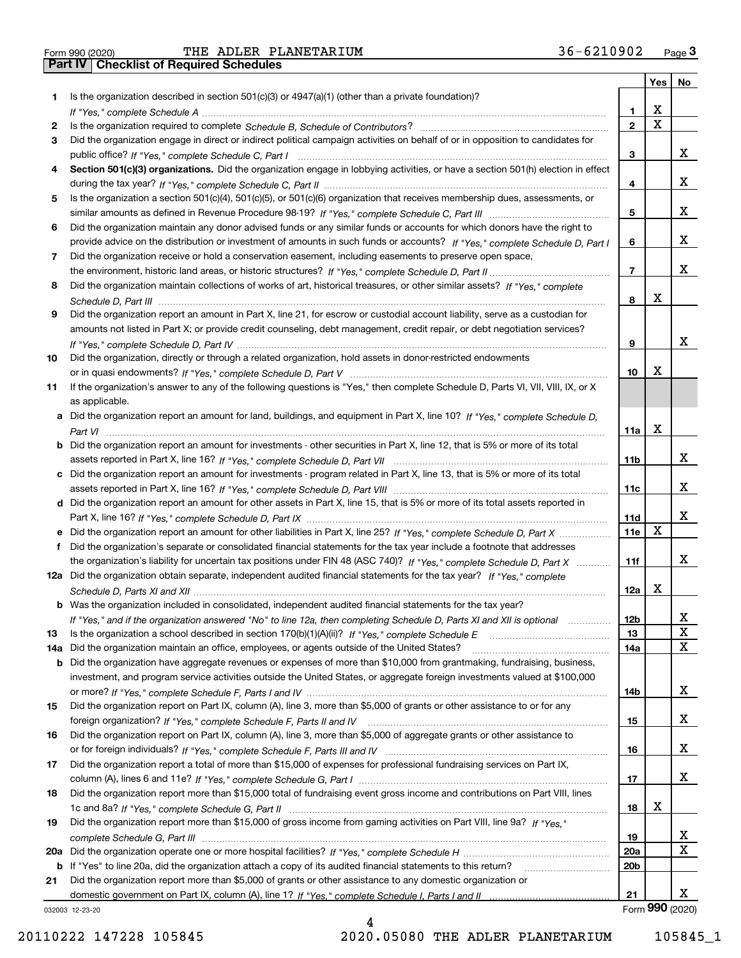Form 990 (2020) THE ADLER PLANETARIUM 36-6210902 <sub>Page</sub> 3<br>**Part IV | Checklist of Required Schedules** 

|     |                                                                                                                                       |                 | Yes | No              |
|-----|---------------------------------------------------------------------------------------------------------------------------------------|-----------------|-----|-----------------|
| 1   | Is the organization described in section $501(c)(3)$ or $4947(a)(1)$ (other than a private foundation)?                               |                 |     |                 |
|     |                                                                                                                                       | 1.              | X   |                 |
| 2   |                                                                                                                                       | $\mathbf{2}$    | X   |                 |
| 3   | Did the organization engage in direct or indirect political campaign activities on behalf of or in opposition to candidates for       |                 |     |                 |
|     |                                                                                                                                       | з               |     | x               |
| 4   | Section 501(c)(3) organizations. Did the organization engage in lobbying activities, or have a section 501(h) election in effect      |                 |     |                 |
|     |                                                                                                                                       | 4               |     | x               |
| 5   | Is the organization a section 501(c)(4), 501(c)(5), or 501(c)(6) organization that receives membership dues, assessments, or          |                 |     |                 |
|     |                                                                                                                                       | 5               |     | x               |
| 6   | Did the organization maintain any donor advised funds or any similar funds or accounts for which donors have the right to             |                 |     |                 |
|     | provide advice on the distribution or investment of amounts in such funds or accounts? If "Yes," complete Schedule D, Part I          | 6               |     | x               |
| 7   | Did the organization receive or hold a conservation easement, including easements to preserve open space,                             |                 |     |                 |
|     |                                                                                                                                       | $\overline{7}$  |     | x               |
| 8   | Did the organization maintain collections of works of art, historical treasures, or other similar assets? If "Yes," complete          |                 |     |                 |
|     |                                                                                                                                       | 8               | х   |                 |
| 9   | Did the organization report an amount in Part X, line 21, for escrow or custodial account liability, serve as a custodian for         |                 |     |                 |
|     | amounts not listed in Part X; or provide credit counseling, debt management, credit repair, or debt negotiation services?             |                 |     |                 |
|     |                                                                                                                                       | 9               |     | x               |
| 10  | Did the organization, directly or through a related organization, hold assets in donor-restricted endowments                          |                 |     |                 |
|     |                                                                                                                                       | 10              | х   |                 |
| 11  | If the organization's answer to any of the following questions is "Yes," then complete Schedule D, Parts VI, VII, VIII, IX, or X      |                 |     |                 |
|     | as applicable.                                                                                                                        |                 |     |                 |
|     | a Did the organization report an amount for land, buildings, and equipment in Part X, line 10? If "Yes," complete Schedule D.         |                 | X   |                 |
|     |                                                                                                                                       | 11a             |     |                 |
|     | <b>b</b> Did the organization report an amount for investments - other securities in Part X, line 12, that is 5% or more of its total |                 |     | x               |
|     |                                                                                                                                       | 11 <sub>b</sub> |     |                 |
|     | c Did the organization report an amount for investments - program related in Part X, line 13, that is 5% or more of its total         | 11c             |     | x               |
|     | d Did the organization report an amount for other assets in Part X, line 15, that is 5% or more of its total assets reported in       |                 |     |                 |
|     |                                                                                                                                       | 11d             |     | x               |
|     | e Did the organization report an amount for other liabilities in Part X, line 25? If "Yes," complete Schedule D, Part X               | 11e             | X   |                 |
| f   | Did the organization's separate or consolidated financial statements for the tax year include a footnote that addresses               |                 |     |                 |
|     | the organization's liability for uncertain tax positions under FIN 48 (ASC 740)? If "Yes," complete Schedule D, Part X                | 11f             |     | x               |
|     | 12a Did the organization obtain separate, independent audited financial statements for the tax year? If "Yes," complete               |                 |     |                 |
|     |                                                                                                                                       | 12a             | х   |                 |
|     | <b>b</b> Was the organization included in consolidated, independent audited financial statements for the tax year?                    |                 |     |                 |
|     | If "Yes," and if the organization answered "No" to line 12a, then completing Schedule D, Parts XI and XII is optional                 | 12 <sub>b</sub> |     | х               |
| 13  |                                                                                                                                       | 13              |     | X               |
| 14a | Did the organization maintain an office, employees, or agents outside of the United States?                                           | 14a             |     | X               |
|     | <b>b</b> Did the organization have aggregate revenues or expenses of more than \$10,000 from grantmaking, fundraising, business,      |                 |     |                 |
|     | investment, and program service activities outside the United States, or aggregate foreign investments valued at \$100,000            |                 |     |                 |
|     |                                                                                                                                       | 14b             |     | x               |
| 15  | Did the organization report on Part IX, column (A), line 3, more than \$5,000 of grants or other assistance to or for any             |                 |     |                 |
|     |                                                                                                                                       | 15              |     | X.              |
| 16  | Did the organization report on Part IX, column (A), line 3, more than \$5,000 of aggregate grants or other assistance to              |                 |     |                 |
|     |                                                                                                                                       | 16              |     | x               |
| 17  | Did the organization report a total of more than \$15,000 of expenses for professional fundraising services on Part IX,               |                 |     |                 |
|     |                                                                                                                                       | 17              |     | X.              |
| 18  | Did the organization report more than \$15,000 total of fundraising event gross income and contributions on Part VIII, lines          |                 |     |                 |
|     |                                                                                                                                       | 18              | x   |                 |
| 19  | Did the organization report more than \$15,000 of gross income from gaming activities on Part VIII, line 9a? If "Yes."                |                 |     |                 |
|     |                                                                                                                                       | 19              |     | X               |
|     |                                                                                                                                       | 20a             |     | X               |
|     | b If "Yes" to line 20a, did the organization attach a copy of its audited financial statements to this return?                        | 20 <sub>b</sub> |     |                 |
| 21  | Did the organization report more than \$5,000 of grants or other assistance to any domestic organization or                           |                 |     |                 |
|     |                                                                                                                                       | 21              |     | x               |
|     | 032003 12-23-20                                                                                                                       |                 |     | Form 990 (2020) |

032003 12-23-20

4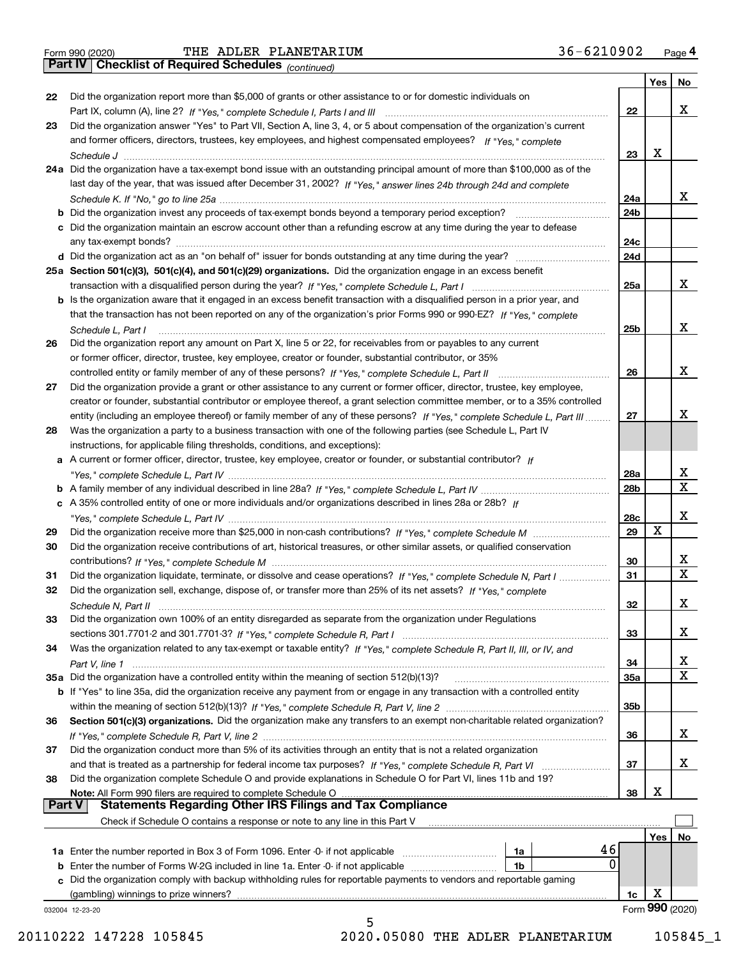*(continued)*

|               |                                                                                                                                                                                 |                 | Yes | No              |
|---------------|---------------------------------------------------------------------------------------------------------------------------------------------------------------------------------|-----------------|-----|-----------------|
| 22            | Did the organization report more than \$5,000 of grants or other assistance to or for domestic individuals on                                                                   |                 |     |                 |
|               |                                                                                                                                                                                 | 22              |     | x               |
| 23            | Did the organization answer "Yes" to Part VII, Section A, line 3, 4, or 5 about compensation of the organization's current                                                      |                 |     |                 |
|               | and former officers, directors, trustees, key employees, and highest compensated employees? If "Yes," complete                                                                  |                 |     |                 |
|               |                                                                                                                                                                                 | 23              | x   |                 |
|               | 24a Did the organization have a tax-exempt bond issue with an outstanding principal amount of more than \$100,000 as of the                                                     |                 |     |                 |
|               | last day of the year, that was issued after December 31, 2002? If "Yes," answer lines 24b through 24d and complete                                                              |                 |     |                 |
|               |                                                                                                                                                                                 | 24a             |     | x               |
|               | b Did the organization invest any proceeds of tax-exempt bonds beyond a temporary period exception?                                                                             | 24b             |     |                 |
|               | c Did the organization maintain an escrow account other than a refunding escrow at any time during the year to defease                                                          |                 |     |                 |
|               | any tax-exempt bonds?                                                                                                                                                           | 24c             |     |                 |
|               |                                                                                                                                                                                 | 24d             |     |                 |
|               | 25a Section 501(c)(3), 501(c)(4), and 501(c)(29) organizations. Did the organization engage in an excess benefit                                                                |                 |     |                 |
|               |                                                                                                                                                                                 | 25a             |     | x               |
|               | b Is the organization aware that it engaged in an excess benefit transaction with a disqualified person in a prior year, and                                                    |                 |     |                 |
|               | that the transaction has not been reported on any of the organization's prior Forms 990 or 990-EZ? If "Yes," complete                                                           |                 |     |                 |
|               | Schedule L. Part I                                                                                                                                                              | 25b             |     | x               |
| 26            | Did the organization report any amount on Part X, line 5 or 22, for receivables from or payables to any current                                                                 |                 |     |                 |
|               | or former officer, director, trustee, key employee, creator or founder, substantial contributor, or 35%                                                                         |                 |     |                 |
|               |                                                                                                                                                                                 | 26              |     | x               |
| 27            | Did the organization provide a grant or other assistance to any current or former officer, director, trustee, key employee,                                                     |                 |     |                 |
|               | creator or founder, substantial contributor or employee thereof, a grant selection committee member, or to a 35% controlled                                                     |                 |     |                 |
|               | entity (including an employee thereof) or family member of any of these persons? If "Yes," complete Schedule L, Part III                                                        | 27              |     | x               |
| 28            | Was the organization a party to a business transaction with one of the following parties (see Schedule L, Part IV                                                               |                 |     |                 |
|               | instructions, for applicable filing thresholds, conditions, and exceptions):                                                                                                    |                 |     |                 |
|               | a A current or former officer, director, trustee, key employee, creator or founder, or substantial contributor? If                                                              |                 |     |                 |
|               |                                                                                                                                                                                 | 28a             |     | х               |
|               |                                                                                                                                                                                 | 28 <sub>b</sub> |     | X               |
|               | c A 35% controlled entity of one or more individuals and/or organizations described in lines 28a or 28b? If                                                                     |                 |     |                 |
|               |                                                                                                                                                                                 | 28c             |     | х               |
| 29            |                                                                                                                                                                                 | 29              | X   |                 |
| 30            | Did the organization receive contributions of art, historical treasures, or other similar assets, or qualified conservation                                                     |                 |     |                 |
|               |                                                                                                                                                                                 | 30              |     | x               |
| 31            | Did the organization liquidate, terminate, or dissolve and cease operations? If "Yes," complete Schedule N, Part I                                                              | 31              |     | $\mathbf x$     |
| 32            | Did the organization sell, exchange, dispose of, or transfer more than 25% of its net assets? If "Yes," complete                                                                |                 |     |                 |
|               | Schedule N, Part II                                                                                                                                                             | 32              |     | х               |
| 33            | Did the organization own 100% of an entity disregarded as separate from the organization under Regulations                                                                      |                 |     |                 |
|               |                                                                                                                                                                                 | 33              |     | х               |
| 34            | Was the organization related to any tax-exempt or taxable entity? If "Yes," complete Schedule R, Part II, III, or IV, and                                                       |                 |     |                 |
|               |                                                                                                                                                                                 | 34              |     | X               |
|               | 35a Did the organization have a controlled entity within the meaning of section 512(b)(13)?                                                                                     | 35a             |     | Χ               |
|               | b If "Yes" to line 35a, did the organization receive any payment from or engage in any transaction with a controlled entity                                                     |                 |     |                 |
|               |                                                                                                                                                                                 | 35b             |     |                 |
| 36            | Section 501(c)(3) organizations. Did the organization make any transfers to an exempt non-charitable related organization?                                                      |                 |     |                 |
|               |                                                                                                                                                                                 |                 |     | x               |
|               | Did the organization conduct more than 5% of its activities through an entity that is not a related organization                                                                | 36              |     |                 |
| 37            |                                                                                                                                                                                 |                 |     | х               |
|               |                                                                                                                                                                                 | 37              |     |                 |
| 38            | Did the organization complete Schedule O and provide explanations in Schedule O for Part VI, lines 11b and 19?<br>Note: All Form 990 filers are required to complete Schedule O | 38              | X   |                 |
| <b>Part V</b> | <b>Statements Regarding Other IRS Filings and Tax Compliance</b>                                                                                                                |                 |     |                 |
|               | Check if Schedule O contains a response or note to any line in this Part V                                                                                                      |                 |     |                 |
|               |                                                                                                                                                                                 |                 |     | No              |
|               | 46                                                                                                                                                                              |                 | Yes |                 |
|               | <b>1a</b> Enter the number reported in Box 3 of Form 1096. Enter -0- if not applicable <i>manumumumum</i><br>1a<br>0<br>1b                                                      |                 |     |                 |
|               | c Did the organization comply with backup withholding rules for reportable payments to vendors and reportable gaming                                                            |                 |     |                 |
|               | (gambling) winnings to prize winners?                                                                                                                                           | 1c              | х   |                 |
|               |                                                                                                                                                                                 |                 |     | Form 990 (2020) |
|               | 032004 12-23-20<br>5                                                                                                                                                            |                 |     |                 |
|               |                                                                                                                                                                                 |                 |     |                 |

 <sup>20110222 147228 105845 2020.05080</sup> THE ADLER PLANETARIUM 105845\_1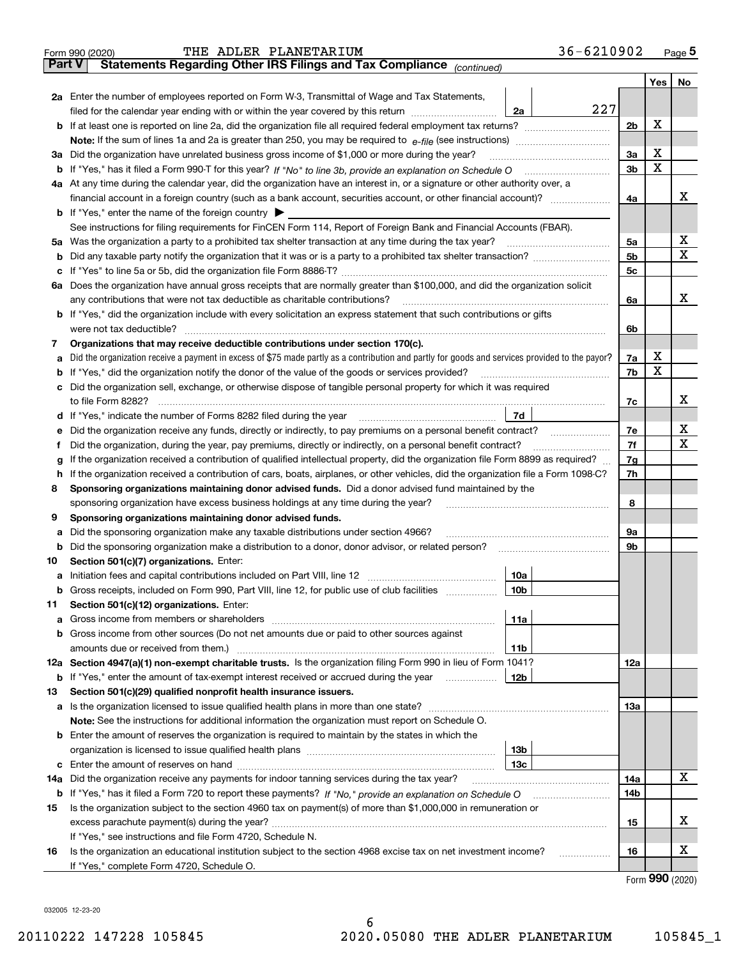|               | 36-6210902<br>THE ADLER PLANETARIUM<br>Form 990 (2020)                                                                                          |     |     | $Page$ <sup>5</sup> |  |  |  |  |  |  |
|---------------|-------------------------------------------------------------------------------------------------------------------------------------------------|-----|-----|---------------------|--|--|--|--|--|--|
| <b>Part V</b> | Statements Regarding Other IRS Filings and Tax Compliance (continued)                                                                           |     |     |                     |  |  |  |  |  |  |
|               |                                                                                                                                                 |     | Yes | No                  |  |  |  |  |  |  |
|               | 2a Enter the number of employees reported on Form W-3, Transmittal of Wage and Tax Statements,                                                  |     |     |                     |  |  |  |  |  |  |
|               | 227<br>filed for the calendar year ending with or within the year covered by this return<br>2a                                                  |     |     |                     |  |  |  |  |  |  |
|               |                                                                                                                                                 |     |     |                     |  |  |  |  |  |  |
|               |                                                                                                                                                 |     |     |                     |  |  |  |  |  |  |
|               | 3a Did the organization have unrelated business gross income of \$1,000 or more during the year?                                                | 3a  | X   |                     |  |  |  |  |  |  |
|               |                                                                                                                                                 | 3b  | X   |                     |  |  |  |  |  |  |
|               | 4a At any time during the calendar year, did the organization have an interest in, or a signature or other authority over, a                    |     |     |                     |  |  |  |  |  |  |
|               |                                                                                                                                                 | 4a  |     | х                   |  |  |  |  |  |  |
|               | <b>b</b> If "Yes," enter the name of the foreign country $\triangleright$                                                                       |     |     |                     |  |  |  |  |  |  |
|               | See instructions for filing requirements for FinCEN Form 114, Report of Foreign Bank and Financial Accounts (FBAR).                             |     |     |                     |  |  |  |  |  |  |
|               | 5a Was the organization a party to a prohibited tax shelter transaction at any time during the tax year?                                        |     |     | x                   |  |  |  |  |  |  |
|               |                                                                                                                                                 | 5a  |     | X                   |  |  |  |  |  |  |
|               |                                                                                                                                                 | 5b  |     |                     |  |  |  |  |  |  |
|               |                                                                                                                                                 | 5с  |     |                     |  |  |  |  |  |  |
|               | 6a Does the organization have annual gross receipts that are normally greater than \$100,000, and did the organization solicit                  |     |     |                     |  |  |  |  |  |  |
|               | any contributions that were not tax deductible as charitable contributions?                                                                     | 6a  |     | x                   |  |  |  |  |  |  |
|               | <b>b</b> If "Yes," did the organization include with every solicitation an express statement that such contributions or gifts                   |     |     |                     |  |  |  |  |  |  |
|               | were not tax deductible?                                                                                                                        | 6b  |     |                     |  |  |  |  |  |  |
| 7             | Organizations that may receive deductible contributions under section 170(c).                                                                   |     |     |                     |  |  |  |  |  |  |
| а             | Did the organization receive a payment in excess of \$75 made partly as a contribution and partly for goods and services provided to the payor? | 7a  | х   |                     |  |  |  |  |  |  |
|               | <b>b</b> If "Yes," did the organization notify the donor of the value of the goods or services provided?                                        | 7b  | X   |                     |  |  |  |  |  |  |
|               | c Did the organization sell, exchange, or otherwise dispose of tangible personal property for which it was required                             |     |     |                     |  |  |  |  |  |  |
|               |                                                                                                                                                 | 7c  |     | х                   |  |  |  |  |  |  |
|               | 7d<br>d If "Yes," indicate the number of Forms 8282 filed during the year manufactured in the second of the New York                            |     |     |                     |  |  |  |  |  |  |
| е             | Did the organization receive any funds, directly or indirectly, to pay premiums on a personal benefit contract?                                 | 7e  |     | x                   |  |  |  |  |  |  |
| Ť             | Did the organization, during the year, pay premiums, directly or indirectly, on a personal benefit contract?                                    | 7f  |     | X                   |  |  |  |  |  |  |
| g             | If the organization received a contribution of qualified intellectual property, did the organization file Form 8899 as required?                | 7g  |     |                     |  |  |  |  |  |  |
|               | h If the organization received a contribution of cars, boats, airplanes, or other vehicles, did the organization file a Form 1098-C?            | 7h  |     |                     |  |  |  |  |  |  |
| 8             | Sponsoring organizations maintaining donor advised funds. Did a donor advised fund maintained by the                                            |     |     |                     |  |  |  |  |  |  |
|               | sponsoring organization have excess business holdings at any time during the year?                                                              | 8   |     |                     |  |  |  |  |  |  |
| 9             | Sponsoring organizations maintaining donor advised funds.                                                                                       |     |     |                     |  |  |  |  |  |  |
|               |                                                                                                                                                 | 9a  |     |                     |  |  |  |  |  |  |
| а             | Did the sponsoring organization make any taxable distributions under section 4966?                                                              |     |     |                     |  |  |  |  |  |  |
|               | <b>b</b> Did the sponsoring organization make a distribution to a donor, donor advisor, or related person?                                      | 9b  |     |                     |  |  |  |  |  |  |
| 10            | Section 501(c)(7) organizations. Enter:                                                                                                         |     |     |                     |  |  |  |  |  |  |
|               | 10a                                                                                                                                             |     |     |                     |  |  |  |  |  |  |
|               | 10b<br>Gross receipts, included on Form 990, Part VIII, line 12, for public use of club facilities                                              |     |     |                     |  |  |  |  |  |  |
| 11            | Section 501(c)(12) organizations. Enter:                                                                                                        |     |     |                     |  |  |  |  |  |  |
|               | 11a<br><b>a</b> Gross income from members or shareholders                                                                                       |     |     |                     |  |  |  |  |  |  |
|               | b Gross income from other sources (Do not net amounts due or paid to other sources against                                                      |     |     |                     |  |  |  |  |  |  |
|               | 11 <sub>b</sub>                                                                                                                                 |     |     |                     |  |  |  |  |  |  |
|               | 12a Section 4947(a)(1) non-exempt charitable trusts. Is the organization filing Form 990 in lieu of Form 1041?                                  | 12a |     |                     |  |  |  |  |  |  |
|               | 12b<br><b>b</b> If "Yes," enter the amount of tax-exempt interest received or accrued during the year <i>manument</i>                           |     |     |                     |  |  |  |  |  |  |
| 13            | Section 501(c)(29) qualified nonprofit health insurance issuers.                                                                                |     |     |                     |  |  |  |  |  |  |
|               | a Is the organization licensed to issue qualified health plans in more than one state?                                                          | 13а |     |                     |  |  |  |  |  |  |
|               | Note: See the instructions for additional information the organization must report on Schedule O.                                               |     |     |                     |  |  |  |  |  |  |
|               | <b>b</b> Enter the amount of reserves the organization is required to maintain by the states in which the                                       |     |     |                     |  |  |  |  |  |  |
|               | 13 <sub>b</sub>                                                                                                                                 |     |     |                     |  |  |  |  |  |  |
|               | 13c                                                                                                                                             |     |     |                     |  |  |  |  |  |  |
| 14a           | Did the organization receive any payments for indoor tanning services during the tax year?                                                      | 14a |     | X                   |  |  |  |  |  |  |
|               |                                                                                                                                                 | 14b |     |                     |  |  |  |  |  |  |
| 15            | Is the organization subject to the section 4960 tax on payment(s) of more than \$1,000,000 in remuneration or                                   |     |     |                     |  |  |  |  |  |  |
|               |                                                                                                                                                 | 15  |     | x                   |  |  |  |  |  |  |
|               |                                                                                                                                                 |     |     |                     |  |  |  |  |  |  |
|               | If "Yes," see instructions and file Form 4720, Schedule N.                                                                                      |     |     | х                   |  |  |  |  |  |  |
| 16            | Is the organization an educational institution subject to the section 4968 excise tax on net investment income?                                 | 16  |     |                     |  |  |  |  |  |  |
|               | If "Yes," complete Form 4720, Schedule O.                                                                                                       |     |     | $\mathbf{QQ}$       |  |  |  |  |  |  |

|  |  | Form 990 (2020) |
|--|--|-----------------|
|--|--|-----------------|

032005 12-23-20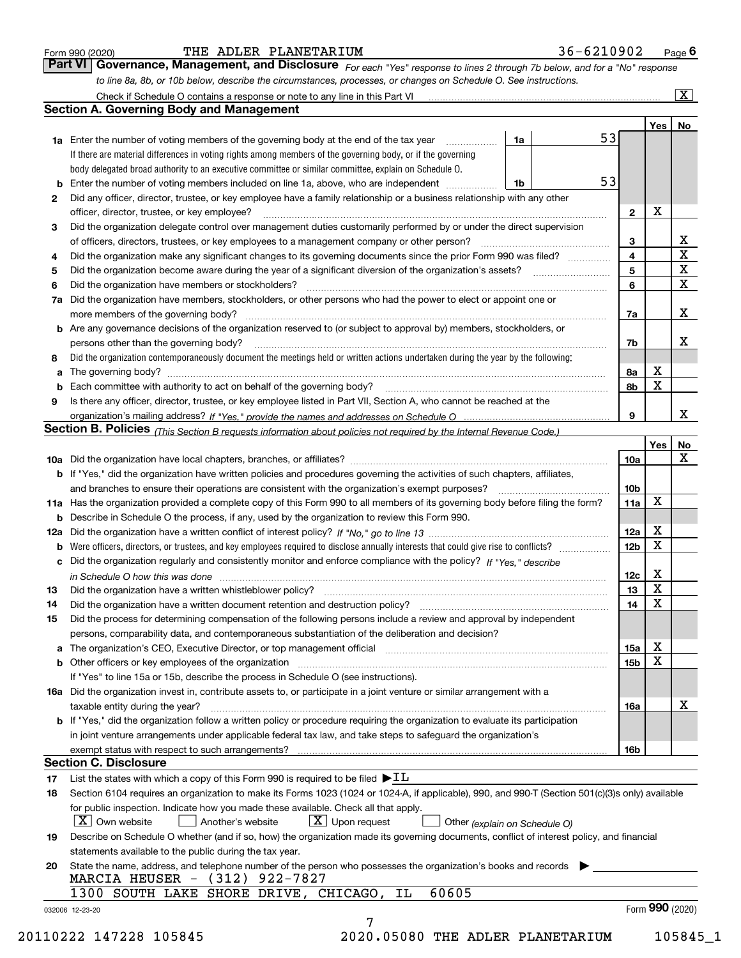|  | Form 990 (2020) |
|--|-----------------|
|  |                 |

### THE ADLER PLANETARIUM 36-6210902

*For each "Yes" response to lines 2 through 7b below, and for a "No" response to line 8a, 8b, or 10b below, describe the circumstances, processes, or changes on Schedule O. See instructions.* Form 990 (2020) Page **6Part VI Governance, Management, and Disclosure**  Check if Schedule O contains a response or note to any line in this Part VI

|              |                                                                                                                                                                               |    |    |                 | Yes             | No                      |
|--------------|-------------------------------------------------------------------------------------------------------------------------------------------------------------------------------|----|----|-----------------|-----------------|-------------------------|
|              | <b>1a</b> Enter the number of voting members of the governing body at the end of the tax year                                                                                 | 1a | 53 |                 |                 |                         |
|              | If there are material differences in voting rights among members of the governing body, or if the governing                                                                   |    |    |                 |                 |                         |
|              | body delegated broad authority to an executive committee or similar committee, explain on Schedule O.                                                                         |    |    |                 |                 |                         |
|              |                                                                                                                                                                               | 1b | 53 |                 |                 |                         |
| $\mathbf{2}$ | Did any officer, director, trustee, or key employee have a family relationship or a business relationship with any other                                                      |    |    |                 |                 |                         |
|              | officer, director, trustee, or key employee?                                                                                                                                  |    |    | $\mathbf{2}$    | X               |                         |
| 3            | Did the organization delegate control over management duties customarily performed by or under the direct supervision                                                         |    |    |                 |                 |                         |
|              |                                                                                                                                                                               |    |    | 3               |                 | X                       |
| 4            | Did the organization make any significant changes to its governing documents since the prior Form 990 was filed?                                                              |    |    | 4               |                 | $\overline{\mathbf{x}}$ |
| 5            |                                                                                                                                                                               |    |    | 5               |                 | $\mathbf X$             |
| 6            | Did the organization have members or stockholders?                                                                                                                            |    |    | 6               |                 | $\mathbf x$             |
|              | 7a Did the organization have members, stockholders, or other persons who had the power to elect or appoint one or                                                             |    |    |                 |                 |                         |
|              |                                                                                                                                                                               |    |    | 7a              |                 | x                       |
|              | <b>b</b> Are any governance decisions of the organization reserved to (or subject to approval by) members, stockholders, or                                                   |    |    |                 |                 |                         |
|              | persons other than the governing body?                                                                                                                                        |    |    | 7b              |                 | х                       |
| 8            | Did the organization contemporaneously document the meetings held or written actions undertaken during the year by the following:                                             |    |    |                 |                 |                         |
| a            |                                                                                                                                                                               |    |    | 8a              | X               |                         |
|              |                                                                                                                                                                               |    |    | 8b              | X               |                         |
| 9            | Is there any officer, director, trustee, or key employee listed in Part VII, Section A, who cannot be reached at the                                                          |    |    |                 |                 |                         |
|              |                                                                                                                                                                               |    |    | 9               |                 | х                       |
|              | Section B. Policies (This Section B requests information about policies not required by the Internal Revenue Code.)                                                           |    |    |                 |                 |                         |
|              |                                                                                                                                                                               |    |    |                 | Yes             | No                      |
|              |                                                                                                                                                                               |    |    | 10a             |                 | X                       |
|              | <b>b</b> If "Yes," did the organization have written policies and procedures governing the activities of such chapters, affiliates,                                           |    |    |                 |                 |                         |
|              |                                                                                                                                                                               |    |    | 10 <sub>b</sub> |                 |                         |
|              | 11a Has the organization provided a complete copy of this Form 990 to all members of its governing body before filing the form?                                               |    |    | 11a             | X               |                         |
|              | <b>b</b> Describe in Schedule O the process, if any, used by the organization to review this Form 990.                                                                        |    |    |                 |                 |                         |
|              |                                                                                                                                                                               |    |    | 12a             | X               |                         |
| b            |                                                                                                                                                                               |    |    | 12b             | X               |                         |
|              | c Did the organization regularly and consistently monitor and enforce compliance with the policy? If "Yes," describe                                                          |    |    |                 |                 |                         |
|              | in Schedule O how this was done manufactured and continuum control of the Schedule O how this was done manufactured and continuum control of the Schedule O how this was done |    |    | 12c             | х               |                         |
| 13           |                                                                                                                                                                               |    |    | 13              | X               |                         |
| 14           | Did the organization have a written document retention and destruction policy? manufactured and the organization have a written document retention and destruction policy?    |    |    | 14              | X               |                         |
| 15           | Did the process for determining compensation of the following persons include a review and approval by independent                                                            |    |    |                 |                 |                         |
|              | persons, comparability data, and contemporaneous substantiation of the deliberation and decision?                                                                             |    |    |                 |                 |                         |
|              |                                                                                                                                                                               |    |    |                 | X               |                         |
|              |                                                                                                                                                                               |    |    | 15a             | X               |                         |
|              |                                                                                                                                                                               |    |    | 15b             |                 |                         |
|              | If "Yes" to line 15a or 15b, describe the process in Schedule O (see instructions).                                                                                           |    |    |                 |                 |                         |
|              | 16a Did the organization invest in, contribute assets to, or participate in a joint venture or similar arrangement with a                                                     |    |    |                 |                 |                         |
|              | taxable entity during the year?                                                                                                                                               |    |    | 16a             |                 | X                       |
|              | b If "Yes," did the organization follow a written policy or procedure requiring the organization to evaluate its participation                                                |    |    |                 |                 |                         |
|              | in joint venture arrangements under applicable federal tax law, and take steps to safeguard the organization's                                                                |    |    |                 |                 |                         |
|              | exempt status with respect to such arrangements?                                                                                                                              |    |    | 16b             |                 |                         |
|              | <b>Section C. Disclosure</b>                                                                                                                                                  |    |    |                 |                 |                         |
| 17           | List the states with which a copy of this Form 990 is required to be filed $\blacktriangleright$ IL                                                                           |    |    |                 |                 |                         |
| 18           | Section 6104 requires an organization to make its Forms 1023 (1024 or 1024-A, if applicable), 990, and 990-T (Section 501(c)(3)s only) available                              |    |    |                 |                 |                         |
|              | for public inspection. Indicate how you made these available. Check all that apply.                                                                                           |    |    |                 |                 |                         |
|              | $\lfloor X \rfloor$ Own website<br>$X$ Upon request<br>Another's website<br>Other (explain on Schedule O)                                                                     |    |    |                 |                 |                         |
| 19           | Describe on Schedule O whether (and if so, how) the organization made its governing documents, conflict of interest policy, and financial                                     |    |    |                 |                 |                         |
|              | statements available to the public during the tax year.                                                                                                                       |    |    |                 |                 |                         |
| 20           | State the name, address, and telephone number of the person who possesses the organization's books and records                                                                |    |    |                 |                 |                         |
|              | MARCIA HEUSER - (312) 922-7827                                                                                                                                                |    |    |                 |                 |                         |
|              | 60605<br>1300 SOUTH LAKE SHORE DRIVE, CHICAGO, IL                                                                                                                             |    |    |                 |                 |                         |
|              |                                                                                                                                                                               |    |    |                 | Form 990 (2020) |                         |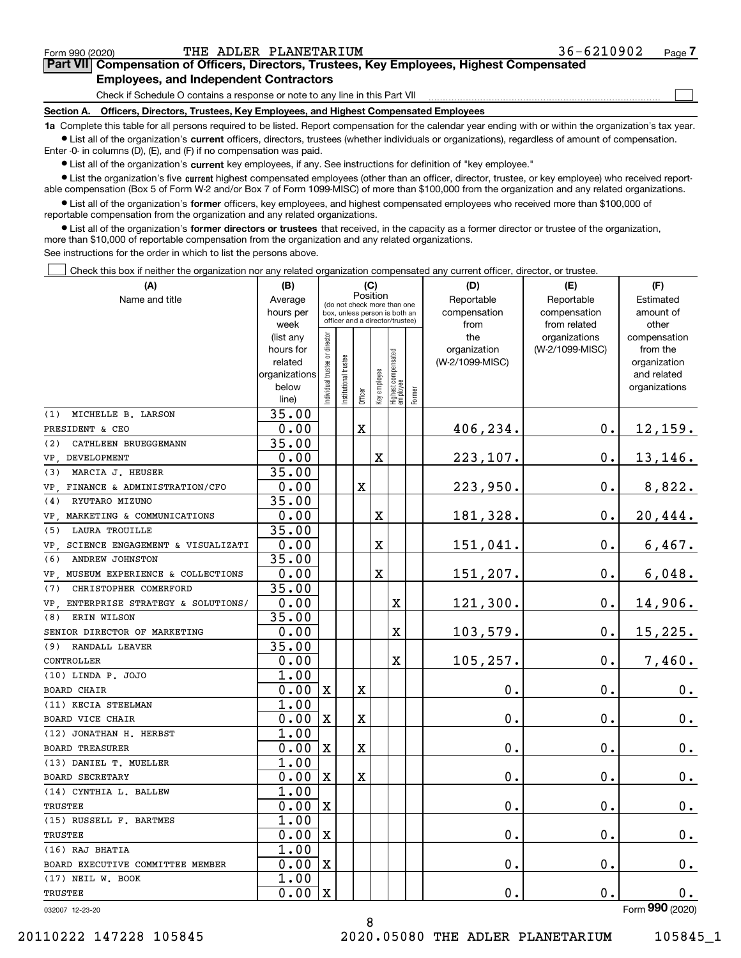$\mathcal{L}^{\text{max}}$ 

| Form 990 (2020) |                                               | THE ADLER PLANETARIUM | 36-6210902                                                                                 | Page $7$ |
|-----------------|-----------------------------------------------|-----------------------|--------------------------------------------------------------------------------------------|----------|
|                 |                                               |                       | Part VII Compensation of Officers, Directors, Trustees, Key Employees, Highest Compensated |          |
|                 | <b>Employees, and Independent Contractors</b> |                       |                                                                                            |          |

Check if Schedule O contains a response or note to any line in this Part VII

**Section A. Officers, Directors, Trustees, Key Employees, and Highest Compensated Employees**

**1a**  Complete this table for all persons required to be listed. Report compensation for the calendar year ending with or within the organization's tax year. **•** List all of the organization's current officers, directors, trustees (whether individuals or organizations), regardless of amount of compensation.

Enter -0- in columns (D), (E), and (F) if no compensation was paid.

 $\bullet$  List all of the organization's  $\,$ current key employees, if any. See instructions for definition of "key employee."

**•** List the organization's five current highest compensated employees (other than an officer, director, trustee, or key employee) who received reportable compensation (Box 5 of Form W-2 and/or Box 7 of Form 1099-MISC) of more than \$100,000 from the organization and any related organizations.

**•** List all of the organization's former officers, key employees, and highest compensated employees who received more than \$100,000 of reportable compensation from the organization and any related organizations.

**former directors or trustees**  ¥ List all of the organization's that received, in the capacity as a former director or trustee of the organization, more than \$10,000 of reportable compensation from the organization and any related organizations.

See instructions for the order in which to list the persons above.

Check this box if neither the organization nor any related organization compensated any current officer, director, or trustee.  $\mathcal{L}^{\text{max}}$ 

| (A)                                     | (B)                                                |                               |                      | (C)         |              |                                                                  |        | (D)                             | (E)             | (F)                      |
|-----------------------------------------|----------------------------------------------------|-------------------------------|----------------------|-------------|--------------|------------------------------------------------------------------|--------|---------------------------------|-----------------|--------------------------|
| Name and title                          | Position<br>Average<br>(do not check more than one |                               |                      |             |              |                                                                  |        | Reportable                      | Reportable      | Estimated                |
|                                         | hours per                                          |                               |                      |             |              | box, unless person is both an<br>officer and a director/trustee) |        | compensation                    | compensation    | amount of                |
|                                         | week                                               |                               |                      |             |              |                                                                  |        | from                            | from related    | other                    |
|                                         | (list any                                          |                               |                      |             |              |                                                                  |        | the                             | organizations   | compensation             |
|                                         | hours for<br>related                               |                               |                      |             |              |                                                                  |        | organization<br>(W-2/1099-MISC) | (W-2/1099-MISC) | from the<br>organization |
|                                         | organizations                                      |                               |                      |             |              |                                                                  |        |                                 |                 | and related              |
|                                         | below                                              |                               |                      |             |              |                                                                  |        |                                 |                 | organizations            |
|                                         | line)                                              | ndividual trustee or director | nstitutional trustee | Officer     | Key employee | Highest compensated<br> employee                                 | Former |                                 |                 |                          |
| MICHELLE B. LARSON<br>(1)               | 35.00                                              |                               |                      |             |              |                                                                  |        |                                 |                 |                          |
| PRESIDENT & CEO                         | 0.00                                               |                               |                      | $\mathbf X$ |              |                                                                  |        | 406,234.                        | $0$ .           | 12,159.                  |
| CATHLEEN BRUEGGEMANN<br>(2)             | 35.00                                              |                               |                      |             |              |                                                                  |        |                                 |                 |                          |
| VP , DEVELOPMENT                        | 0.00                                               |                               |                      |             | $\mathbf X$  |                                                                  |        | 223,107.                        | $0$ .           | 13,146.                  |
| MARCIA J. HEUSER<br>(3)                 | 35.00                                              |                               |                      |             |              |                                                                  |        |                                 |                 |                          |
| FINANCE & ADMINISTRATION/CFO<br>VP.     | 0.00                                               |                               |                      | $\mathbf X$ |              |                                                                  |        | 223,950.                        | 0.              | 8,822.                   |
| RYUTARO MIZUNO<br>(4)                   | 35.00                                              |                               |                      |             |              |                                                                  |        |                                 |                 |                          |
| MARKETING & COMMUNICATIONS<br>VP.       | 0.00                                               |                               |                      |             | X            |                                                                  |        | 181,328.                        | $0$ .           | 20,444.                  |
| LAURA TROUILLE<br>(5)                   | 35.00                                              |                               |                      |             |              |                                                                  |        |                                 |                 |                          |
| VP.<br>SCIENCE ENGAGEMENT & VISUALIZATI | 0.00                                               |                               |                      |             | X            |                                                                  |        | 151,041.                        | 0.              | 6,467.                   |
| (6)<br>ANDREW JOHNSTON                  | 35.00                                              |                               |                      |             |              |                                                                  |        |                                 |                 |                          |
| VP, MUSEUM EXPERIENCE & COLLECTIONS     | 0.00                                               |                               |                      |             | X            |                                                                  |        | 151,207.                        | 0.              | 6,048.                   |
| (7)<br>CHRISTOPHER COMERFORD            | 35.00                                              |                               |                      |             |              |                                                                  |        |                                 |                 |                          |
| VP ENTERPRISE STRATEGY & SOLUTIONS/     | 0.00                                               |                               |                      |             |              | X                                                                |        | 121,300.                        | $0$ .           | 14,906.                  |
| (8) ERIN WILSON                         | 35.00                                              |                               |                      |             |              |                                                                  |        |                                 |                 |                          |
| SENIOR DIRECTOR OF MARKETING            | 0.00                                               |                               |                      |             |              | X                                                                |        | 103,579.                        | 0.              | 15,225.                  |
| (9) RANDALL LEAVER                      | 35.00                                              |                               |                      |             |              |                                                                  |        |                                 |                 |                          |
| CONTROLLER                              | 0.00                                               |                               |                      |             |              | $\mathbf X$                                                      |        | 105,257.                        | 0.              | 7,460.                   |
| (10) LINDA P. JOJO                      | 1.00                                               |                               |                      |             |              |                                                                  |        |                                 |                 |                          |
| <b>BOARD CHAIR</b>                      | 0.00                                               | $\mathbf x$                   |                      | X           |              |                                                                  |        | $\mathbf 0$ .                   | 0.              | 0.                       |
| (11) KECIA STEELMAN                     | 1.00                                               |                               |                      |             |              |                                                                  |        |                                 |                 |                          |
| BOARD VICE CHAIR                        | 0.00                                               | $\mathbf x$                   |                      | X           |              |                                                                  |        | $\mathbf 0$ .                   | 0.              | 0.                       |
| (12) JONATHAN H. HERBST                 | 1.00                                               |                               |                      |             |              |                                                                  |        |                                 |                 |                          |
| <b>BOARD TREASURER</b>                  | 0.00                                               | $\mathbf x$                   |                      | X           |              |                                                                  |        | $\mathbf 0$ .                   | 0.              | $0_{.}$                  |
| (13) DANIEL T. MUELLER                  | 1.00                                               |                               |                      |             |              |                                                                  |        |                                 |                 |                          |
| <b>BOARD SECRETARY</b>                  | 0.00                                               | $\mathbf X$                   |                      | $\mathbf X$ |              |                                                                  |        | $\mathbf 0$ .                   | 0.              | 0.                       |
| (14) CYNTHIA L. BALLEW                  | 1.00                                               |                               |                      |             |              |                                                                  |        |                                 |                 |                          |
| TRUSTEE                                 | 0.00                                               | $\mathbf X$                   |                      |             |              |                                                                  |        | $\mathbf 0$ .                   | $\mathbf{0}$ .  | 0.                       |
| (15) RUSSELL F. BARTMES                 | 1.00                                               |                               |                      |             |              |                                                                  |        |                                 |                 |                          |
| TRUSTEE                                 | 0.00                                               | $\mathbf X$                   |                      |             |              |                                                                  |        | 0.                              | 0.              | 0.                       |
| (16) RAJ BHATIA                         | 1.00                                               |                               |                      |             |              |                                                                  |        |                                 |                 |                          |
| BOARD EXECUTIVE COMMITTEE MEMBER        | 0.00                                               | $\mathbf X$                   |                      |             |              |                                                                  |        | $\mathbf 0$ .                   | 0.              | 0.                       |
| (17) NEIL W. BOOK                       | 1.00                                               |                               |                      |             |              |                                                                  |        |                                 |                 |                          |
| TRUSTEE                                 | 0.00                                               | $\mathbf X$                   |                      |             |              |                                                                  |        | 0.                              | 0.              | $0_{.}$                  |

032007 12-23-20

Form (2020) **990**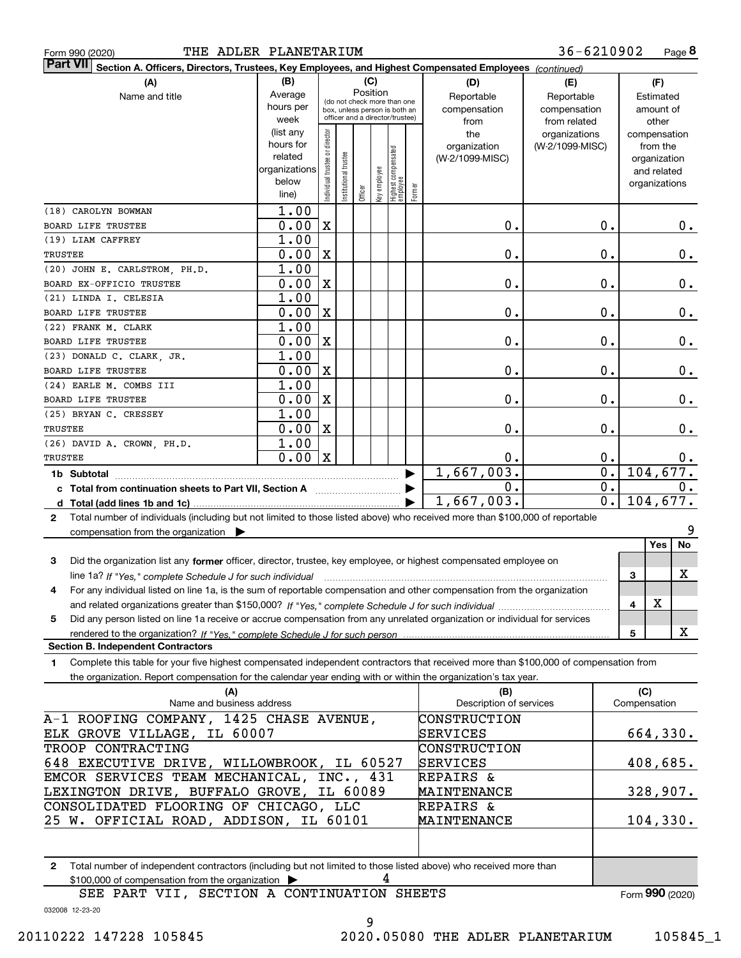|  | Form 990 (2020) |
|--|-----------------|
|  |                 |

| <b>Part VII</b><br>Section A. Officers, Directors, Trustees, Key Employees, and Highest Compensated Employees (continued)                                                   |                        |                                |                                         |         |              |                                  |        |                          |                  |                  |
|-----------------------------------------------------------------------------------------------------------------------------------------------------------------------------|------------------------|--------------------------------|-----------------------------------------|---------|--------------|----------------------------------|--------|--------------------------|------------------|------------------|
| (A)                                                                                                                                                                         | (B)                    |                                |                                         | (C)     |              |                                  |        | (D)                      | (E)              | (F)              |
| Name and title                                                                                                                                                              | Average                |                                | Position<br>(do not check more than one |         |              |                                  |        | Reportable               | Reportable       | Estimated        |
|                                                                                                                                                                             | hours per              |                                | box, unless person is both an           |         |              |                                  |        | compensation             | compensation     | amount of        |
|                                                                                                                                                                             | week                   |                                | officer and a director/trustee)         |         |              |                                  |        | from                     | from related     | other            |
|                                                                                                                                                                             | (list any              |                                |                                         |         |              |                                  |        | the                      | organizations    | compensation     |
|                                                                                                                                                                             | hours for              |                                |                                         |         |              |                                  |        | organization             | (W-2/1099-MISC)  | from the         |
|                                                                                                                                                                             | related                |                                |                                         |         |              |                                  |        | (W-2/1099-MISC)          |                  | organization     |
|                                                                                                                                                                             | organizations<br>below |                                |                                         |         |              |                                  |        |                          |                  | and related      |
|                                                                                                                                                                             | line)                  | Individual trustee or director | nstitutional trustee                    | Officer | Key employee | Highest compensated<br> employee | Former |                          |                  | organizations    |
| (18) CAROLYN BOWMAN                                                                                                                                                         | 1.00                   |                                |                                         |         |              |                                  |        |                          |                  |                  |
| BOARD LIFE TRUSTEE                                                                                                                                                          | 0.00                   | X                              |                                         |         |              |                                  |        | $\mathbf{0}$ .           | 0.               | 0.               |
| (19) LIAM CAFFREY                                                                                                                                                           | 1.00                   |                                |                                         |         |              |                                  |        |                          |                  |                  |
| TRUSTEE                                                                                                                                                                     | 0.00                   | $\mathbf X$                    |                                         |         |              |                                  |        | $\mathbf 0$ .            | 0.               | 0.               |
| (20) JOHN E. CARLSTROM, PH.D.                                                                                                                                               | 1.00                   |                                |                                         |         |              |                                  |        |                          |                  |                  |
| BOARD EX-OFFICIO TRUSTEE                                                                                                                                                    | 0.00                   | X                              |                                         |         |              |                                  |        | $\mathbf 0$ .            | 0.               | 0.               |
| (21) LINDA I. CELESIA                                                                                                                                                       | 1.00                   |                                |                                         |         |              |                                  |        |                          |                  |                  |
| <b>BOARD LIFE TRUSTEE</b>                                                                                                                                                   | 0.00                   | $\mathbf X$                    |                                         |         |              |                                  |        | $\mathbf 0$ .            | 0.               | 0.               |
| (22) FRANK M. CLARK                                                                                                                                                         | 1.00                   |                                |                                         |         |              |                                  |        |                          |                  |                  |
| BOARD LIFE TRUSTEE                                                                                                                                                          | 0.00                   | $\mathbf X$                    |                                         |         |              |                                  |        | $\mathbf 0$ .            | 0.               | 0.               |
| (23) DONALD C. CLARK, JR.                                                                                                                                                   | 1.00                   |                                |                                         |         |              |                                  |        |                          |                  |                  |
| BOARD LIFE TRUSTEE                                                                                                                                                          | 0.00                   | X                              |                                         |         |              |                                  |        | $\mathbf 0$ .            | 0.               | 0.               |
| (24) EARLE M. COMBS III                                                                                                                                                     | 1.00                   |                                |                                         |         |              |                                  |        |                          |                  |                  |
| <b>BOARD LIFE TRUSTEE</b>                                                                                                                                                   | 0.00                   | X                              |                                         |         |              |                                  |        | $\mathbf 0$ .            | 0.               | 0.               |
| (25) BRYAN C. CRESSEY                                                                                                                                                       | 1.00                   |                                |                                         |         |              |                                  |        |                          |                  |                  |
| TRUSTEE                                                                                                                                                                     | 0.00                   | $\mathbf X$                    |                                         |         |              |                                  |        | $\mathbf{0}$ .           | 0.               | 0.               |
| (26) DAVID A. CROWN, PH.D.<br>TRUSTEE                                                                                                                                       | 1.00<br>0.00           | $\mathbf x$                    |                                         |         |              |                                  |        | 0.                       | $0$ .            | 0.               |
|                                                                                                                                                                             |                        |                                |                                         |         |              |                                  |        | 1,667,003.               | $\overline{0}$ . | 104, 677.        |
| 1b Subtotal                                                                                                                                                                 |                        |                                |                                         |         |              |                                  |        | 0.                       | 0.               | 0.               |
| d                                                                                                                                                                           |                        |                                |                                         |         |              |                                  |        | 1,667,003.               | 0.               | 104, 677.        |
| Total (add lines 1b and 1c)<br>Total number of individuals (including but not limited to those listed above) who received more than \$100,000 of reportable<br>$\mathbf{2}$ |                        |                                |                                         |         |              |                                  |        |                          |                  |                  |
| compensation from the organization                                                                                                                                          |                        |                                |                                         |         |              |                                  |        |                          |                  | 9                |
|                                                                                                                                                                             |                        |                                |                                         |         |              |                                  |        |                          |                  | No<br><b>Yes</b> |
| 3<br>Did the organization list any former officer, director, trustee, key employee, or highest compensated employee on                                                      |                        |                                |                                         |         |              |                                  |        |                          |                  |                  |
| line 1a? If "Yes," complete Schedule J for such individual manufactured communities and the Ves," complete Schedule J for such individual                                   |                        |                                |                                         |         |              |                                  |        |                          |                  | X<br>3           |
| For any individual listed on line 1a, is the sum of reportable compensation and other compensation from the organization<br>4                                               |                        |                                |                                         |         |              |                                  |        |                          |                  |                  |
|                                                                                                                                                                             |                        |                                |                                         |         |              |                                  |        |                          |                  | $\mathbf X$<br>4 |
| Did any person listed on line 1a receive or accrue compensation from any unrelated organization or individual for services<br>5                                             |                        |                                |                                         |         |              |                                  |        |                          |                  |                  |
| rendered to the organization? If "Yes." complete Schedule J for such person                                                                                                 |                        |                                |                                         |         |              |                                  |        |                          |                  | X<br>5           |
| <b>Section B. Independent Contractors</b>                                                                                                                                   |                        |                                |                                         |         |              |                                  |        |                          |                  |                  |
| Complete this table for your five highest compensated independent contractors that received more than \$100,000 of compensation from<br>1                                   |                        |                                |                                         |         |              |                                  |        |                          |                  |                  |
| the organization. Report compensation for the calendar year ending with or within the organization's tax year.                                                              |                        |                                |                                         |         |              |                                  |        |                          |                  |                  |
| (A)                                                                                                                                                                         |                        |                                |                                         |         |              |                                  |        | (B)                      |                  | (C)              |
| Name and business address                                                                                                                                                   |                        |                                |                                         |         |              |                                  |        | Description of services  |                  | Compensation     |
| A-1 ROOFING COMPANY, 1425 CHASE AVENUE,<br>ELK GROVE VILLAGE, IL 60007                                                                                                      |                        |                                |                                         |         |              |                                  |        | CONSTRUCTION<br>SERVICES |                  |                  |
| TROOP CONTRACTING                                                                                                                                                           |                        |                                |                                         |         |              |                                  |        | CONSTRUCTION             |                  | 664,330.         |
| 648 EXECUTIVE DRIVE, WILLOWBROOK, IL 60527                                                                                                                                  |                        |                                |                                         |         |              |                                  |        | SERVICES                 |                  | 408,685.         |
|                                                                                                                                                                             |                        |                                |                                         |         |              |                                  |        | <b>REPAIRS &amp;</b>     |                  |                  |
| EMCOR SERVICES TEAM MECHANICAL, INC., 431<br>LEXINGTON DRIVE, BUFFALO GROVE, IL 60089<br><b>MAINTENANCE</b>                                                                 |                        |                                |                                         |         |              |                                  |        |                          |                  | 328,907.         |
| CONSOLIDATED FLOORING OF CHICAGO, LLC                                                                                                                                       |                        |                                |                                         |         |              |                                  |        | <b>REPAIRS &amp;</b>     |                  |                  |
| 25 W. OFFICIAL ROAD, ADDISON, IL 60101                                                                                                                                      |                        |                                |                                         |         |              |                                  |        | <b>MAINTENANCE</b>       |                  | 104,330.         |
|                                                                                                                                                                             |                        |                                |                                         |         |              |                                  |        |                          |                  |                  |
|                                                                                                                                                                             |                        |                                |                                         |         |              |                                  |        |                          |                  |                  |
| Total number of independent contractors (including but not limited to those listed above) who received more than<br>$\mathbf{2}$                                            |                        |                                |                                         |         |              |                                  |        |                          |                  |                  |

\$100,000 of compensation from the organization  $\qquad \blacktriangleright$   $\qquad \qquad \blacktriangleleft$ 

SEE PART VII, SECTION A CONTINUATION SHEETS

Form (2020) **990**

032008 12-23-20

9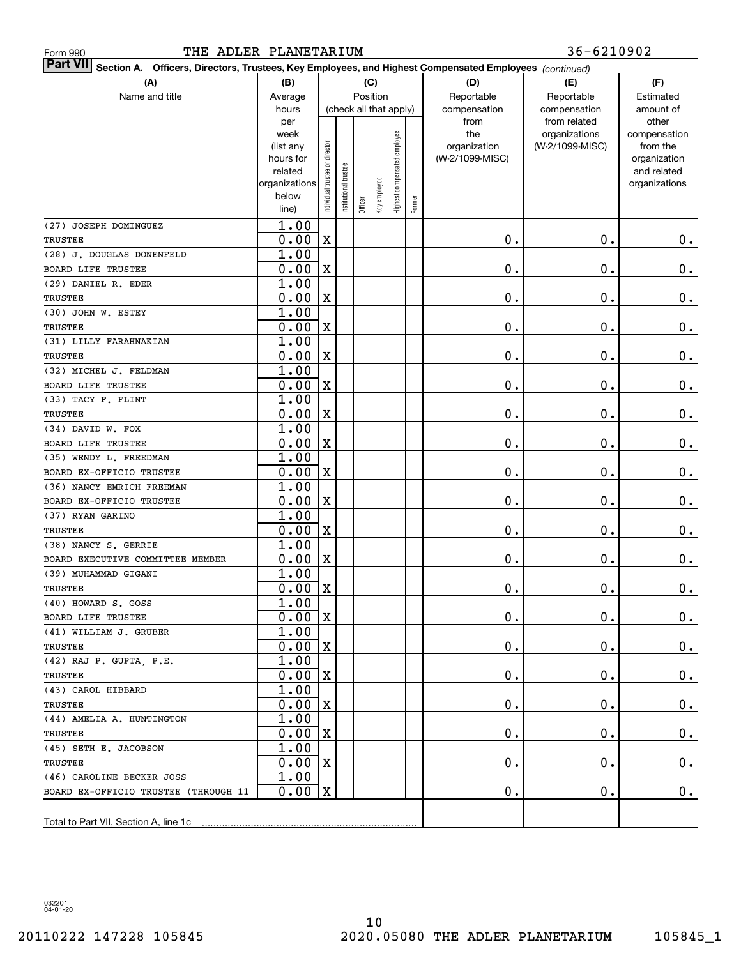| THE ADLER PLANETARIUM<br>Form 990                                                                                         |                        |                                |                       |         |              |                        |        |                                 | 36-6210902      |                          |
|---------------------------------------------------------------------------------------------------------------------------|------------------------|--------------------------------|-----------------------|---------|--------------|------------------------|--------|---------------------------------|-----------------|--------------------------|
| <b>Part VII</b><br>Section A. Officers, Directors, Trustees, Key Employees, and Highest Compensated Employees (continued) |                        |                                |                       |         |              |                        |        |                                 |                 |                          |
| (A)                                                                                                                       | (B)                    |                                | (D)                   | (E)     | (F)          |                        |        |                                 |                 |                          |
| Name and title                                                                                                            | Average                |                                |                       |         | Position     |                        |        | Reportable                      | Reportable      | Estimated                |
|                                                                                                                           | hours                  |                                |                       |         |              | (check all that apply) |        | compensation                    | compensation    | amount of                |
|                                                                                                                           | per                    |                                |                       |         |              |                        |        | from                            | from related    | other                    |
|                                                                                                                           | week                   |                                |                       |         |              | employee               |        | the                             | organizations   | compensation<br>from the |
|                                                                                                                           | (list any<br>hours for |                                |                       |         |              |                        |        | organization<br>(W-2/1099-MISC) | (W-2/1099-MISC) | organization             |
|                                                                                                                           | related                |                                |                       |         |              |                        |        |                                 |                 | and related              |
|                                                                                                                           | organizations          |                                |                       |         |              |                        |        |                                 |                 | organizations            |
|                                                                                                                           | below                  | Individual trustee or director | Institutional trustee |         | Key employee | Highest compensated    |        |                                 |                 |                          |
|                                                                                                                           | line)                  |                                |                       | Officer |              |                        | Former |                                 |                 |                          |
| (27) JOSEPH DOMINGUEZ                                                                                                     | 1.00                   |                                |                       |         |              |                        |        |                                 |                 |                          |
| TRUSTEE                                                                                                                   | 0.00                   | $\mathbf X$                    |                       |         |              |                        |        | 0.                              | 0.              | $\mathbf 0$ .            |
| (28) J. DOUGLAS DONENFELD                                                                                                 | 1.00                   |                                |                       |         |              |                        |        |                                 |                 |                          |
| BOARD LIFE TRUSTEE                                                                                                        | 0.00                   | $\mathbf X$                    |                       |         |              |                        |        | 0.                              | 0.              | 0.                       |
| (29) DANIEL R. EDER                                                                                                       | 1.00                   |                                |                       |         |              |                        |        |                                 |                 |                          |
| TRUSTEE                                                                                                                   | 0.00                   | $\mathbf X$                    |                       |         |              |                        |        | 0.                              | 0.              | 0.                       |
| (30) JOHN W. ESTEY                                                                                                        | 1.00                   |                                |                       |         |              |                        |        |                                 |                 |                          |
| TRUSTEE                                                                                                                   | 0.00                   | $\mathbf X$                    |                       |         |              |                        |        | 0.                              | 0.              | 0.                       |
| (31) LILLY FARAHNAKIAN                                                                                                    | 1.00                   |                                |                       |         |              |                        |        |                                 |                 |                          |
| TRUSTEE                                                                                                                   | 0.00                   | $\mathbf X$                    |                       |         |              |                        |        | 0.                              | 0.              | 0.                       |
| (32) MICHEL J. FELDMAN                                                                                                    | 1.00                   |                                |                       |         |              |                        |        |                                 |                 |                          |
| BOARD LIFE TRUSTEE<br>(33) TACY F. FLINT                                                                                  | 0.00<br>1.00           | $\mathbf X$                    |                       |         |              |                        |        | 0.                              | 0.              | 0.                       |
| TRUSTEE                                                                                                                   | 0.00                   | $\mathbf X$                    |                       |         |              |                        |        | 0.                              | 0.              | 0.                       |
| (34) DAVID W. FOX                                                                                                         | 1.00                   |                                |                       |         |              |                        |        |                                 |                 |                          |
| BOARD LIFE TRUSTEE                                                                                                        | 0.00                   | $\mathbf X$                    |                       |         |              |                        |        | 0.                              | 0.              | 0.                       |
| (35) WENDY L. FREEDMAN                                                                                                    | 1.00                   |                                |                       |         |              |                        |        |                                 |                 |                          |
| BOARD EX-OFFICIO TRUSTEE                                                                                                  | 0.00                   | $\mathbf X$                    |                       |         |              |                        |        | 0.                              | 0.              | 0.                       |
| (36) NANCY EMRICH FREEMAN                                                                                                 | 1.00                   |                                |                       |         |              |                        |        |                                 |                 |                          |
| BOARD EX-OFFICIO TRUSTEE                                                                                                  | 0.00                   | $\mathbf X$                    |                       |         |              |                        |        | 0.                              | 0.              | 0.                       |
| (37) RYAN GARINO                                                                                                          | 1.00                   |                                |                       |         |              |                        |        |                                 |                 |                          |
| TRUSTEE                                                                                                                   | 0.00                   | $\mathbf X$                    |                       |         |              |                        |        | 0.                              | 0.              | 0.                       |
| (38) NANCY S. GERRIE                                                                                                      | 1.00                   |                                |                       |         |              |                        |        |                                 |                 |                          |
| BOARD EXECUTIVE COMMITTEE MEMBER                                                                                          | 0.00                   | X                              |                       |         |              |                        |        | 0.                              | 0.              | 0.                       |
| (39) MUHAMMAD GIGANI                                                                                                      | 1.00                   |                                |                       |         |              |                        |        |                                 |                 |                          |
| TRUSTEE                                                                                                                   | $\overline{0.00}$ X    |                                |                       |         |              |                        |        | $\mathbf 0$ .                   | $\mathbf 0$ .   | 0.                       |
| (40) HOWARD S. GOSS                                                                                                       | 1.00                   |                                |                       |         |              |                        |        |                                 |                 |                          |
| BOARD LIFE TRUSTEE                                                                                                        | 0.00                   | X                              |                       |         |              |                        |        | 0.                              | $\mathbf 0$ .   | $0$ .                    |
| (41) WILLIAM J. GRUBER                                                                                                    | 1.00                   |                                |                       |         |              |                        |        |                                 |                 |                          |
| TRUSTEE                                                                                                                   | 0.00                   | X                              |                       |         |              |                        |        | 0.                              | $\mathbf 0$ .   | $0$ .                    |
| (42) RAJ P. GUPTA, P.E.                                                                                                   | 1.00                   |                                |                       |         |              |                        |        |                                 |                 |                          |
| TRUSTEE                                                                                                                   | 0.00                   | X                              |                       |         |              |                        |        | 0.                              | $\mathbf 0$ .   | $0$ .                    |
| (43) CAROL HIBBARD                                                                                                        | 1.00<br>0.00           | X                              |                       |         |              |                        |        | 0.                              | $\mathbf 0$ .   |                          |
| TRUSTEE<br>(44) AMELIA A. HUNTINGTON                                                                                      | 1.00                   |                                |                       |         |              |                        |        |                                 |                 | $0$ .                    |
| TRUSTEE                                                                                                                   | 0.00                   | X                              |                       |         |              |                        |        | 0.                              | $\mathbf 0$ .   | $0$ .                    |
| (45) SETH E. JACOBSON                                                                                                     | 1.00                   |                                |                       |         |              |                        |        |                                 |                 |                          |
| TRUSTEE                                                                                                                   | 0.00                   | X                              |                       |         |              |                        |        | 0.                              | $\mathbf 0$ .   | $0$ .                    |
| (46) CAROLINE BECKER JOSS                                                                                                 | 1.00                   |                                |                       |         |              |                        |        |                                 |                 |                          |
| BOARD EX-OFFICIO TRUSTEE (THROUGH 11                                                                                      | 0.00                   | $\mathbf X$                    |                       |         |              |                        |        | 0.                              | $\mathbf 0$ .   | $0$ .                    |
|                                                                                                                           |                        |                                |                       |         |              |                        |        |                                 |                 |                          |
|                                                                                                                           |                        |                                |                       |         |              |                        |        |                                 |                 |                          |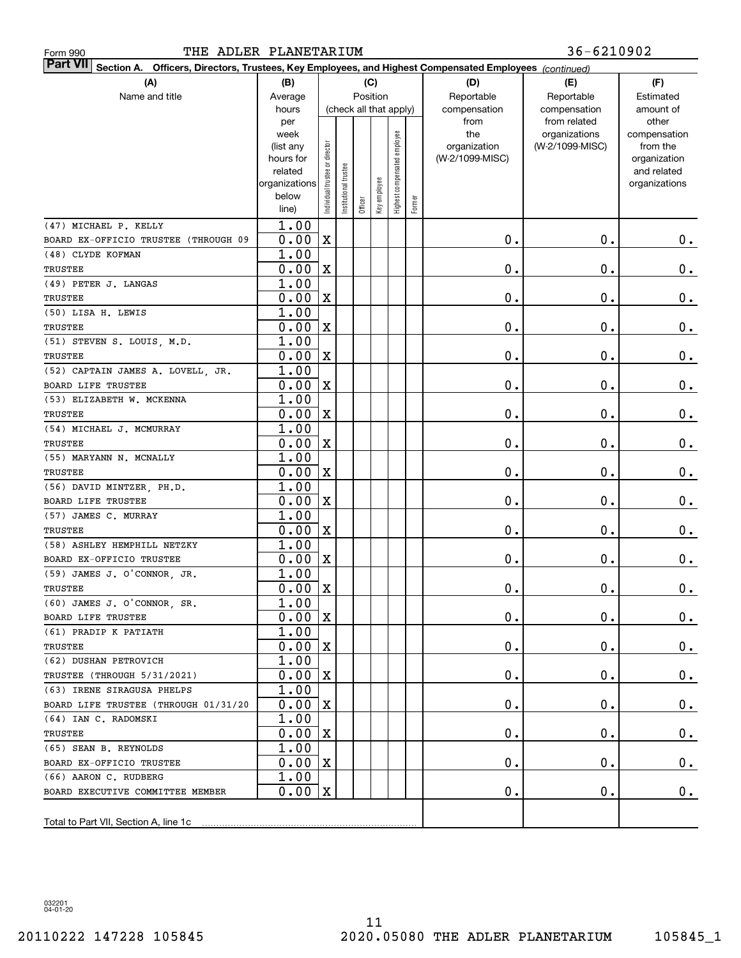| THE ADLER PLANETARIUM<br>Form 990                                                                                            |                     |                                    |                       |         |              |                              |        |                 | 36-6210902                    |                       |
|------------------------------------------------------------------------------------------------------------------------------|---------------------|------------------------------------|-----------------------|---------|--------------|------------------------------|--------|-----------------|-------------------------------|-----------------------|
| <b>Part VII</b><br>Officers, Directors, Trustees, Key Employees, and Highest Compensated Employees (continued)<br>Section A. |                     |                                    |                       |         |              |                              |        |                 |                               |                       |
| (A)                                                                                                                          | (B)                 |                                    |                       |         | (C)          |                              |        | (D)             | (E)                           | (F)                   |
| Name and title                                                                                                               | Average             | Position<br>(check all that apply) |                       |         |              |                              |        | Reportable      | Reportable                    | Estimated             |
|                                                                                                                              | hours               |                                    |                       |         |              |                              |        | compensation    | compensation                  | amount of             |
|                                                                                                                              | per<br>week         |                                    |                       |         |              |                              |        | from<br>the     | from related<br>organizations | other<br>compensation |
|                                                                                                                              | (list any           |                                    |                       |         |              |                              |        | organization    | (W-2/1099-MISC)               | from the              |
|                                                                                                                              | hours for           |                                    |                       |         |              |                              |        | (W-2/1099-MISC) |                               | organization          |
|                                                                                                                              | related             |                                    |                       |         |              |                              |        |                 |                               | and related           |
|                                                                                                                              | organizations       |                                    |                       |         |              |                              |        |                 |                               | organizations         |
|                                                                                                                              | below<br>line)      | Individual trustee or director     | Institutional trustee | Officer | Key employee | Highest compensated employee | Former |                 |                               |                       |
|                                                                                                                              |                     |                                    |                       |         |              |                              |        |                 |                               |                       |
| (47) MICHAEL P. KELLY<br>BOARD EX-OFFICIO TRUSTEE (THROUGH 09                                                                | 1.00<br>0.00        | X                                  |                       |         |              |                              |        | 0.              | $\mathbf 0$ .                 | 0.                    |
| (48) CLYDE KOFMAN                                                                                                            | 1.00                |                                    |                       |         |              |                              |        |                 |                               |                       |
| TRUSTEE                                                                                                                      | 0.00                | X                                  |                       |         |              |                              |        | 0.              | Ο.                            | 0.                    |
| (49) PETER J. LANGAS                                                                                                         | 1.00                |                                    |                       |         |              |                              |        |                 |                               |                       |
| TRUSTEE                                                                                                                      | 0.00                | X                                  |                       |         |              |                              |        | 0.              | Ο.                            | 0.                    |
| (50) LISA H. LEWIS                                                                                                           | 1.00                |                                    |                       |         |              |                              |        |                 |                               |                       |
| TRUSTEE                                                                                                                      | 0.00                | X                                  |                       |         |              |                              |        | 0.              | Ο.                            | 0.                    |
| (51) STEVEN S. LOUIS, M.D.                                                                                                   | 1.00                |                                    |                       |         |              |                              |        |                 |                               |                       |
| TRUSTEE                                                                                                                      | 0.00                | X                                  |                       |         |              |                              |        | 0.              | Ο.                            | 0.                    |
| (52) CAPTAIN JAMES A. LOVELL, JR.                                                                                            | 1.00                |                                    |                       |         |              |                              |        |                 |                               |                       |
| BOARD LIFE TRUSTEE                                                                                                           | 0.00                | X                                  |                       |         |              |                              |        | 0.              | 0.                            | 0.                    |
| (53) ELIZABETH W. MCKENNA                                                                                                    | 1.00                |                                    |                       |         |              |                              |        |                 |                               |                       |
| TRUSTEE                                                                                                                      | 0.00                | X                                  |                       |         |              |                              |        | 0.              | 0.                            | 0.                    |
| (54) MICHAEL J. MCMURRAY                                                                                                     | 1.00                |                                    |                       |         |              |                              |        |                 |                               |                       |
| TRUSTEE                                                                                                                      | 0.00                | X                                  |                       |         |              |                              |        | 0.              | $\mathbf 0$ .                 | 0.                    |
| (55) MARYANN N. MCNALLY                                                                                                      | 1.00                |                                    |                       |         |              |                              |        |                 |                               |                       |
| TRUSTEE                                                                                                                      | 0.00                | X                                  |                       |         |              |                              |        | 0.              | 0.                            | 0.                    |
| (56) DAVID MINTZER, PH.D.                                                                                                    | 1.00                |                                    |                       |         |              |                              |        |                 |                               |                       |
| BOARD LIFE TRUSTEE                                                                                                           | 0.00                | X                                  |                       |         |              |                              |        | 0.              | 0.                            | $0$ .                 |
| (57) JAMES C. MURRAY                                                                                                         | 1.00                |                                    |                       |         |              |                              |        |                 |                               |                       |
| TRUSTEE                                                                                                                      | 0.00                | X                                  |                       |         |              |                              |        | 0.              | Ο.                            | $0$ .                 |
| (58) ASHLEY HEMPHILL NETZKY                                                                                                  | 1.00                |                                    |                       |         |              |                              |        |                 |                               |                       |
| BOARD EX-OFFICIO TRUSTEE                                                                                                     | 0.00                | X                                  |                       |         |              |                              |        | 0.              | Ο.                            | $0_{.}$               |
| (59) JAMES J. O'CONNOR, JR.                                                                                                  | 1.00                |                                    |                       |         |              |                              |        |                 |                               |                       |
| TRUSTEE                                                                                                                      | $\overline{0.00}$ X |                                    |                       |         |              |                              |        | $\mathbf 0$ .   | $\mathbf 0$ .                 | 0.                    |
| (60) JAMES J. O'CONNOR. SR.                                                                                                  | 1.00                |                                    |                       |         |              |                              |        |                 |                               |                       |
| BOARD LIFE TRUSTEE                                                                                                           | 0.00                | X                                  |                       |         |              |                              |        | 0.              | $\mathbf 0$ .                 | $0$ .                 |
| (61) PRADIP K PATIATH                                                                                                        | 1.00<br>0.00        |                                    |                       |         |              |                              |        | 0.              | $\mathfrak o$ .               | 0.                    |
| TRUSTEE<br>(62) DUSHAN PETROVICH                                                                                             | 1.00                | Х                                  |                       |         |              |                              |        |                 |                               |                       |
| TRUSTEE (THROUGH 5/31/2021)                                                                                                  | 0.00                | Х                                  |                       |         |              |                              |        | 0.              | $\mathbf 0$ .                 | 0.                    |
| (63) IRENE SIRAGUSA PHELPS                                                                                                   | 1.00                |                                    |                       |         |              |                              |        |                 |                               |                       |
| BOARD LIFE TRUSTEE (THROUGH 01/31/20                                                                                         | 0.00                | Х                                  |                       |         |              |                              |        | 0.              | $\mathbf 0$ .                 | $\mathbf 0$ .         |
| (64) IAN C. RADOMSKI                                                                                                         | 1.00                |                                    |                       |         |              |                              |        |                 |                               |                       |
| TRUSTEE                                                                                                                      | 0.00                | Х                                  |                       |         |              |                              |        | 0.              | Ο.                            | $\mathbf 0$ .         |
| (65) SEAN B. REYNOLDS                                                                                                        | 1.00                |                                    |                       |         |              |                              |        |                 |                               |                       |
| BOARD EX-OFFICIO TRUSTEE                                                                                                     | 0.00                | Х                                  |                       |         |              |                              |        | 0.              | Ο.                            | 0.                    |
| (66) AARON C. RUDBERG                                                                                                        | 1.00                |                                    |                       |         |              |                              |        |                 |                               |                       |
| BOARD EXECUTIVE COMMITTEE MEMBER                                                                                             | 0.00                | X                                  |                       |         |              |                              |        | 0.              | $\mathbf 0$ .                 | 0.                    |
|                                                                                                                              |                     |                                    |                       |         |              |                              |        |                 |                               |                       |
|                                                                                                                              |                     |                                    |                       |         |              |                              |        |                 |                               |                       |

032201 04-01-20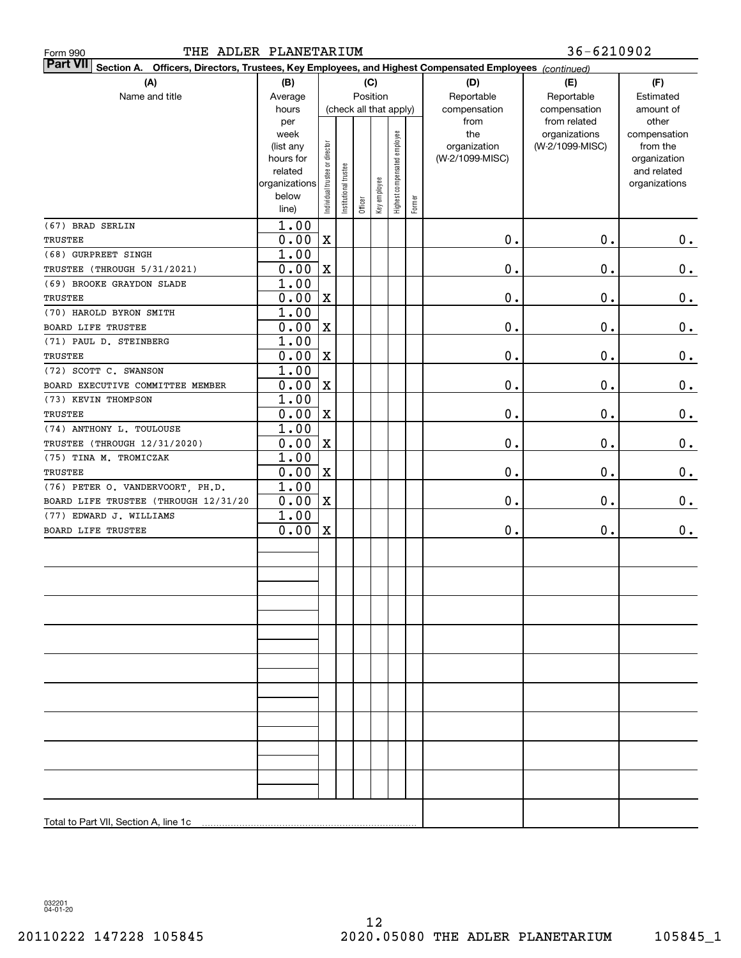| THE ADLER PLANETARIUM<br>Form 990                                                                                         |                   |                                |                       |         |              |                        |        |                 | $36 - 6210902$                |                       |
|---------------------------------------------------------------------------------------------------------------------------|-------------------|--------------------------------|-----------------------|---------|--------------|------------------------|--------|-----------------|-------------------------------|-----------------------|
| <b>Part VII</b><br>Section A. Officers, Directors, Trustees, Key Employees, and Highest Compensated Employees (continued) |                   |                                |                       |         |              |                        |        |                 |                               |                       |
| (A)                                                                                                                       | (D)               | (E)                            | (F)                   |         |              |                        |        |                 |                               |                       |
| Name and title                                                                                                            | Average           |                                |                       |         | Position     |                        |        | Reportable      | Reportable                    | Estimated             |
|                                                                                                                           | hours             |                                |                       |         |              | (check all that apply) |        | compensation    | compensation                  | amount of             |
|                                                                                                                           | per               |                                |                       |         |              |                        |        | from<br>the     | from related<br>organizations | other<br>compensation |
|                                                                                                                           | week<br>(list any |                                |                       |         |              | employee               |        | organization    | (W-2/1099-MISC)               | from the              |
|                                                                                                                           | hours for         |                                |                       |         |              |                        |        | (W-2/1099-MISC) |                               | organization          |
|                                                                                                                           | related           |                                |                       |         |              |                        |        |                 |                               | and related           |
|                                                                                                                           | organizations     |                                |                       |         |              |                        |        |                 |                               | organizations         |
|                                                                                                                           | below<br>line)    | Individual trustee or director | Institutional trustee | Officer | Key employee | Highest compensated    | Former |                 |                               |                       |
| (67) BRAD SERLIN                                                                                                          | 1.00              |                                |                       |         |              |                        |        |                 |                               |                       |
| TRUSTEE                                                                                                                   | 0.00              | $\mathbf X$                    |                       |         |              |                        |        | $0$ .           | $\mathbf 0$ .                 | 0.                    |
| (68) GURPREET SINGH                                                                                                       | 1.00              |                                |                       |         |              |                        |        |                 |                               |                       |
| TRUSTEE (THROUGH 5/31/2021)                                                                                               | 0.00              | $\mathbf X$                    |                       |         |              |                        |        | $0$ .           | $\mathbf 0$ .                 | $\mathbf 0$ .         |
| (69) BROOKE GRAYDON SLADE                                                                                                 | 1.00              |                                |                       |         |              |                        |        |                 |                               |                       |
| TRUSTEE                                                                                                                   | 0.00              | $\mathbf X$                    |                       |         |              |                        |        | $0$ .           | $\mathbf 0$ .                 | $\mathbf 0$ .         |
| (70) HAROLD BYRON SMITH                                                                                                   | 1.00              |                                |                       |         |              |                        |        |                 |                               |                       |
| BOARD LIFE TRUSTEE                                                                                                        | 0.00              | $\mathbf X$                    |                       |         |              |                        |        | $0$ .           | $\mathbf 0$ .                 | $\mathbf 0$ .         |
| (71) PAUL D. STEINBERG                                                                                                    | 1.00              |                                |                       |         |              |                        |        |                 |                               |                       |
| TRUSTEE                                                                                                                   | 0.00              | $\mathbf X$                    |                       |         |              |                        |        | $0$ .           | $\mathbf 0$ .                 | $\mathbf 0$ .         |
| (72) SCOTT C. SWANSON                                                                                                     | 1.00              |                                |                       |         |              |                        |        |                 |                               |                       |
| BOARD EXECUTIVE COMMITTEE MEMBER                                                                                          | 0.00              | $\mathbf X$                    |                       |         |              |                        |        | $0$ .           | $\mathbf 0$ .                 | $\mathbf 0$ .         |
| (73) KEVIN THOMPSON                                                                                                       | 1.00              |                                |                       |         |              |                        |        |                 |                               |                       |
| TRUSTEE                                                                                                                   | 0.00              | $\mathbf X$                    |                       |         |              |                        |        | $0$ .           | $\mathbf 0$ .                 | $\mathbf 0$ .         |
| (74) ANTHONY L. TOULOUSE                                                                                                  | 1.00              |                                |                       |         |              |                        |        |                 |                               |                       |
| TRUSTEE (THROUGH 12/31/2020)                                                                                              | 0.00              | $\mathbf X$                    |                       |         |              |                        |        | $0$ .           | $\mathbf 0$ .                 | $\mathbf 0$ .         |
| (75) TINA M. TROMICZAK                                                                                                    | 1.00              |                                |                       |         |              |                        |        |                 |                               |                       |
| TRUSTEE                                                                                                                   | 0.00              | $\mathbf X$                    |                       |         |              |                        |        | 0.              | $\mathbf 0$ .                 | $\mathbf 0$ .         |
| (76) PETER O. VANDERVOORT, PH.D.                                                                                          | 1.00              |                                |                       |         |              |                        |        |                 |                               |                       |
| BOARD LIFE TRUSTEE (THROUGH 12/31/20                                                                                      | 0.00              | $\mathbf X$                    |                       |         |              |                        |        | 0.              | $\mathbf 0$ .                 | 0.                    |
| (77) EDWARD J. WILLIAMS<br>BOARD LIFE TRUSTEE                                                                             | 1.00<br>0.00      | $\mathbf X$                    |                       |         |              |                        |        | 0.              | $\mathbf 0$ .                 | 0.                    |
|                                                                                                                           |                   |                                |                       |         |              |                        |        |                 |                               |                       |
|                                                                                                                           |                   |                                |                       |         |              |                        |        |                 |                               |                       |
|                                                                                                                           |                   |                                |                       |         |              |                        |        |                 |                               |                       |
|                                                                                                                           |                   |                                |                       |         |              |                        |        |                 |                               |                       |
|                                                                                                                           |                   |                                |                       |         |              |                        |        |                 |                               |                       |
|                                                                                                                           |                   |                                |                       |         |              |                        |        |                 |                               |                       |
|                                                                                                                           |                   |                                |                       |         |              |                        |        |                 |                               |                       |
|                                                                                                                           |                   |                                |                       |         |              |                        |        |                 |                               |                       |
|                                                                                                                           |                   |                                |                       |         |              |                        |        |                 |                               |                       |
|                                                                                                                           |                   |                                |                       |         |              |                        |        |                 |                               |                       |
|                                                                                                                           |                   |                                |                       |         |              |                        |        |                 |                               |                       |
|                                                                                                                           |                   |                                |                       |         |              |                        |        |                 |                               |                       |
|                                                                                                                           |                   |                                |                       |         |              |                        |        |                 |                               |                       |
|                                                                                                                           |                   |                                |                       |         |              |                        |        |                 |                               |                       |
|                                                                                                                           |                   |                                |                       |         |              |                        |        |                 |                               |                       |
|                                                                                                                           |                   |                                |                       |         |              |                        |        |                 |                               |                       |
|                                                                                                                           |                   |                                |                       |         |              |                        |        |                 |                               |                       |
|                                                                                                                           |                   |                                |                       |         |              |                        |        |                 |                               |                       |
|                                                                                                                           |                   |                                |                       |         |              |                        |        |                 |                               |                       |
| Total to Part VII, Section A, line 1c                                                                                     |                   |                                |                       |         |              |                        |        |                 |                               |                       |

032201 04-01-20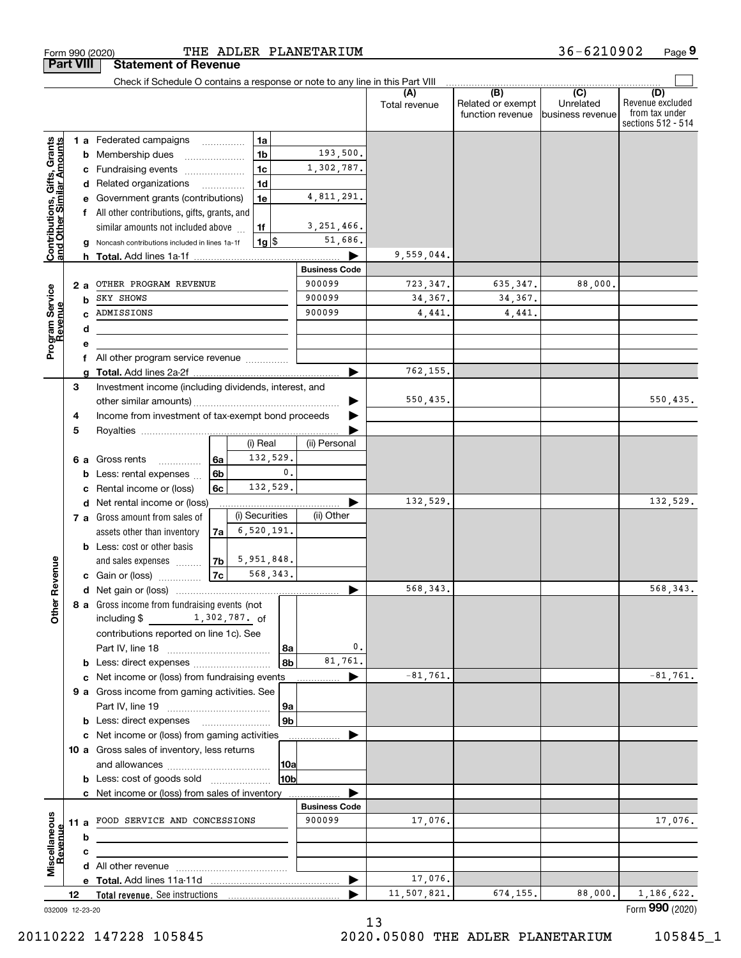| <b>Part VIII</b>                                          |    |      | <b>Statement of Revenue</b>                                                     |                    |                |                    |                      |                      |                                              |                                                 |                                                                 |
|-----------------------------------------------------------|----|------|---------------------------------------------------------------------------------|--------------------|----------------|--------------------|----------------------|----------------------|----------------------------------------------|-------------------------------------------------|-----------------------------------------------------------------|
|                                                           |    |      | Check if Schedule O contains a response or note to any line in this Part VIII   |                    |                |                    |                      |                      |                                              |                                                 |                                                                 |
|                                                           |    |      |                                                                                 |                    |                |                    |                      | (A)<br>Total revenue | (B)<br>Related or exempt<br>function revenue | $\overline{C}$<br>Unrelated<br>business revenue | (D)<br>Revenue excluded<br>from tax under<br>sections 512 - 514 |
|                                                           |    |      | <b>1 a</b> Federated campaigns                                                  |                    | 1a             |                    |                      |                      |                                              |                                                 |                                                                 |
|                                                           |    | b    | Membership dues                                                                 |                    |                | 1 <sub>b</sub>     | 193,500.             |                      |                                              |                                                 |                                                                 |
|                                                           |    | c    | Fundraising events                                                              |                    | 1 <sub>c</sub> |                    | 1,302,787.           |                      |                                              |                                                 |                                                                 |
| Contributions, Gifts, Grants<br>and Other Similar Amounts |    |      | d Related organizations                                                         | .                  |                | 1 <sub>d</sub>     |                      |                      |                                              |                                                 |                                                                 |
|                                                           |    |      | Government grants (contributions)                                               |                    | 1e             |                    | 4,811,291.           |                      |                                              |                                                 |                                                                 |
|                                                           |    |      | All other contributions, gifts, grants, and                                     |                    |                |                    |                      |                      |                                              |                                                 |                                                                 |
|                                                           |    |      | similar amounts not included above                                              |                    | 1f             |                    | 3, 251, 466.         |                      |                                              |                                                 |                                                                 |
|                                                           |    |      | Noncash contributions included in lines 1a-1f                                   |                    |                | $1g$ $\frac{1}{3}$ | 51,686.              |                      |                                              |                                                 |                                                                 |
|                                                           |    | h.   |                                                                                 |                    |                |                    |                      | 9,559,044.           |                                              |                                                 |                                                                 |
|                                                           |    |      |                                                                                 |                    |                |                    | <b>Business Code</b> |                      |                                              |                                                 |                                                                 |
|                                                           |    | 2a   | OTHER PROGRAM REVENUE                                                           |                    |                |                    | 900099<br>900099     | 723,347.             | 635, 347.                                    | 88,000.                                         |                                                                 |
|                                                           |    | b    | SKY SHOWS<br>ADMISSIONS                                                         |                    |                |                    | 900099               | 34,367.              | 34,367.                                      |                                                 |                                                                 |
|                                                           |    |      |                                                                                 |                    |                |                    |                      | 4,441.               | 4,441.                                       |                                                 |                                                                 |
| Program Service<br>Revenue                                |    | d    |                                                                                 |                    |                |                    |                      |                      |                                              |                                                 |                                                                 |
|                                                           |    | f    | All other program service revenue                                               |                    |                |                    |                      |                      |                                              |                                                 |                                                                 |
|                                                           |    |      |                                                                                 |                    |                |                    |                      | 762,155.             |                                              |                                                 |                                                                 |
|                                                           | 3  |      | Investment income (including dividends, interest, and                           |                    |                |                    |                      |                      |                                              |                                                 |                                                                 |
|                                                           |    |      |                                                                                 |                    |                |                    |                      | 550,435.             |                                              |                                                 | 550,435.                                                        |
|                                                           | 4  |      | Income from investment of tax-exempt bond proceeds                              |                    |                |                    |                      |                      |                                              |                                                 |                                                                 |
|                                                           | 5  |      |                                                                                 |                    |                |                    |                      |                      |                                              |                                                 |                                                                 |
|                                                           |    |      |                                                                                 |                    |                | (i) Real           | (ii) Personal        |                      |                                              |                                                 |                                                                 |
|                                                           |    | 6а   | Gross rents<br>.                                                                | 6a                 |                | 132,529.           |                      |                      |                                              |                                                 |                                                                 |
|                                                           |    | b    | Less: rental expenses                                                           | 6 <sub>b</sub>     |                | $\mathbf{0}$ .     |                      |                      |                                              |                                                 |                                                                 |
|                                                           |    | с    | Rental income or (loss)                                                         | 6c                 |                | 132,529.           |                      |                      |                                              |                                                 |                                                                 |
|                                                           |    |      | d Net rental income or (loss)                                                   |                    |                |                    |                      | 132,529.             |                                              |                                                 | 132,529.                                                        |
|                                                           |    |      | 7 a Gross amount from sales of                                                  |                    | (i) Securities |                    | (ii) Other           |                      |                                              |                                                 |                                                                 |
|                                                           |    |      | assets other than inventory                                                     | 7a                 |                | 6,520,191.         |                      |                      |                                              |                                                 |                                                                 |
|                                                           |    |      | <b>b</b> Less: cost or other basis                                              |                    |                |                    |                      |                      |                                              |                                                 |                                                                 |
| Revenue                                                   |    |      | and sales expenses                                                              | 7b                 |                | 5,951,848.         |                      |                      |                                              |                                                 |                                                                 |
|                                                           |    |      | c Gain or (loss)                                                                | $\vert$ 7c $\vert$ |                | 568, 343.          |                      |                      |                                              |                                                 |                                                                 |
|                                                           |    |      |                                                                                 |                    |                |                    |                      | 568,343.             |                                              |                                                 | 568, 343.                                                       |
| Othe                                                      |    |      | 8 a Gross income from fundraising events (not<br>1,302,787. of<br>including $$$ |                    |                |                    |                      |                      |                                              |                                                 |                                                                 |
|                                                           |    |      | contributions reported on line 1c). See                                         |                    |                |                    |                      |                      |                                              |                                                 |                                                                 |
|                                                           |    |      |                                                                                 |                    |                | 8a                 | $\mathbf 0$ .        |                      |                                              |                                                 |                                                                 |
|                                                           |    |      | <b>b</b> Less: direct expenses                                                  |                    |                | 8b                 | 81,761.              |                      |                                              |                                                 |                                                                 |
|                                                           |    |      | c Net income or (loss) from fundraising events                                  |                    |                |                    |                      | $-81,761.$           |                                              |                                                 | $-81,761.$                                                      |
|                                                           |    |      | 9 a Gross income from gaming activities. See                                    |                    |                |                    |                      |                      |                                              |                                                 |                                                                 |
|                                                           |    |      |                                                                                 |                    |                | 9a                 |                      |                      |                                              |                                                 |                                                                 |
|                                                           |    |      | <b>b</b> Less: direct expenses <b>manually</b>                                  |                    |                | 9 <sub>b</sub>     |                      |                      |                                              |                                                 |                                                                 |
|                                                           |    |      | c Net income or (loss) from gaming activities                                   |                    |                |                    |                      |                      |                                              |                                                 |                                                                 |
|                                                           |    |      | 10 a Gross sales of inventory, less returns                                     |                    |                |                    |                      |                      |                                              |                                                 |                                                                 |
|                                                           |    |      |                                                                                 |                    |                | 10a                |                      |                      |                                              |                                                 |                                                                 |
|                                                           |    |      | <b>b</b> Less: cost of goods sold                                               |                    |                | 10b                |                      |                      |                                              |                                                 |                                                                 |
|                                                           |    |      | c Net income or (loss) from sales of inventory                                  |                    |                |                    |                      |                      |                                              |                                                 |                                                                 |
|                                                           |    |      |                                                                                 |                    |                |                    | <b>Business Code</b> |                      |                                              |                                                 |                                                                 |
|                                                           |    | 11 a | FOOD SERVICE AND CONCESSIONS                                                    |                    |                |                    | 900099               | 17,076.              |                                              |                                                 | 17,076.                                                         |
| Revenue                                                   |    | b    |                                                                                 |                    |                |                    |                      |                      |                                              |                                                 |                                                                 |
|                                                           |    | с    |                                                                                 |                    |                |                    |                      |                      |                                              |                                                 |                                                                 |
| Miscellaneous                                             |    |      |                                                                                 |                    |                |                    |                      |                      |                                              |                                                 |                                                                 |
|                                                           |    |      |                                                                                 |                    |                |                    |                      | 17,076.              |                                              |                                                 |                                                                 |
|                                                           | 12 |      |                                                                                 |                    |                |                    |                      | 11,507,821.          | 674,155.                                     | 88,000.                                         | 1,186,622.                                                      |
| 032009 12-23-20                                           |    |      |                                                                                 |                    |                |                    |                      |                      |                                              |                                                 | Form 990 (2020)                                                 |

THE ADLER PLANETARIUM

032009 12-23-20

13

20110222 147228 105845 2020.05080 THE ADLER PLANETARIUM 105845\_1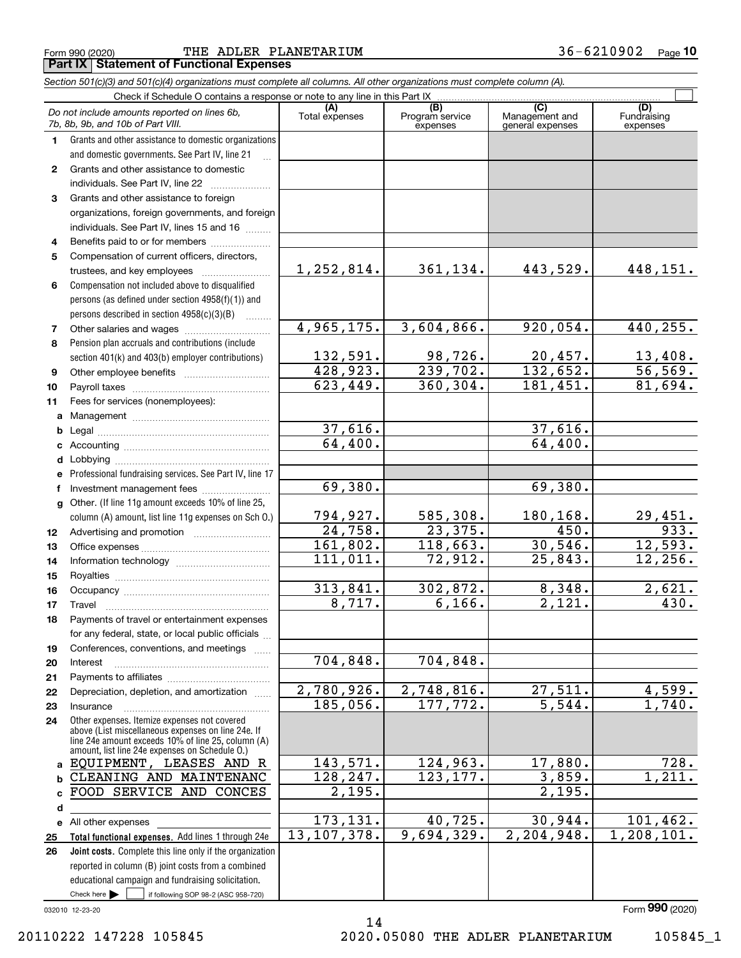Form 990 (2020) Page THE ADLER PLANETARIUM 36-6210902 **Part IX Statement of Functional Expenses**

|              | Section 501(c)(3) and 501(c)(4) organizations must complete all columns. All other organizations must complete column (A).                                                                                                                                          |                       |                                    |                                           |                                |
|--------------|---------------------------------------------------------------------------------------------------------------------------------------------------------------------------------------------------------------------------------------------------------------------|-----------------------|------------------------------------|-------------------------------------------|--------------------------------|
|              | Check if Schedule O contains a response or note to any line in this Part IX                                                                                                                                                                                         |                       |                                    |                                           |                                |
|              | Do not include amounts reported on lines 6b,<br>7b, 8b, 9b, and 10b of Part VIII.                                                                                                                                                                                   | (A)<br>Total expenses | (B)<br>Program service<br>expenses | (C)<br>Management and<br>general expenses | (D)<br>Fundraising<br>expenses |
| 1.           | Grants and other assistance to domestic organizations                                                                                                                                                                                                               |                       |                                    |                                           |                                |
|              | and domestic governments. See Part IV, line 21                                                                                                                                                                                                                      |                       |                                    |                                           |                                |
| $\mathbf{2}$ | Grants and other assistance to domestic                                                                                                                                                                                                                             |                       |                                    |                                           |                                |
|              | individuals. See Part IV, line 22<br>and a complete the complete state of the state of the state of the state of the state of the state of the state of the state of the state of the state of the state of the state of the state of the state of the state of the |                       |                                    |                                           |                                |
| 3            | Grants and other assistance to foreign                                                                                                                                                                                                                              |                       |                                    |                                           |                                |
|              | organizations, foreign governments, and foreign                                                                                                                                                                                                                     |                       |                                    |                                           |                                |
|              | individuals. See Part IV, lines 15 and 16                                                                                                                                                                                                                           |                       |                                    |                                           |                                |
| 4            | Benefits paid to or for members                                                                                                                                                                                                                                     |                       |                                    |                                           |                                |
| 5            | Compensation of current officers, directors,                                                                                                                                                                                                                        |                       |                                    |                                           |                                |
|              |                                                                                                                                                                                                                                                                     | 1,252,814.            | 361, 134.                          | 443,529.                                  | 448, 151.                      |
| 6            | Compensation not included above to disqualified                                                                                                                                                                                                                     |                       |                                    |                                           |                                |
|              | persons (as defined under section 4958(f)(1)) and                                                                                                                                                                                                                   |                       |                                    |                                           |                                |
|              | persons described in section 4958(c)(3)(B)                                                                                                                                                                                                                          |                       |                                    |                                           |                                |
| 7            |                                                                                                                                                                                                                                                                     | 4,965,175.            | 3,604,866.                         | 920,054.                                  | 440, 255.                      |
| 8            | Pension plan accruals and contributions (include                                                                                                                                                                                                                    |                       |                                    |                                           |                                |
|              | section 401(k) and 403(b) employer contributions)                                                                                                                                                                                                                   | 132,591.              | 98,726.                            | 20,457.                                   | $\frac{13,408}{56,569}$        |
| 9            |                                                                                                                                                                                                                                                                     | 428,923.              | $\overline{239,702.}$              | 132,652.                                  |                                |
| 10           |                                                                                                                                                                                                                                                                     | 623,449.              | 360, 304.                          | 181,451.                                  | 81,694.                        |
| 11           | Fees for services (nonemployees):                                                                                                                                                                                                                                   |                       |                                    |                                           |                                |
| a            |                                                                                                                                                                                                                                                                     |                       |                                    |                                           |                                |
| b            |                                                                                                                                                                                                                                                                     | 37,616.               |                                    | 37,616.<br>64,400.                        |                                |
|              |                                                                                                                                                                                                                                                                     | 64,400.               |                                    |                                           |                                |
| d            | Lobbying                                                                                                                                                                                                                                                            |                       |                                    |                                           |                                |
|              | Professional fundraising services. See Part IV, line 17                                                                                                                                                                                                             | 69,380.               |                                    | 69,380.                                   |                                |
|              | Investment management fees                                                                                                                                                                                                                                          |                       |                                    |                                           |                                |
| g            | Other. (If line 11g amount exceeds 10% of line 25,                                                                                                                                                                                                                  | 794,927.              | 585,308.                           | 180,168.                                  | 29,451.                        |
|              | column (A) amount, list line 11g expenses on Sch O.)                                                                                                                                                                                                                | 24,758.               | 23,375.                            | 450.                                      | 933.                           |
| 12<br>13     |                                                                                                                                                                                                                                                                     | 161,802.              | 118,663.                           | 30,546.                                   | 12,593.                        |
| 14           |                                                                                                                                                                                                                                                                     | 111,011.              | 72,912.                            | 25,843.                                   | 12,256.                        |
| 15           |                                                                                                                                                                                                                                                                     |                       |                                    |                                           |                                |
| 16           |                                                                                                                                                                                                                                                                     | 313,841.              | 302,872.                           | 8,348.                                    | 2,621.                         |
| 17           |                                                                                                                                                                                                                                                                     | 8,717.                | 6,166.                             | 2,121.                                    | 430.                           |
| 18           | Payments of travel or entertainment expenses                                                                                                                                                                                                                        |                       |                                    |                                           |                                |
|              | for any federal, state, or local public officials                                                                                                                                                                                                                   |                       |                                    |                                           |                                |
| 19           | Conferences, conventions, and meetings                                                                                                                                                                                                                              |                       |                                    |                                           |                                |
| 20           | Interest                                                                                                                                                                                                                                                            | 704,848.              | 704,848.                           |                                           |                                |
| 21           |                                                                                                                                                                                                                                                                     |                       |                                    |                                           |                                |
| 22           | Depreciation, depletion, and amortization                                                                                                                                                                                                                           | 2,780,926.            | 2,748,816.                         | 27,511.                                   | 4,599.                         |
| 23           | Insurance                                                                                                                                                                                                                                                           | 185,056.              | 177, 772.                          | 5,544.                                    | 1,740.                         |
| 24           | Other expenses. Itemize expenses not covered<br>above (List miscellaneous expenses on line 24e. If<br>line 24e amount exceeds 10% of line 25, column (A)<br>amount, list line 24e expenses on Schedule O.)                                                          |                       |                                    |                                           |                                |
| a            | EQUIPMENT, LEASES AND R                                                                                                                                                                                                                                             | 143,571.              | 124,963.                           | 17,880.                                   | 728.                           |
| b            | CLEANING AND MAINTENANC                                                                                                                                                                                                                                             | 128, 247.             | 123, 177.                          | 3,859.                                    | 1,211.                         |
|              | FOOD SERVICE AND CONCES                                                                                                                                                                                                                                             | $\overline{2,195}$ .  |                                    | 2,195.                                    |                                |
| d            |                                                                                                                                                                                                                                                                     |                       |                                    |                                           |                                |
|              | e All other expenses                                                                                                                                                                                                                                                | 173, 131.             | 40,725.                            | 30,944.                                   | 101, 462.                      |
| 25           | Total functional expenses. Add lines 1 through 24e                                                                                                                                                                                                                  | 13, 107, 378.         | 9,694,329.                         | 2, 204, 948.                              | 1,208,101.                     |
| 26           | Joint costs. Complete this line only if the organization                                                                                                                                                                                                            |                       |                                    |                                           |                                |
|              | reported in column (B) joint costs from a combined                                                                                                                                                                                                                  |                       |                                    |                                           |                                |
|              | educational campaign and fundraising solicitation.                                                                                                                                                                                                                  |                       |                                    |                                           |                                |
|              | Check here $\blacktriangleright$<br>if following SOP 98-2 (ASC 958-720)                                                                                                                                                                                             |                       |                                    |                                           |                                |

14

032010 12-23-20

20110222 147228 105845 2020.05080 THE ADLER PLANETARIUM 105845\_1

Form (2020) **990**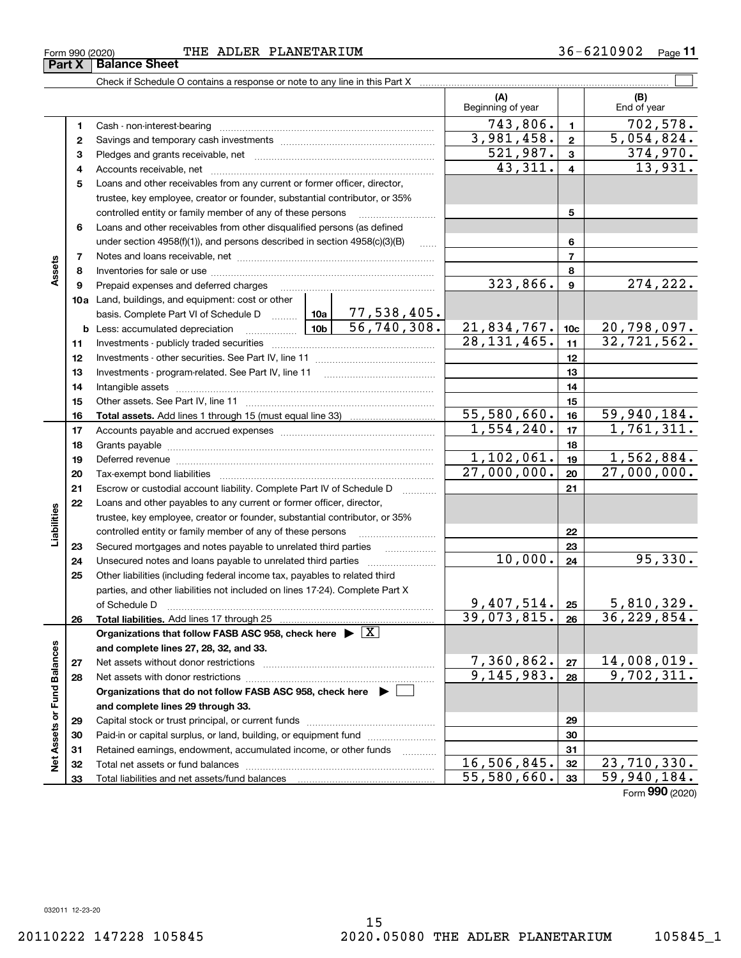Check if Schedule O contains a response or note to any line in this Part X [CONDECT ACCERTATION CONDECTATION CON

**11**

 $\mathcal{L}^{\text{max}}$ 

| Form 990 (2020) |                      | THE | ADLER | PLANETARIUM | 0902<br>$\sigma$ $\sim$ | Page |
|-----------------|----------------------|-----|-------|-------------|-------------------------|------|
| Part X          | <b>Balance Sheet</b> |     |       |             |                         |      |

|                             |              |                                                                                           |  |                   | (A)<br>Beginning of year  |                 | (B)<br>End of year        |
|-----------------------------|--------------|-------------------------------------------------------------------------------------------|--|-------------------|---------------------------|-----------------|---------------------------|
|                             | 1            |                                                                                           |  |                   | 743,806.                  | $\mathbf{1}$    | 702,578.                  |
|                             | $\mathbf{2}$ |                                                                                           |  |                   | 3,981,458.                | $\mathbf{2}$    | 5,054,824.                |
|                             | 3            |                                                                                           |  |                   | $\overline{521,987}$ .    | 3               | 374,970.                  |
|                             | 4            |                                                                                           |  |                   | 43,311.                   | 4               | 13,931.                   |
|                             | 5            | Loans and other receivables from any current or former officer, director,                 |  |                   |                           |                 |                           |
|                             |              | trustee, key employee, creator or founder, substantial contributor, or 35%                |  |                   |                           |                 |                           |
|                             |              | controlled entity or family member of any of these persons                                |  |                   |                           | 5               |                           |
|                             | 6            | Loans and other receivables from other disqualified persons (as defined                   |  |                   |                           |                 |                           |
|                             |              | under section 4958(f)(1)), and persons described in section 4958(c)(3)(B)                 |  |                   |                           | 6               |                           |
|                             | 7            |                                                                                           |  | $\ldots$          |                           | 7               |                           |
| Assets                      | 8            |                                                                                           |  |                   |                           | 8               |                           |
|                             | 9            | Prepaid expenses and deferred charges                                                     |  |                   | 323,866.                  | 9               | 274,222.                  |
|                             |              | 10a Land, buildings, and equipment: cost or other                                         |  |                   |                           |                 |                           |
|                             |              | basis. Complete Part VI of Schedule D  10a   77, 538, 405.                                |  |                   |                           |                 |                           |
|                             |              |                                                                                           |  | 56,740,308.       | $21,834,767$ .            |                 | 20,798,097.               |
|                             |              | $\frac{10b}{2}$<br><b>b</b> Less: accumulated depreciation                                |  |                   | 28, 131, 465.             | 10 <sub>c</sub> | 32, 721, 562.             |
|                             | 11           |                                                                                           |  |                   |                           | 11              |                           |
|                             | 12           |                                                                                           |  |                   |                           | 12              |                           |
|                             | 13           | Investments - program-related. See Part IV, line 11                                       |  |                   |                           | 13              |                           |
|                             | 14           |                                                                                           |  |                   |                           | 14              |                           |
|                             | 15           |                                                                                           |  |                   | 55,580,660.               | 15              |                           |
|                             | 16           |                                                                                           |  |                   | 1,554,240.                | 16              | 59,940,184.<br>1,761,311. |
|                             | 17           |                                                                                           |  |                   |                           | 17              |                           |
|                             | 18           |                                                                                           |  |                   | 1, 102, 061.              | 18              | 1,562,884.                |
|                             | 19           |                                                                                           |  |                   | 27,000,000.               | 19              | 27,000,000.               |
|                             | 20           |                                                                                           |  | 20                |                           |                 |                           |
|                             | 21           | Escrow or custodial account liability. Complete Part IV of Schedule D                     |  |                   | 21                        |                 |                           |
|                             | 22           | Loans and other payables to any current or former officer, director,                      |  |                   |                           |                 |                           |
| Liabilities                 |              | trustee, key employee, creator or founder, substantial contributor, or 35%                |  |                   |                           |                 |                           |
|                             |              | controlled entity or family member of any of these persons                                |  |                   |                           | 22              |                           |
|                             | 23           | Secured mortgages and notes payable to unrelated third parties                            |  |                   | 10,000.                   | 23              | 95,330.                   |
|                             | 24           |                                                                                           |  |                   |                           | 24              |                           |
|                             | 25           | Other liabilities (including federal income tax, payables to related third                |  |                   |                           |                 |                           |
|                             |              | parties, and other liabilities not included on lines 17-24). Complete Part X              |  |                   |                           |                 | 5,810,329.                |
|                             |              | of Schedule D                                                                             |  |                   | 9,407,514.<br>39,073,815. | 25              | 36, 229, 854.             |
|                             | 26           |                                                                                           |  |                   |                           | 26              |                           |
|                             |              | Organizations that follow FASB ASC 958, check here $\blacktriangleright \boxed{\text{X}}$ |  |                   |                           |                 |                           |
|                             |              | and complete lines 27, 28, 32, and 33.                                                    |  |                   | $7,360,862$ .             |                 | 14,008,019.               |
|                             | 27           | Net assets without donor restrictions                                                     |  |                   | 9,145,983.                | 27              | $\overline{9,702,311.}$   |
|                             | 28           |                                                                                           |  |                   |                           | 28              |                           |
|                             |              | Organizations that do not follow FASB ASC 958, check here $\blacktriangleright$ [         |  |                   |                           |                 |                           |
|                             |              | and complete lines 29 through 33.                                                         |  |                   |                           |                 |                           |
|                             | 29           |                                                                                           |  |                   |                           | 29              |                           |
|                             | 30           | Paid-in or capital surplus, or land, building, or equipment fund                          |  |                   |                           | 30              |                           |
| Net Assets or Fund Balances | 31           | Retained earnings, endowment, accumulated income, or other funds                          |  | 1.1.1.1.1.1.1.1.1 | 16,506,845.               | 31              | 23,710,330.               |
|                             | 32           | Total net assets or fund balances                                                         |  |                   | 55,580,660.               | 32<br>33        | 59,940,184.               |
|                             | 33           |                                                                                           |  |                   |                           |                 | Form 990 (2020)           |

15

 $\overline{\phantom{0}}$ 

**Part X Balance Sheet**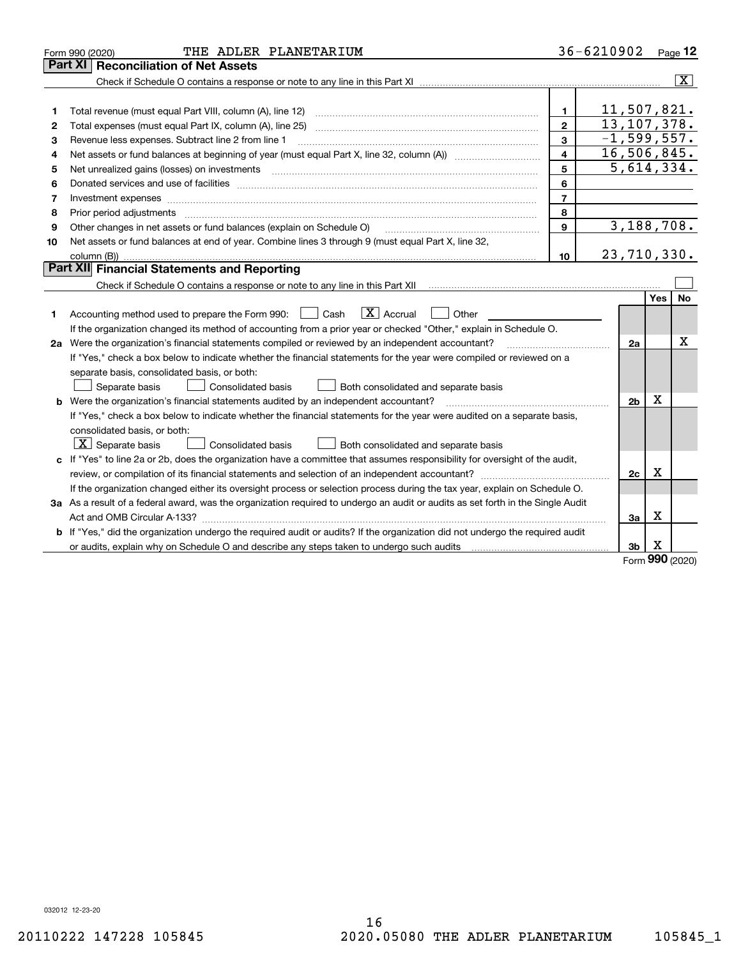|    | THE ADLER PLANETARIUM<br>Form 990 (2020)                                                                                        |                         | 36-6210902    |                |     | Page $12$               |
|----|---------------------------------------------------------------------------------------------------------------------------------|-------------------------|---------------|----------------|-----|-------------------------|
|    | <b>Part XI   Reconciliation of Net Assets</b>                                                                                   |                         |               |                |     |                         |
|    |                                                                                                                                 |                         |               |                |     | $\overline{\mathbf{x}}$ |
|    |                                                                                                                                 |                         |               |                |     |                         |
| 1  | Total revenue (must equal Part VIII, column (A), line 12)                                                                       | $\mathbf{1}$            | 11,507,821.   |                |     |                         |
| 2  |                                                                                                                                 | $\mathbf{2}$            | 13, 107, 378. |                |     |                         |
| з  | Revenue less expenses. Subtract line 2 from line 1                                                                              | 3                       | $-1,599,557.$ |                |     |                         |
| 4  |                                                                                                                                 | $\overline{\mathbf{A}}$ | 16,506,845.   |                |     |                         |
| 5  |                                                                                                                                 | 5                       |               |                |     | 5,614,334.              |
| 6  |                                                                                                                                 | 6                       |               |                |     |                         |
| 7  | Investment expenses www.communication.com/www.communication.com/www.communication.com/www.com                                   | $\overline{7}$          |               |                |     |                         |
| 8  | Prior period adjustments                                                                                                        | 8                       |               |                |     |                         |
| 9  | Other changes in net assets or fund balances (explain on Schedule O)                                                            | $\mathbf{9}$            |               |                |     | 3,188,708.              |
| 10 | Net assets or fund balances at end of year. Combine lines 3 through 9 (must equal Part X, line 32,                              |                         |               |                |     |                         |
|    | column (B))                                                                                                                     | 10                      | 23,710,330.   |                |     |                         |
|    | Part XII Financial Statements and Reporting                                                                                     |                         |               |                |     |                         |
|    |                                                                                                                                 |                         |               |                |     |                         |
|    |                                                                                                                                 |                         |               |                | Yes | No                      |
| 1  | $ X $ Accrual<br>Accounting method used to prepare the Form 990: <u>I</u> Cash<br>Other                                         |                         |               |                |     |                         |
|    | If the organization changed its method of accounting from a prior year or checked "Other," explain in Schedule O.               |                         |               |                |     |                         |
|    | 2a Were the organization's financial statements compiled or reviewed by an independent accountant?                              |                         |               | 2a             |     | х                       |
|    | If "Yes," check a box below to indicate whether the financial statements for the year were compiled or reviewed on a            |                         |               |                |     |                         |
|    | separate basis, consolidated basis, or both:                                                                                    |                         |               |                |     |                         |
|    | Separate basis<br><b>Consolidated basis</b><br>Both consolidated and separate basis                                             |                         |               |                |     |                         |
|    | <b>b</b> Were the organization's financial statements audited by an independent accountant?                                     |                         |               | 2 <sub>b</sub> | х   |                         |
|    | If "Yes," check a box below to indicate whether the financial statements for the year were audited on a separate basis,         |                         |               |                |     |                         |
|    | consolidated basis, or both:                                                                                                    |                         |               |                |     |                         |
|    | $X$ Separate basis<br>Consolidated basis<br>Both consolidated and separate basis                                                |                         |               |                |     |                         |
|    | c If "Yes" to line 2a or 2b, does the organization have a committee that assumes responsibility for oversight of the audit,     |                         |               |                |     |                         |
|    | review, or compilation of its financial statements and selection of an independent accountant?                                  |                         |               | 2c             | x   |                         |
|    | If the organization changed either its oversight process or selection process during the tax year, explain on Schedule O.       |                         |               |                |     |                         |
|    | 3a As a result of a federal award, was the organization required to undergo an audit or audits as set forth in the Single Audit |                         |               |                |     |                         |
|    |                                                                                                                                 |                         |               | 3a             | x   |                         |
|    | b If "Yes," did the organization undergo the required audit or audits? If the organization did not undergo the required audit   |                         |               |                |     |                         |
|    | or audits, explain why on Schedule O and describe any steps taken to undergo such audits                                        |                         |               | 3 <sub>b</sub> | х   |                         |

Form (2020) **990**

032012 12-23-20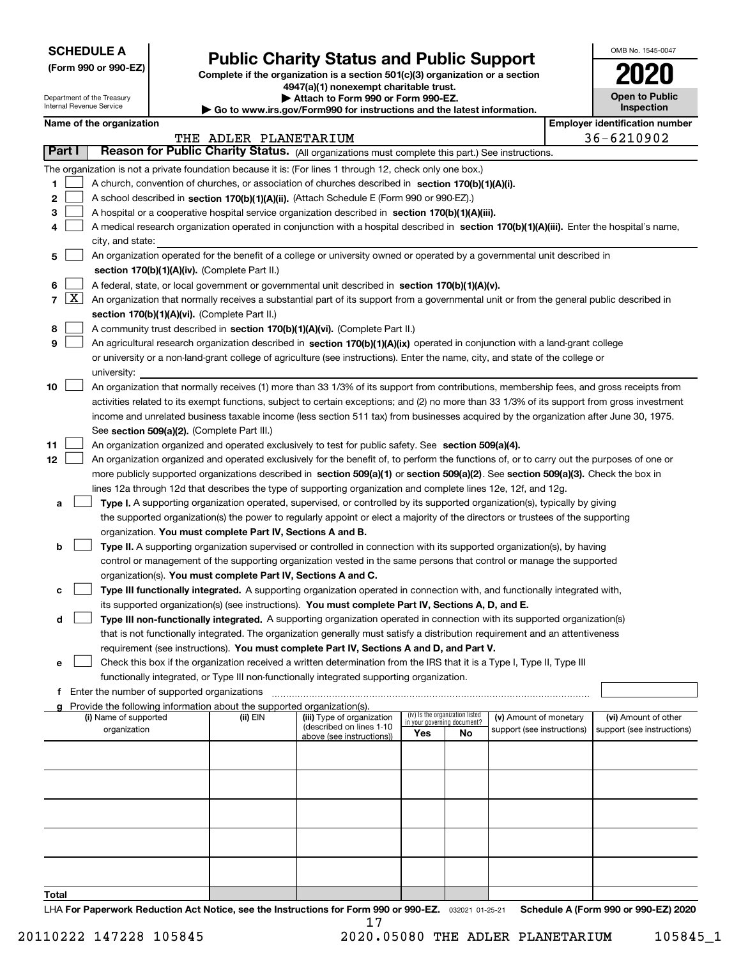| <b>SCHEDULE A</b> |
|-------------------|
|-------------------|

Department of the Treasury Internal Revenue Service

|  |  |  | (Form 990 or 990-EZ) |  |
|--|--|--|----------------------|--|
|--|--|--|----------------------|--|

# **Public Charity Status and Public Support**

**Complete if the organization is a section 501(c)(3) organization or a section 4947(a)(1) nonexempt charitable trust.**

**| Attach to Form 990 or Form 990-EZ.** 

**| Go to www.irs.gov/Form990 for instructions and the latest information.**

| OMB No. 1545-0047                   |
|-------------------------------------|
| 2020                                |
| <b>Open to Public</b><br>Inspection |

|  | Name of the organization |
|--|--------------------------|
|--|--------------------------|

|                | Name of the organization<br><b>Employer identification number</b> |                                                                                                                                              |                       |                                                        |                                                                |    |                            |                            |
|----------------|-------------------------------------------------------------------|----------------------------------------------------------------------------------------------------------------------------------------------|-----------------------|--------------------------------------------------------|----------------------------------------------------------------|----|----------------------------|----------------------------|
|                |                                                                   |                                                                                                                                              | THE ADLER PLANETARIUM |                                                        |                                                                |    |                            | 36-6210902                 |
| Part I         |                                                                   | Reason for Public Charity Status. (All organizations must complete this part.) See instructions.                                             |                       |                                                        |                                                                |    |                            |                            |
|                |                                                                   | The organization is not a private foundation because it is: (For lines 1 through 12, check only one box.)                                    |                       |                                                        |                                                                |    |                            |                            |
| 1              |                                                                   | A church, convention of churches, or association of churches described in section 170(b)(1)(A)(i).                                           |                       |                                                        |                                                                |    |                            |                            |
| 2              |                                                                   | A school described in section 170(b)(1)(A)(ii). (Attach Schedule E (Form 990 or 990-EZ).)                                                    |                       |                                                        |                                                                |    |                            |                            |
| з              |                                                                   | A hospital or a cooperative hospital service organization described in section 170(b)(1)(A)(iii).                                            |                       |                                                        |                                                                |    |                            |                            |
| 4              |                                                                   | A medical research organization operated in conjunction with a hospital described in section 170(b)(1)(A)(iii). Enter the hospital's name,   |                       |                                                        |                                                                |    |                            |                            |
|                |                                                                   | city, and state:                                                                                                                             |                       |                                                        |                                                                |    |                            |                            |
| 5              |                                                                   | An organization operated for the benefit of a college or university owned or operated by a governmental unit described in                    |                       |                                                        |                                                                |    |                            |                            |
|                |                                                                   | section 170(b)(1)(A)(iv). (Complete Part II.)                                                                                                |                       |                                                        |                                                                |    |                            |                            |
| 6              |                                                                   | A federal, state, or local government or governmental unit described in section 170(b)(1)(A)(v).                                             |                       |                                                        |                                                                |    |                            |                            |
| $\overline{7}$ | $\lfloor x \rfloor$                                               | An organization that normally receives a substantial part of its support from a governmental unit or from the general public described in    |                       |                                                        |                                                                |    |                            |                            |
|                |                                                                   | section 170(b)(1)(A)(vi). (Complete Part II.)                                                                                                |                       |                                                        |                                                                |    |                            |                            |
| 8              |                                                                   | A community trust described in section 170(b)(1)(A)(vi). (Complete Part II.)                                                                 |                       |                                                        |                                                                |    |                            |                            |
| 9              |                                                                   | An agricultural research organization described in section 170(b)(1)(A)(ix) operated in conjunction with a land-grant college                |                       |                                                        |                                                                |    |                            |                            |
|                |                                                                   | or university or a non-land-grant college of agriculture (see instructions). Enter the name, city, and state of the college or               |                       |                                                        |                                                                |    |                            |                            |
|                |                                                                   | university:                                                                                                                                  |                       |                                                        |                                                                |    |                            |                            |
| 10             |                                                                   | An organization that normally receives (1) more than 33 1/3% of its support from contributions, membership fees, and gross receipts from     |                       |                                                        |                                                                |    |                            |                            |
|                |                                                                   | activities related to its exempt functions, subject to certain exceptions; and (2) no more than 33 1/3% of its support from gross investment |                       |                                                        |                                                                |    |                            |                            |
|                |                                                                   | income and unrelated business taxable income (less section 511 tax) from businesses acquired by the organization after June 30, 1975.        |                       |                                                        |                                                                |    |                            |                            |
|                |                                                                   | See section 509(a)(2). (Complete Part III.)                                                                                                  |                       |                                                        |                                                                |    |                            |                            |
| 11             |                                                                   | An organization organized and operated exclusively to test for public safety. See section 509(a)(4).                                         |                       |                                                        |                                                                |    |                            |                            |
| 12             |                                                                   | An organization organized and operated exclusively for the benefit of, to perform the functions of, or to carry out the purposes of one or   |                       |                                                        |                                                                |    |                            |                            |
|                |                                                                   | more publicly supported organizations described in section 509(a)(1) or section 509(a)(2). See section 509(a)(3). Check the box in           |                       |                                                        |                                                                |    |                            |                            |
|                |                                                                   | lines 12a through 12d that describes the type of supporting organization and complete lines 12e, 12f, and 12g.                               |                       |                                                        |                                                                |    |                            |                            |
| а              |                                                                   | Type I. A supporting organization operated, supervised, or controlled by its supported organization(s), typically by giving                  |                       |                                                        |                                                                |    |                            |                            |
|                |                                                                   | the supported organization(s) the power to regularly appoint or elect a majority of the directors or trustees of the supporting              |                       |                                                        |                                                                |    |                            |                            |
|                |                                                                   | organization. You must complete Part IV, Sections A and B.                                                                                   |                       |                                                        |                                                                |    |                            |                            |
| b              |                                                                   | Type II. A supporting organization supervised or controlled in connection with its supported organization(s), by having                      |                       |                                                        |                                                                |    |                            |                            |
|                |                                                                   | control or management of the supporting organization vested in the same persons that control or manage the supported                         |                       |                                                        |                                                                |    |                            |                            |
|                |                                                                   | organization(s). You must complete Part IV, Sections A and C.                                                                                |                       |                                                        |                                                                |    |                            |                            |
| с              |                                                                   | Type III functionally integrated. A supporting organization operated in connection with, and functionally integrated with,                   |                       |                                                        |                                                                |    |                            |                            |
|                |                                                                   | its supported organization(s) (see instructions). You must complete Part IV, Sections A, D, and E.                                           |                       |                                                        |                                                                |    |                            |                            |
| d              |                                                                   | Type III non-functionally integrated. A supporting organization operated in connection with its supported organization(s)                    |                       |                                                        |                                                                |    |                            |                            |
|                |                                                                   | that is not functionally integrated. The organization generally must satisfy a distribution requirement and an attentiveness                 |                       |                                                        |                                                                |    |                            |                            |
|                |                                                                   | requirement (see instructions). You must complete Part IV, Sections A and D, and Part V.                                                     |                       |                                                        |                                                                |    |                            |                            |
| е              |                                                                   | Check this box if the organization received a written determination from the IRS that it is a Type I, Type II, Type III                      |                       |                                                        |                                                                |    |                            |                            |
|                |                                                                   | functionally integrated, or Type III non-functionally integrated supporting organization.                                                    |                       |                                                        |                                                                |    |                            |                            |
|                |                                                                   | Enter the number of supported organizations                                                                                                  |                       |                                                        |                                                                |    |                            |                            |
|                |                                                                   | g Provide the following information about the supported organization(s).                                                                     |                       |                                                        |                                                                |    |                            |                            |
|                |                                                                   | (i) Name of supported                                                                                                                        | (ii) EIN              | (iii) Type of organization<br>(described on lines 1-10 | (iv) Is the organization listed<br>in your governing document? |    | (v) Amount of monetary     | (vi) Amount of other       |
|                |                                                                   | organization                                                                                                                                 |                       | above (see instructions))                              | Yes                                                            | No | support (see instructions) | support (see instructions) |
|                |                                                                   |                                                                                                                                              |                       |                                                        |                                                                |    |                            |                            |
|                |                                                                   |                                                                                                                                              |                       |                                                        |                                                                |    |                            |                            |
|                |                                                                   |                                                                                                                                              |                       |                                                        |                                                                |    |                            |                            |
|                |                                                                   |                                                                                                                                              |                       |                                                        |                                                                |    |                            |                            |
|                |                                                                   |                                                                                                                                              |                       |                                                        |                                                                |    |                            |                            |
|                |                                                                   |                                                                                                                                              |                       |                                                        |                                                                |    |                            |                            |
|                |                                                                   |                                                                                                                                              |                       |                                                        |                                                                |    |                            |                            |
|                |                                                                   |                                                                                                                                              |                       |                                                        |                                                                |    |                            |                            |
|                |                                                                   |                                                                                                                                              |                       |                                                        |                                                                |    |                            |                            |
|                |                                                                   |                                                                                                                                              |                       |                                                        |                                                                |    |                            |                            |
| Total          |                                                                   |                                                                                                                                              |                       |                                                        |                                                                |    |                            |                            |

LHA For Paperwork Reduction Act Notice, see the Instructions for Form 990 or 990-EZ. <sub>032021</sub> o1-25-21 Schedule A (Form 990 or 990-EZ) 2020 17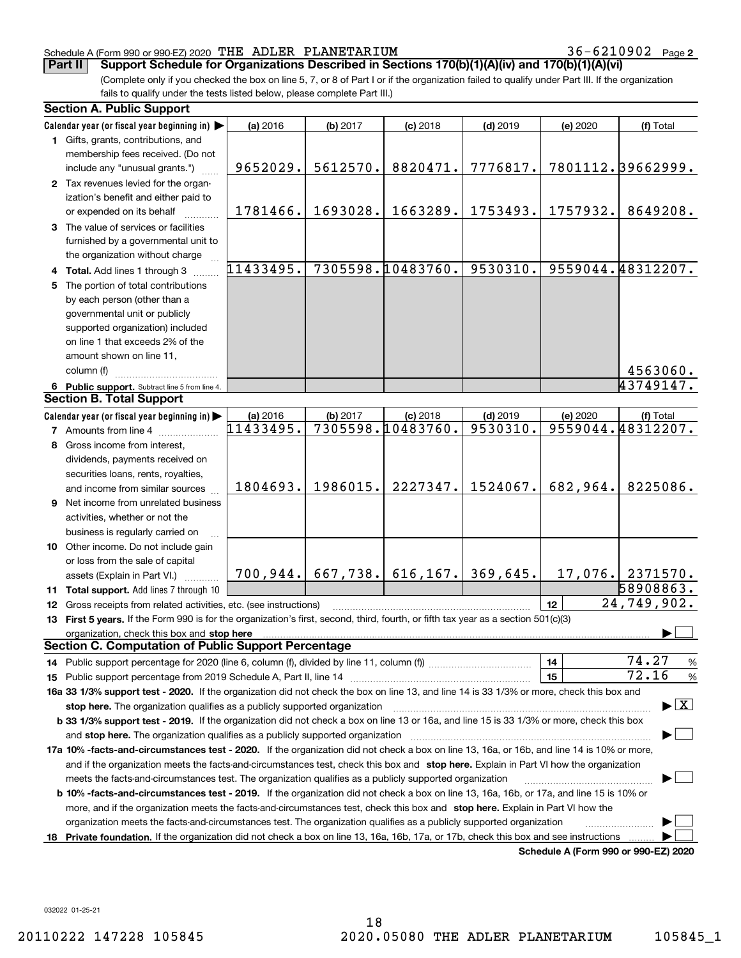36-6210902 Page 2

(Complete only if you checked the box on line 5, 7, or 8 of Part I or if the organization failed to qualify under Part III. If the organization fails to qualify under the tests listed below, please complete Part III.) **Part II Support Schedule for Organizations Described in Sections 170(b)(1)(A)(iv) and 170(b)(1)(A)(vi)**

|    | <b>Section A. Public Support</b>                                                                                                               |           |          |                                                 |            |          |                                          |
|----|------------------------------------------------------------------------------------------------------------------------------------------------|-----------|----------|-------------------------------------------------|------------|----------|------------------------------------------|
|    | Calendar year (or fiscal year beginning in)                                                                                                    | (a) 2016  | (b) 2017 | $(c)$ 2018                                      | $(d)$ 2019 | (e) 2020 | (f) Total                                |
|    | 1 Gifts, grants, contributions, and                                                                                                            |           |          |                                                 |            |          |                                          |
|    | membership fees received. (Do not                                                                                                              |           |          |                                                 |            |          |                                          |
|    | include any "unusual grants.")                                                                                                                 | 9652029.  | 5612570. | 8820471.                                        | 7776817.   |          | 7801112.39662999.                        |
|    | 2 Tax revenues levied for the organ-                                                                                                           |           |          |                                                 |            |          |                                          |
|    | ization's benefit and either paid to                                                                                                           |           |          |                                                 |            |          |                                          |
|    | or expended on its behalf                                                                                                                      | 1781466.  | 1693028. | 1663289.                                        | 1753493.   | 1757932. | 8649208.                                 |
|    | 3 The value of services or facilities                                                                                                          |           |          |                                                 |            |          |                                          |
|    | furnished by a governmental unit to                                                                                                            |           |          |                                                 |            |          |                                          |
|    | the organization without charge                                                                                                                |           |          |                                                 |            |          |                                          |
|    | 4 Total. Add lines 1 through 3                                                                                                                 | 11433495. |          | 7305598.10483760.                               | 9530310.   |          | 9559044.48312207.                        |
| 5. | The portion of total contributions                                                                                                             |           |          |                                                 |            |          |                                          |
|    | by each person (other than a                                                                                                                   |           |          |                                                 |            |          |                                          |
|    | governmental unit or publicly                                                                                                                  |           |          |                                                 |            |          |                                          |
|    | supported organization) included                                                                                                               |           |          |                                                 |            |          |                                          |
|    | on line 1 that exceeds 2% of the                                                                                                               |           |          |                                                 |            |          |                                          |
|    | amount shown on line 11,                                                                                                                       |           |          |                                                 |            |          |                                          |
|    | column (f)                                                                                                                                     |           |          |                                                 |            |          | 4563060.                                 |
|    | 6 Public support. Subtract line 5 from line 4.                                                                                                 |           |          |                                                 |            |          | 43749147.                                |
|    | <b>Section B. Total Support</b>                                                                                                                |           |          |                                                 |            |          |                                          |
|    | Calendar year (or fiscal year beginning in)                                                                                                    | (a) 2016  | (b) 2017 | $(c)$ 2018                                      | $(d)$ 2019 | (e) 2020 | (f) Total                                |
|    | <b>7</b> Amounts from line 4                                                                                                                   | 11433495. |          | 7305598.10483760.                               | 9530310.   |          | 9559044.48312207.                        |
| 8  | Gross income from interest,                                                                                                                    |           |          |                                                 |            |          |                                          |
|    | dividends, payments received on                                                                                                                |           |          |                                                 |            |          |                                          |
|    | securities loans, rents, royalties,                                                                                                            |           |          |                                                 |            |          |                                          |
|    | and income from similar sources                                                                                                                | 1804693.  | 1986015. | 2227347.                                        | 1524067.   | 682,964. | 8225086.                                 |
|    | 9 Net income from unrelated business                                                                                                           |           |          |                                                 |            |          |                                          |
|    | activities, whether or not the                                                                                                                 |           |          |                                                 |            |          |                                          |
|    | business is regularly carried on                                                                                                               |           |          |                                                 |            |          |                                          |
|    | 10 Other income. Do not include gain                                                                                                           |           |          |                                                 |            |          |                                          |
|    | or loss from the sale of capital                                                                                                               |           |          |                                                 |            |          |                                          |
|    | assets (Explain in Part VI.)                                                                                                                   |           |          | $700, 944.   667, 738.   616, 167.   369, 645.$ |            | 17,076.  | 2371570.                                 |
|    | 11 Total support. Add lines 7 through 10                                                                                                       |           |          |                                                 |            |          | 58908863.                                |
|    | 12 Gross receipts from related activities, etc. (see instructions)                                                                             |           |          |                                                 |            | 12       | 24,749,902.                              |
|    | 13 First 5 years. If the Form 990 is for the organization's first, second, third, fourth, or fifth tax year as a section 501(c)(3)             |           |          |                                                 |            |          |                                          |
|    | organization, check this box and stop here<br><b>Section C. Computation of Public Support Percentage</b>                                       |           |          |                                                 |            |          |                                          |
|    |                                                                                                                                                |           |          |                                                 |            | 14       | 74.27                                    |
|    |                                                                                                                                                |           |          |                                                 |            | 15       | $\frac{9}{6}$<br>72.16<br>%              |
|    | 16a 33 1/3% support test - 2020. If the organization did not check the box on line 13, and line 14 is 33 1/3% or more, check this box and      |           |          |                                                 |            |          |                                          |
|    | stop here. The organization qualifies as a publicly supported organization                                                                     |           |          |                                                 |            |          | $\blacktriangleright$ $\boxed{\text{X}}$ |
|    | b 33 1/3% support test - 2019. If the organization did not check a box on line 13 or 16a, and line 15 is 33 1/3% or more, check this box       |           |          |                                                 |            |          |                                          |
|    | and stop here. The organization qualifies as a publicly supported organization                                                                 |           |          |                                                 |            |          |                                          |
|    | 17a 10% -facts-and-circumstances test - 2020. If the organization did not check a box on line 13, 16a, or 16b, and line 14 is 10% or more,     |           |          |                                                 |            |          |                                          |
|    | and if the organization meets the facts-and-circumstances test, check this box and stop here. Explain in Part VI how the organization          |           |          |                                                 |            |          |                                          |
|    | meets the facts-and-circumstances test. The organization qualifies as a publicly supported organization                                        |           |          |                                                 |            |          |                                          |
|    | <b>b 10% -facts-and-circumstances test - 2019.</b> If the organization did not check a box on line 13, 16a, 16b, or 17a, and line 15 is 10% or |           |          |                                                 |            |          |                                          |
|    | more, and if the organization meets the facts-and-circumstances test, check this box and stop here. Explain in Part VI how the                 |           |          |                                                 |            |          |                                          |
|    | organization meets the facts-and-circumstances test. The organization qualifies as a publicly supported organization                           |           |          |                                                 |            |          |                                          |
| 18 | Private foundation. If the organization did not check a box on line 13, 16a, 16b, 17a, or 17b, check this box and see instructions             |           |          |                                                 |            |          |                                          |
|    |                                                                                                                                                |           |          |                                                 |            |          | Schedule A (Form 990 or 990-EZ) 2020     |

**Schedule A (Form 990 or 990-EZ) 2020**

032022 01-25-21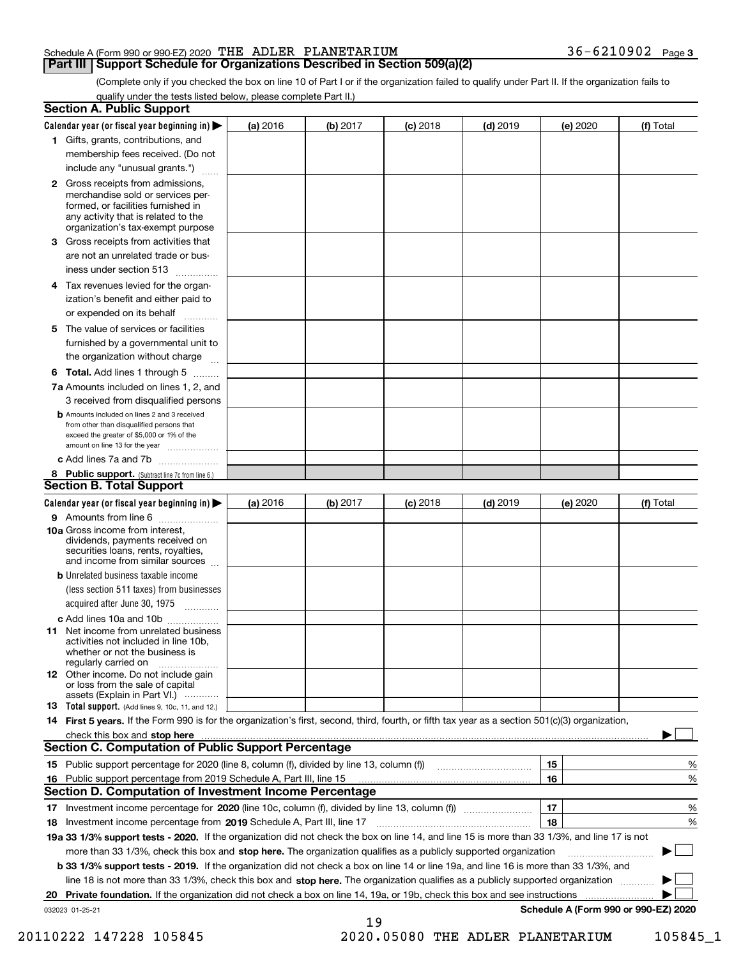(Complete only if you checked the box on line 10 of Part I or if the organization failed to qualify under Part II. If the organization fails to qualify under the tests listed below, please complete Part II.)

| <b>Section A. Public Support</b>                                                                                                                                                                                                    |          |          |            |            |          |                                      |
|-------------------------------------------------------------------------------------------------------------------------------------------------------------------------------------------------------------------------------------|----------|----------|------------|------------|----------|--------------------------------------|
| Calendar year (or fiscal year beginning in) $\blacktriangleright$                                                                                                                                                                   | (a) 2016 | (b) 2017 | $(c)$ 2018 | $(d)$ 2019 | (e) 2020 | (f) Total                            |
| 1 Gifts, grants, contributions, and                                                                                                                                                                                                 |          |          |            |            |          |                                      |
| membership fees received. (Do not                                                                                                                                                                                                   |          |          |            |            |          |                                      |
| include any "unusual grants.")                                                                                                                                                                                                      |          |          |            |            |          |                                      |
| 2 Gross receipts from admissions,<br>merchandise sold or services per-<br>formed, or facilities furnished in<br>any activity that is related to the<br>organization's tax-exempt purpose                                            |          |          |            |            |          |                                      |
| 3 Gross receipts from activities that<br>are not an unrelated trade or bus-                                                                                                                                                         |          |          |            |            |          |                                      |
| iness under section 513                                                                                                                                                                                                             |          |          |            |            |          |                                      |
| 4 Tax revenues levied for the organ-<br>ization's benefit and either paid to<br>or expended on its behalf<br>.                                                                                                                      |          |          |            |            |          |                                      |
| 5 The value of services or facilities<br>furnished by a governmental unit to                                                                                                                                                        |          |          |            |            |          |                                      |
| the organization without charge                                                                                                                                                                                                     |          |          |            |            |          |                                      |
| <b>6 Total.</b> Add lines 1 through 5<br>7a Amounts included on lines 1, 2, and                                                                                                                                                     |          |          |            |            |          |                                      |
| 3 received from disqualified persons                                                                                                                                                                                                |          |          |            |            |          |                                      |
| <b>b</b> Amounts included on lines 2 and 3 received<br>from other than disqualified persons that<br>exceed the greater of \$5,000 or 1% of the<br>amount on line 13 for the year                                                    |          |          |            |            |          |                                      |
| c Add lines 7a and 7b                                                                                                                                                                                                               |          |          |            |            |          |                                      |
| 8 Public support. (Subtract line 7c from line 6.)                                                                                                                                                                                   |          |          |            |            |          |                                      |
| <b>Section B. Total Support</b>                                                                                                                                                                                                     |          |          |            |            |          |                                      |
| Calendar year (or fiscal year beginning in) $\blacktriangleright$                                                                                                                                                                   | (a) 2016 | (b) 2017 | $(c)$ 2018 | $(d)$ 2019 | (e) 2020 | (f) Total                            |
| 9 Amounts from line 6<br>10a Gross income from interest,<br>dividends, payments received on                                                                                                                                         |          |          |            |            |          |                                      |
| securities loans, rents, royalties,<br>and income from similar sources                                                                                                                                                              |          |          |            |            |          |                                      |
| <b>b</b> Unrelated business taxable income<br>(less section 511 taxes) from businesses<br>acquired after June 30, 1975                                                                                                              |          |          |            |            |          |                                      |
| 1.1.1.1.1.1.1.1.1.1<br>c Add lines 10a and 10b                                                                                                                                                                                      |          |          |            |            |          |                                      |
| <b>11</b> Net income from unrelated business<br>activities not included in line 10b.<br>whether or not the business is<br>regularly carried on                                                                                      |          |          |            |            |          |                                      |
| <b>12</b> Other income. Do not include gain<br>or loss from the sale of capital<br>assets (Explain in Part VI.)                                                                                                                     |          |          |            |            |          |                                      |
| <b>13</b> Total support. (Add lines 9, 10c, 11, and 12.)                                                                                                                                                                            |          |          |            |            |          |                                      |
| 14 First 5 years. If the Form 990 is for the organization's first, second, third, fourth, or fifth tax year as a section 501(c)(3) organization,                                                                                    |          |          |            |            |          |                                      |
| check this box and stop here <b>contained the contained and all and state of the state of state and stop here</b> contained and stop here contained and stop here contained and stop here contained and stop here contained and sto |          |          |            |            |          |                                      |
| <b>Section C. Computation of Public Support Percentage</b>                                                                                                                                                                          |          |          |            |            |          |                                      |
|                                                                                                                                                                                                                                     |          |          |            |            | 15       | %                                    |
| 16 Public support percentage from 2019 Schedule A, Part III, line 15                                                                                                                                                                |          |          |            |            | 16       | %                                    |
| <b>Section D. Computation of Investment Income Percentage</b>                                                                                                                                                                       |          |          |            |            |          |                                      |
| 17 Investment income percentage for 2020 (line 10c, column (f), divided by line 13, column (f))                                                                                                                                     |          |          |            |            | 17       | %                                    |
| 18 Investment income percentage from 2019 Schedule A, Part III, line 17                                                                                                                                                             |          |          |            |            | 18       | %                                    |
| 19a 33 1/3% support tests - 2020. If the organization did not check the box on line 14, and line 15 is more than 33 1/3%, and line 17 is not                                                                                        |          |          |            |            |          |                                      |
| more than 33 1/3%, check this box and stop here. The organization qualifies as a publicly supported organization                                                                                                                    |          |          |            |            |          |                                      |
| b 33 1/3% support tests - 2019. If the organization did not check a box on line 14 or line 19a, and line 16 is more than 33 1/3%, and                                                                                               |          |          |            |            |          |                                      |
| line 18 is not more than 33 1/3%, check this box and stop here. The organization qualifies as a publicly supported organization                                                                                                     |          |          |            |            |          |                                      |
| 20 Private foundation. If the organization did not check a box on line 14, 19a, or 19b, check this box and see instructions                                                                                                         |          |          |            |            |          | .                                    |
| 032023 01-25-21                                                                                                                                                                                                                     |          | 19       |            |            |          | Schedule A (Form 990 or 990-EZ) 2020 |

20110222 147228 105845 2020.05080 THE ADLER PLANETARIUM 105845\_1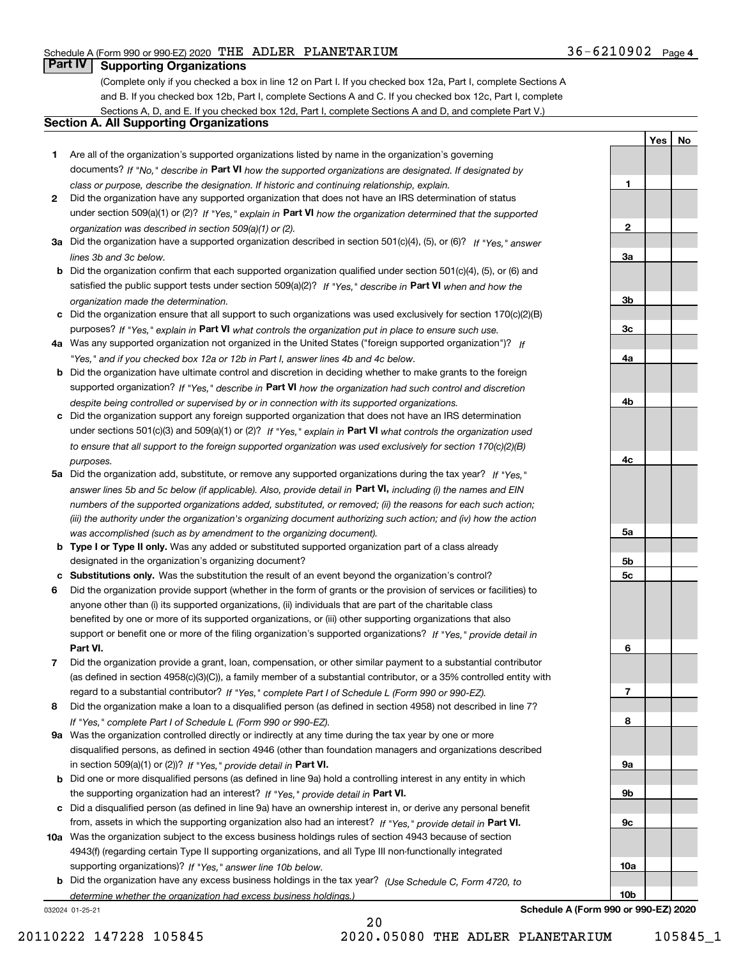**1**

**2**

**3a**

**3b**

**3c**

**4a**

**4b**

**4c**

**5a**

**5b5c**

**6**

**7**

**8**

**9a**

**9b**

**9c**

**10a**

**YesNo**

### **Part IV Supporting Organizations**

(Complete only if you checked a box in line 12 on Part I. If you checked box 12a, Part I, complete Sections A and B. If you checked box 12b, Part I, complete Sections A and C. If you checked box 12c, Part I, complete Sections A, D, and E. If you checked box 12d, Part I, complete Sections A and D, and complete Part V.)

#### **Section A. All Supporting Organizations**

- **1** Are all of the organization's supported organizations listed by name in the organization's governing documents? If "No," describe in **Part VI** how the supported organizations are designated. If designated by *class or purpose, describe the designation. If historic and continuing relationship, explain.*
- **2** Did the organization have any supported organization that does not have an IRS determination of status under section 509(a)(1) or (2)? If "Yes," explain in Part VI how the organization determined that the supported *organization was described in section 509(a)(1) or (2).*
- **3a** Did the organization have a supported organization described in section 501(c)(4), (5), or (6)? If "Yes," answer *lines 3b and 3c below.*
- **b** Did the organization confirm that each supported organization qualified under section 501(c)(4), (5), or (6) and satisfied the public support tests under section 509(a)(2)? If "Yes," describe in **Part VI** when and how the *organization made the determination.*
- **c**Did the organization ensure that all support to such organizations was used exclusively for section 170(c)(2)(B) purposes? If "Yes," explain in **Part VI** what controls the organization put in place to ensure such use.
- **4a***If* Was any supported organization not organized in the United States ("foreign supported organization")? *"Yes," and if you checked box 12a or 12b in Part I, answer lines 4b and 4c below.*
- **b** Did the organization have ultimate control and discretion in deciding whether to make grants to the foreign supported organization? If "Yes," describe in **Part VI** how the organization had such control and discretion *despite being controlled or supervised by or in connection with its supported organizations.*
- **c** Did the organization support any foreign supported organization that does not have an IRS determination under sections 501(c)(3) and 509(a)(1) or (2)? If "Yes," explain in **Part VI** what controls the organization used *to ensure that all support to the foreign supported organization was used exclusively for section 170(c)(2)(B) purposes.*
- **5a** Did the organization add, substitute, or remove any supported organizations during the tax year? If "Yes," answer lines 5b and 5c below (if applicable). Also, provide detail in **Part VI,** including (i) the names and EIN *numbers of the supported organizations added, substituted, or removed; (ii) the reasons for each such action; (iii) the authority under the organization's organizing document authorizing such action; and (iv) how the action was accomplished (such as by amendment to the organizing document).*
- **b** Type I or Type II only. Was any added or substituted supported organization part of a class already designated in the organization's organizing document?
- **cSubstitutions only.**  Was the substitution the result of an event beyond the organization's control?
- **6** Did the organization provide support (whether in the form of grants or the provision of services or facilities) to **Part VI.** *If "Yes," provide detail in* support or benefit one or more of the filing organization's supported organizations? anyone other than (i) its supported organizations, (ii) individuals that are part of the charitable class benefited by one or more of its supported organizations, or (iii) other supporting organizations that also
- **7**Did the organization provide a grant, loan, compensation, or other similar payment to a substantial contributor *If "Yes," complete Part I of Schedule L (Form 990 or 990-EZ).* regard to a substantial contributor? (as defined in section 4958(c)(3)(C)), a family member of a substantial contributor, or a 35% controlled entity with
- **8** Did the organization make a loan to a disqualified person (as defined in section 4958) not described in line 7? *If "Yes," complete Part I of Schedule L (Form 990 or 990-EZ).*
- **9a** Was the organization controlled directly or indirectly at any time during the tax year by one or more in section 509(a)(1) or (2))? If "Yes," *provide detail in* <code>Part VI.</code> disqualified persons, as defined in section 4946 (other than foundation managers and organizations described
- **b** Did one or more disqualified persons (as defined in line 9a) hold a controlling interest in any entity in which the supporting organization had an interest? If "Yes," provide detail in P**art VI**.
- **c**Did a disqualified person (as defined in line 9a) have an ownership interest in, or derive any personal benefit from, assets in which the supporting organization also had an interest? If "Yes," provide detail in P**art VI.**
- **10a** Was the organization subject to the excess business holdings rules of section 4943 because of section supporting organizations)? If "Yes," answer line 10b below. 4943(f) (regarding certain Type II supporting organizations, and all Type III non-functionally integrated
- **b** Did the organization have any excess business holdings in the tax year? (Use Schedule C, Form 4720, to *determine whether the organization had excess business holdings.)*

032024 01-25-21

**10bSchedule A (Form 990 or 990-EZ) 2020**



20 20110222 147228 105845 2020.05080 THE ADLER PLANETARIUM 105845\_1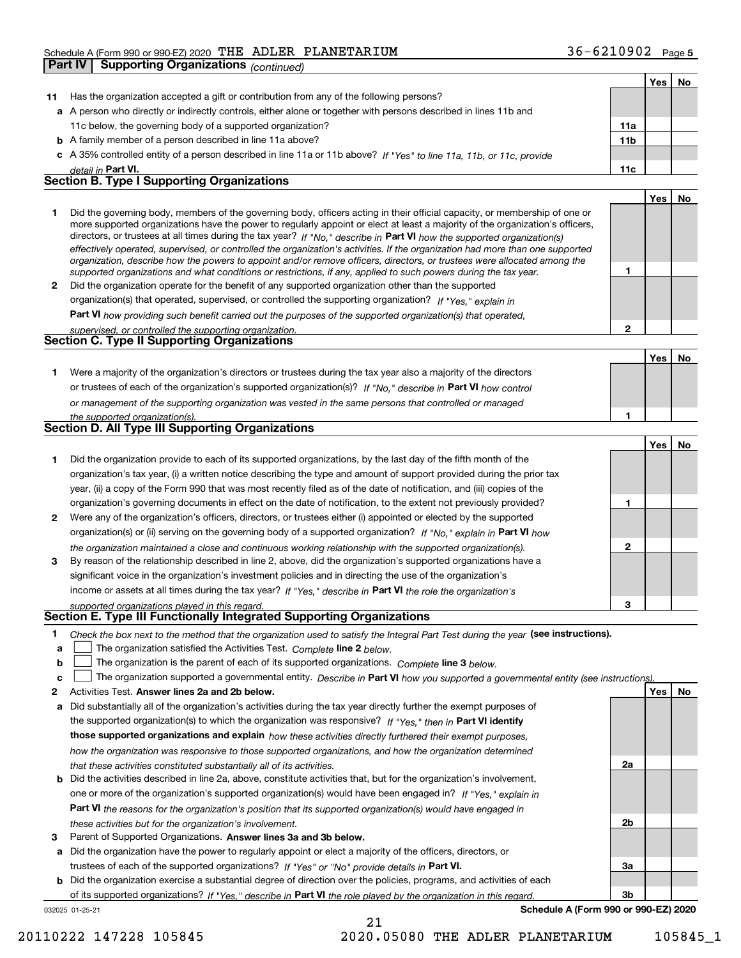|    | <b>Supporting Organizations (continued)</b><br>Part IV                                                                                                                                                                                                     |                |     |           |
|----|------------------------------------------------------------------------------------------------------------------------------------------------------------------------------------------------------------------------------------------------------------|----------------|-----|-----------|
|    |                                                                                                                                                                                                                                                            |                | Yes | No        |
| 11 | Has the organization accepted a gift or contribution from any of the following persons?                                                                                                                                                                    |                |     |           |
|    | a A person who directly or indirectly controls, either alone or together with persons described in lines 11b and                                                                                                                                           |                |     |           |
|    | 11c below, the governing body of a supported organization?                                                                                                                                                                                                 | 11a            |     |           |
|    | <b>b</b> A family member of a person described in line 11a above?                                                                                                                                                                                          | 11b            |     |           |
| с  | A 35% controlled entity of a person described in line 11a or 11b above? If "Yes" to line 11a, 11b, or 11c, provide                                                                                                                                         |                |     |           |
|    | detail in Part VI.                                                                                                                                                                                                                                         | 11c            |     |           |
|    | <b>Section B. Type I Supporting Organizations</b>                                                                                                                                                                                                          |                |     |           |
|    |                                                                                                                                                                                                                                                            |                | Yes | No        |
| 1  | Did the governing body, members of the governing body, officers acting in their official capacity, or membership of one or                                                                                                                                 |                |     |           |
|    | more supported organizations have the power to regularly appoint or elect at least a majority of the organization's officers,                                                                                                                              |                |     |           |
|    | directors, or trustees at all times during the tax year? If "No," describe in Part VI how the supported organization(s)                                                                                                                                    |                |     |           |
|    | effectively operated, supervised, or controlled the organization's activities. If the organization had more than one supported<br>organization, describe how the powers to appoint and/or remove officers, directors, or trustees were allocated among the |                |     |           |
|    | supported organizations and what conditions or restrictions, if any, applied to such powers during the tax year.                                                                                                                                           | 1              |     |           |
| 2  | Did the organization operate for the benefit of any supported organization other than the supported                                                                                                                                                        |                |     |           |
|    | organization(s) that operated, supervised, or controlled the supporting organization? If "Yes," explain in                                                                                                                                                 |                |     |           |
|    | Part VI how providing such benefit carried out the purposes of the supported organization(s) that operated,                                                                                                                                                |                |     |           |
|    | supervised, or controlled the supporting organization.                                                                                                                                                                                                     | $\overline{2}$ |     |           |
|    | Section C. Type II Supporting Organizations                                                                                                                                                                                                                |                |     |           |
|    |                                                                                                                                                                                                                                                            |                | Yes | No        |
| 1. | Were a majority of the organization's directors or trustees during the tax year also a majority of the directors                                                                                                                                           |                |     |           |
|    | or trustees of each of the organization's supported organization(s)? If "No," describe in Part VI how control                                                                                                                                              |                |     |           |
|    | or management of the supporting organization was vested in the same persons that controlled or managed                                                                                                                                                     |                |     |           |
|    | the supported organization(s).                                                                                                                                                                                                                             | 1              |     |           |
|    | Section D. All Type III Supporting Organizations                                                                                                                                                                                                           |                |     |           |
|    |                                                                                                                                                                                                                                                            |                | Yes | No        |
| 1. | Did the organization provide to each of its supported organizations, by the last day of the fifth month of the                                                                                                                                             |                |     |           |
|    | organization's tax year, (i) a written notice describing the type and amount of support provided during the prior tax                                                                                                                                      |                |     |           |
|    | year, (ii) a copy of the Form 990 that was most recently filed as of the date of notification, and (iii) copies of the                                                                                                                                     |                |     |           |
|    | organization's governing documents in effect on the date of notification, to the extent not previously provided?                                                                                                                                           | 1              |     |           |
| 2  | Were any of the organization's officers, directors, or trustees either (i) appointed or elected by the supported                                                                                                                                           |                |     |           |
|    | organization(s) or (ii) serving on the governing body of a supported organization? If "No," explain in Part VI how                                                                                                                                         |                |     |           |
|    | the organization maintained a close and continuous working relationship with the supported organization(s).                                                                                                                                                | $\mathbf{2}$   |     |           |
| 3  | By reason of the relationship described in line 2, above, did the organization's supported organizations have a                                                                                                                                            |                |     |           |
|    | significant voice in the organization's investment policies and in directing the use of the organization's                                                                                                                                                 |                |     |           |
|    | income or assets at all times during the tax year? If "Yes," describe in Part VI the role the organization's                                                                                                                                               |                |     |           |
|    | supported organizations played in this regard.                                                                                                                                                                                                             | З              |     |           |
|    | Section E. Type III Functionally Integrated Supporting Organizations                                                                                                                                                                                       |                |     |           |
| 1  | Check the box next to the method that the organization used to satisfy the Integral Part Test during the year (see instructions).                                                                                                                          |                |     |           |
| a  | The organization satisfied the Activities Test. Complete line 2 below.                                                                                                                                                                                     |                |     |           |
| b  | The organization is the parent of each of its supported organizations. Complete line 3 below.                                                                                                                                                              |                |     |           |
| c  | The organization supported a governmental entity. Describe in Part VI how you supported a governmental entity (see instructions).                                                                                                                          |                |     |           |
| 2  | Activities Test. Answer lines 2a and 2b below.                                                                                                                                                                                                             |                | Yes | <u>No</u> |
| а  | Did substantially all of the organization's activities during the tax year directly further the exempt purposes of                                                                                                                                         |                |     |           |
|    | the supported organization(s) to which the organization was responsive? If "Yes," then in Part VI identify                                                                                                                                                 |                |     |           |
|    | those supported organizations and explain how these activities directly furthered their exempt purposes,                                                                                                                                                   |                |     |           |

| how the organization was responsive to those supported organizations, and how the organization determined                    |
|------------------------------------------------------------------------------------------------------------------------------|
| that these activities constituted substantially all of its activities.                                                       |
| <b>b</b> Did the activities described in line 2a, above, constitute activities that, but for the organization's involvement, |
| one or more of the organization's supported organization(s) would have been engaged in? If "Yes." explain in                 |
| <b>Part VI</b> the reasons for the organization's position that its supported organization(s) would have engaged in          |
| these activities but for the organization's involvement.                                                                     |

**3** Parent of Supported Organizations. Answer lines 3a and 3b below.

**a** Did the organization have the power to regularly appoint or elect a majority of the officers, directors, or trustees of each of the supported organizations? If "Yes" or "No" provide details in P**art VI.** 

032025 01-25-21 **b** Did the organization exercise a substantial degree of direction over the policies, programs, and activities of each of its supported organizations? If "Yes," describe in Part VI the role played by the organization in this regard.

21

**Schedule A (Form 990 or 990-EZ) 2020**

**2a**

**2b**

**3a**

**3b**

20110222 147228 105845 2020.05080 THE ADLER PLANETARIUM 105845\_1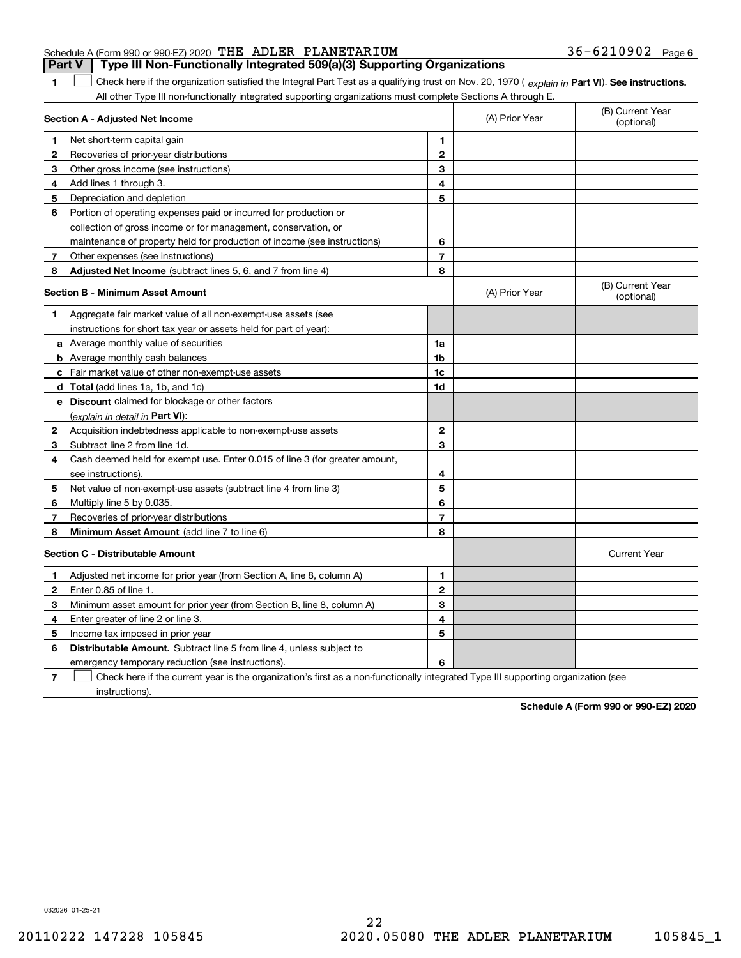#### Schedule A (Form 990 or 990-EZ) 2020 Page THE ADLER PLANETARIUM 36-6210902 **Part V Type III Non-Functionally Integrated 509(a)(3) Supporting Organizations**

1 Check here if the organization satisfied the Integral Part Test as a qualifying trust on Nov. 20, 1970 (explain in Part VI). See instructions. All other Type III non-functionally integrated supporting organizations must complete Sections A through E.

|              | Section A - Adjusted Net Income                                                                                                   |                | (A) Prior Year | (B) Current Year<br>(optional) |
|--------------|-----------------------------------------------------------------------------------------------------------------------------------|----------------|----------------|--------------------------------|
| 1.           | Net short-term capital gain                                                                                                       | 1              |                |                                |
| 2            | Recoveries of prior-year distributions                                                                                            | $\overline{2}$ |                |                                |
| з            | Other gross income (see instructions)                                                                                             | 3              |                |                                |
| 4            | Add lines 1 through 3.                                                                                                            | 4              |                |                                |
| 5            | Depreciation and depletion                                                                                                        | 5              |                |                                |
| 6            | Portion of operating expenses paid or incurred for production or                                                                  |                |                |                                |
|              | collection of gross income or for management, conservation, or                                                                    |                |                |                                |
|              | maintenance of property held for production of income (see instructions)                                                          | 6              |                |                                |
| 7            | Other expenses (see instructions)                                                                                                 | $\overline{7}$ |                |                                |
| 8            | Adjusted Net Income (subtract lines 5, 6, and 7 from line 4)                                                                      | 8              |                |                                |
|              | <b>Section B - Minimum Asset Amount</b>                                                                                           |                | (A) Prior Year | (B) Current Year<br>(optional) |
| 1.           | Aggregate fair market value of all non-exempt-use assets (see                                                                     |                |                |                                |
|              | instructions for short tax year or assets held for part of year):                                                                 |                |                |                                |
|              | <b>a</b> Average monthly value of securities                                                                                      | 1a             |                |                                |
|              | <b>b</b> Average monthly cash balances                                                                                            | 1b             |                |                                |
|              | c Fair market value of other non-exempt-use assets                                                                                | 1 <sub>c</sub> |                |                                |
|              | d Total (add lines 1a, 1b, and 1c)                                                                                                | 1d             |                |                                |
|              | e Discount claimed for blockage or other factors                                                                                  |                |                |                                |
|              | (explain in detail in Part VI):                                                                                                   |                |                |                                |
| $\mathbf{2}$ | Acquisition indebtedness applicable to non-exempt-use assets                                                                      | $\mathbf{2}$   |                |                                |
| 3            | Subtract line 2 from line 1d.                                                                                                     | 3              |                |                                |
| 4            | Cash deemed held for exempt use. Enter 0.015 of line 3 (for greater amount,                                                       |                |                |                                |
|              | see instructions).                                                                                                                | 4              |                |                                |
| 5            | Net value of non-exempt-use assets (subtract line 4 from line 3)                                                                  | 5              |                |                                |
| 6            | Multiply line 5 by 0.035.                                                                                                         | 6              |                |                                |
| 7            | Recoveries of prior-year distributions                                                                                            | $\overline{7}$ |                |                                |
| 8            | Minimum Asset Amount (add line 7 to line 6)                                                                                       | 8              |                |                                |
|              | <b>Section C - Distributable Amount</b>                                                                                           |                |                | <b>Current Year</b>            |
| 1            | Adjusted net income for prior year (from Section A, line 8, column A)                                                             | 1              |                |                                |
| 2            | Enter 0.85 of line 1.                                                                                                             | $\overline{2}$ |                |                                |
| з            | Minimum asset amount for prior year (from Section B, line 8, column A)                                                            | 3              |                |                                |
| 4            | Enter greater of line 2 or line 3.                                                                                                | 4              |                |                                |
| 5            | Income tax imposed in prior year                                                                                                  | 5              |                |                                |
| 6            | <b>Distributable Amount.</b> Subtract line 5 from line 4, unless subject to                                                       |                |                |                                |
|              | emergency temporary reduction (see instructions).                                                                                 | 6              |                |                                |
| 7            | Check here if the current year is the organization's first as a non-functionally integrated Type III supporting organization (see |                |                |                                |

instructions).

**1**

**Schedule A (Form 990 or 990-EZ) 2020**

032026 01-25-21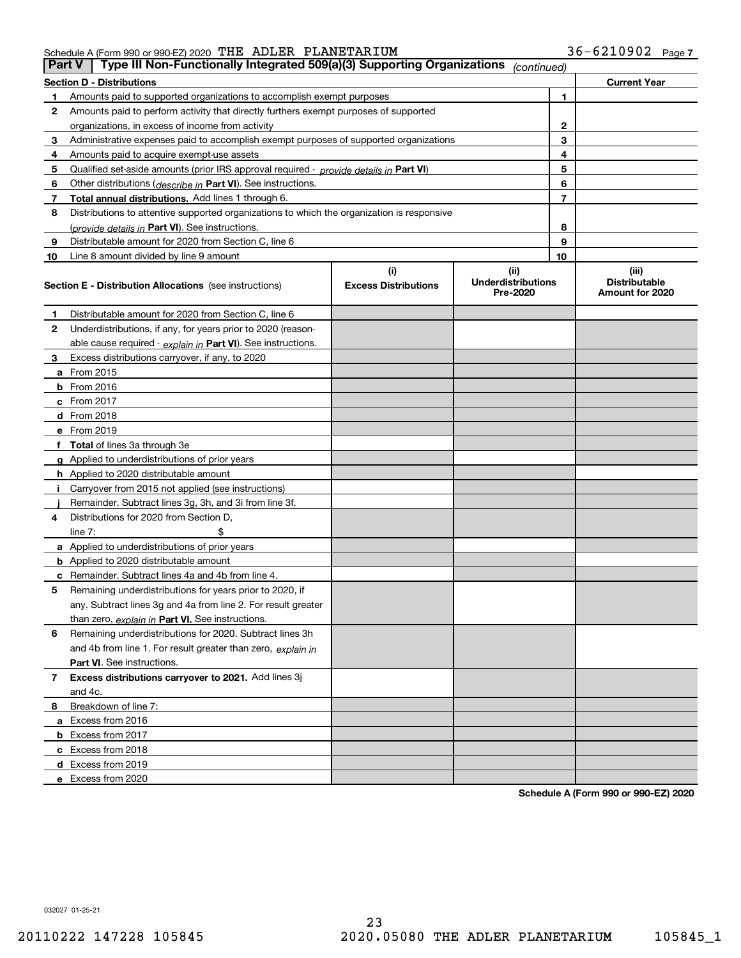|              | Type III Non-Functionally Integrated 509(a)(3) Supporting Organizations<br>Part V<br>(continued) |                             |                                       |    |                                         |
|--------------|--------------------------------------------------------------------------------------------------|-----------------------------|---------------------------------------|----|-----------------------------------------|
|              | <b>Section D - Distributions</b>                                                                 |                             |                                       |    | <b>Current Year</b>                     |
|              | Amounts paid to supported organizations to accomplish exempt purposes                            |                             |                                       | 1  |                                         |
| 2            | Amounts paid to perform activity that directly furthers exempt purposes of supported             |                             |                                       |    |                                         |
|              | organizations, in excess of income from activity                                                 |                             | 2                                     |    |                                         |
| 3            | Administrative expenses paid to accomplish exempt purposes of supported organizations            |                             |                                       | 3  |                                         |
| 4            | Amounts paid to acquire exempt-use assets                                                        |                             |                                       | 4  |                                         |
| 5            | Qualified set aside amounts (prior IRS approval required - provide details in Part VI)           |                             |                                       | 5  |                                         |
| 6            | Other distributions ( <i>describe in</i> Part VI). See instructions.                             |                             |                                       | 6  |                                         |
| 7            | Total annual distributions. Add lines 1 through 6.                                               |                             |                                       | 7  |                                         |
| 8            | Distributions to attentive supported organizations to which the organization is responsive       |                             |                                       |    |                                         |
|              | (provide details in Part VI). See instructions.                                                  |                             |                                       | 8  |                                         |
| 9            | Distributable amount for 2020 from Section C, line 6                                             |                             |                                       | 9  |                                         |
| 10           | Line 8 amount divided by line 9 amount                                                           |                             |                                       | 10 |                                         |
|              |                                                                                                  | (i)                         | (ii)                                  |    | (iii)                                   |
|              | <b>Section E - Distribution Allocations</b> (see instructions)                                   | <b>Excess Distributions</b> | <b>Underdistributions</b><br>Pre-2020 |    | <b>Distributable</b><br>Amount for 2020 |
| 1            | Distributable amount for 2020 from Section C, line 6                                             |                             |                                       |    |                                         |
| $\mathbf{2}$ | Underdistributions, if any, for years prior to 2020 (reason-                                     |                             |                                       |    |                                         |
|              | able cause required - explain in Part VI). See instructions.                                     |                             |                                       |    |                                         |
| 3            | Excess distributions carryover, if any, to 2020                                                  |                             |                                       |    |                                         |
|              | a From 2015                                                                                      |                             |                                       |    |                                         |
|              | $b$ From 2016                                                                                    |                             |                                       |    |                                         |
|              | $c$ From 2017                                                                                    |                             |                                       |    |                                         |
|              | <b>d</b> From 2018                                                                               |                             |                                       |    |                                         |
|              | e From 2019                                                                                      |                             |                                       |    |                                         |
|              | f Total of lines 3a through 3e                                                                   |                             |                                       |    |                                         |
|              | g Applied to underdistributions of prior years                                                   |                             |                                       |    |                                         |
|              | <b>h</b> Applied to 2020 distributable amount                                                    |                             |                                       |    |                                         |
|              | Carryover from 2015 not applied (see instructions)                                               |                             |                                       |    |                                         |
|              | Remainder. Subtract lines 3g, 3h, and 3i from line 3f.                                           |                             |                                       |    |                                         |
| 4            | Distributions for 2020 from Section D.                                                           |                             |                                       |    |                                         |
|              | line $7:$                                                                                        |                             |                                       |    |                                         |
|              | a Applied to underdistributions of prior years                                                   |                             |                                       |    |                                         |
|              | <b>b</b> Applied to 2020 distributable amount                                                    |                             |                                       |    |                                         |
|              | <b>c</b> Remainder. Subtract lines 4a and 4b from line 4.                                        |                             |                                       |    |                                         |
| 5            | Remaining underdistributions for years prior to 2020, if                                         |                             |                                       |    |                                         |
|              | any. Subtract lines 3g and 4a from line 2. For result greater                                    |                             |                                       |    |                                         |
|              | than zero, explain in Part VI. See instructions.                                                 |                             |                                       |    |                                         |
| 6            | Remaining underdistributions for 2020. Subtract lines 3h                                         |                             |                                       |    |                                         |
|              | and 4b from line 1. For result greater than zero, explain in                                     |                             |                                       |    |                                         |
|              | <b>Part VI.</b> See instructions.                                                                |                             |                                       |    |                                         |
| 7            | Excess distributions carryover to 2021. Add lines 3j                                             |                             |                                       |    |                                         |
|              | and 4c.                                                                                          |                             |                                       |    |                                         |
| 8            | Breakdown of line 7:                                                                             |                             |                                       |    |                                         |
|              | a Excess from 2016                                                                               |                             |                                       |    |                                         |
|              | <b>b</b> Excess from 2017                                                                        |                             |                                       |    |                                         |
|              | c Excess from 2018                                                                               |                             |                                       |    |                                         |
|              | d Excess from 2019                                                                               |                             |                                       |    |                                         |
|              | e Excess from 2020                                                                               |                             |                                       |    |                                         |

**Schedule A (Form 990 or 990-EZ) 2020**

032027 01-25-21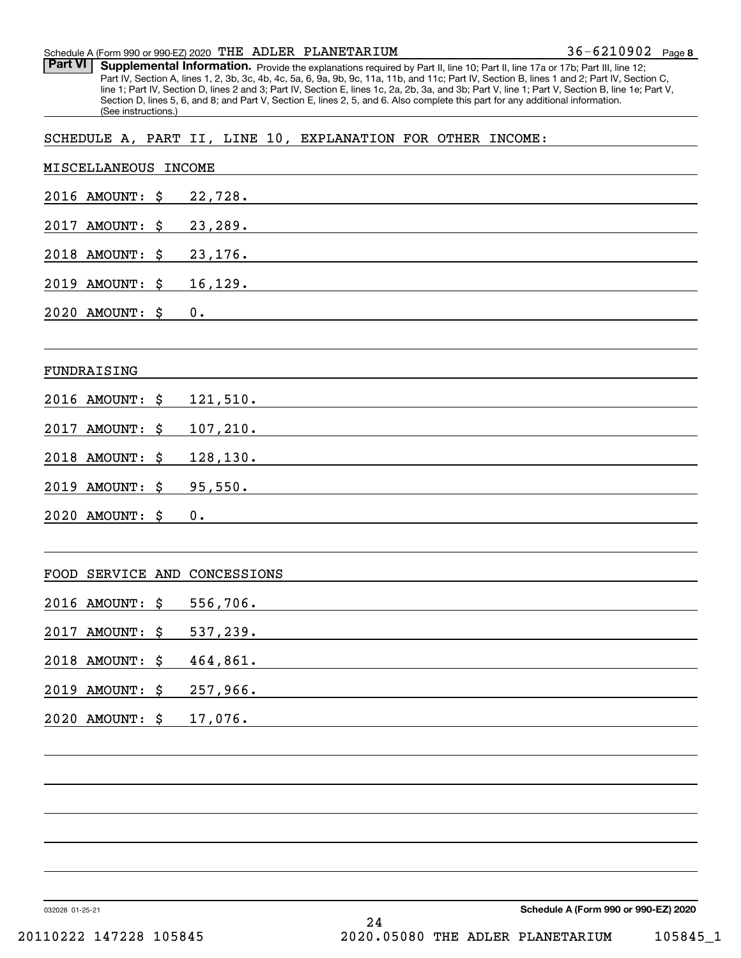**8** 36-6210902

Part VI | Supplemental Information. Provide the explanations required by Part II, line 10; Part II, line 17a or 17b; Part III, line 12; Part IV, Section A, lines 1, 2, 3b, 3c, 4b, 4c, 5a, 6, 9a, 9b, 9c, 11a, 11b, and 11c; Part IV, Section B, lines 1 and 2; Part IV, Section C, line 1; Part IV, Section D, lines 2 and 3; Part IV, Section E, lines 1c, 2a, 2b, 3a, and 3b; Part V, line 1; Part V, Section B, line 1e; Part V, Section D, lines 5, 6, and 8; and Part V, Section E, lines 2, 5, and 6. Also complete this part for any additional information. (See instructions.)

#### SCHEDULE A, PART II, LINE 10, EXPLANATION FOR OTHER INCOME:

| MISCELLANEOUS INCOME         |           |                                                                                                                       |                                      |
|------------------------------|-----------|-----------------------------------------------------------------------------------------------------------------------|--------------------------------------|
| 2016 AMOUNT: \$              | 22,728.   | <u> 1989 - Johann Stoff, fransk politik (d. 1989)</u>                                                                 |                                      |
| 2017 AMOUNT:<br>\$           | 23,289.   |                                                                                                                       |                                      |
| 2018 AMOUNT: \$              | 23,176.   |                                                                                                                       |                                      |
| 2019 AMOUNT: \$ 16,129.      |           |                                                                                                                       |                                      |
| $2020$ AMOUNT: $$$           | 0.        | <u> 1989 - Johann Barn, mars ann an t-Amhain Aonaich an t-Aonaich an t-Aonaich ann an t-Aonaich ann an t-Aonaich</u>  |                                      |
|                              |           |                                                                                                                       |                                      |
| FUNDRAISING                  |           |                                                                                                                       |                                      |
| 2016 AMOUNT: \$ 121,510.     |           |                                                                                                                       |                                      |
| 2017 AMOUNT: \$              | 107,210.  | <u> 1989 - Andrea State Barbara, amerikan personal di sebagai personal di sebagai personal di sebagai personal di</u> |                                      |
| 2018 AMOUNT: \$              | 128, 130. |                                                                                                                       |                                      |
| 2019 AMOUNT: \$              | 95,550.   |                                                                                                                       |                                      |
| 2020 AMOUNT:<br>\$           | 0.        | <u> 1989 - Johann Barbara, martxa alemaniar arg</u>                                                                   |                                      |
|                              |           |                                                                                                                       |                                      |
| FOOD SERVICE AND CONCESSIONS |           |                                                                                                                       |                                      |
| 2016 AMOUNT:<br>\$           | 556,706.  |                                                                                                                       |                                      |
| 2017 AMOUNT:<br>\$           | 537,239.  | <u> 1989 - Johann Barn, mars ann an t-Amhain an t-Amhain an t-Amhain an t-Amhain an t-Amhain an t-Amhain an t-Amh</u> |                                      |
| 2018 AMOUNT:<br>\$           | 464,861.  |                                                                                                                       |                                      |
| 2019 AMOUNT:<br>\$           | 257,966.  |                                                                                                                       |                                      |
| $2020$ AMOUNT: $\zeta$       | 17,076.   |                                                                                                                       |                                      |
|                              |           |                                                                                                                       |                                      |
|                              |           |                                                                                                                       |                                      |
|                              |           |                                                                                                                       |                                      |
|                              |           |                                                                                                                       |                                      |
|                              |           |                                                                                                                       |                                      |
|                              |           |                                                                                                                       |                                      |
| 032028 01-25-21              |           | 24                                                                                                                    | Schedule A (Form 990 or 990-EZ) 2020 |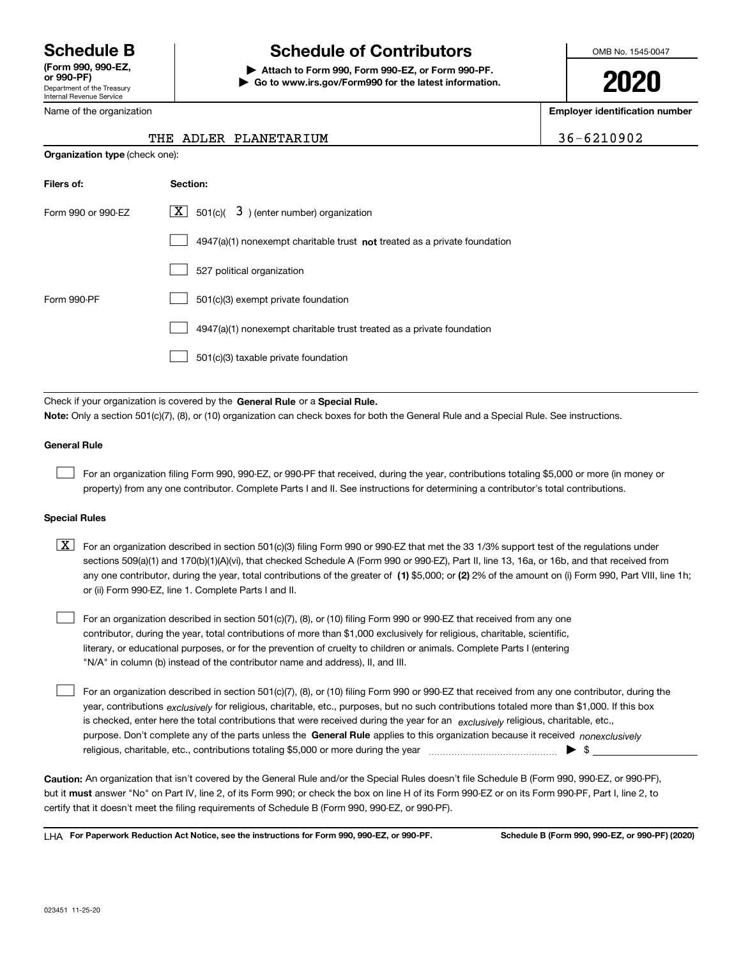Department of the Treasury Internal Revenue Service **(Form 990, 990-EZ, or 990-PF)**

Name of the organization

# **Schedule B Schedule of Contributors**

**| Attach to Form 990, Form 990-EZ, or Form 990-PF. | Go to www.irs.gov/Form990 for the latest information.** OMB No. 1545-0047

**2020**

**Employer identification number**

36-6210902

|  |  | THE ADLER PLANETARIUM |
|--|--|-----------------------|
|--|--|-----------------------|

|                    | <b>Organization type (check one):</b>                                              |  |  |  |  |
|--------------------|------------------------------------------------------------------------------------|--|--|--|--|
| Filers of:         | Section:                                                                           |  |  |  |  |
| Form 990 or 990-EZ | $ \mathbf{X} $ 501(c)( 3) (enter number) organization                              |  |  |  |  |
|                    | $4947(a)(1)$ nonexempt charitable trust <b>not</b> treated as a private foundation |  |  |  |  |
|                    | 527 political organization                                                         |  |  |  |  |
| Form 990-PF        | 501(c)(3) exempt private foundation                                                |  |  |  |  |
|                    | 4947(a)(1) nonexempt charitable trust treated as a private foundation              |  |  |  |  |
|                    | 501(c)(3) taxable private foundation                                               |  |  |  |  |

Check if your organization is covered by the **General Rule** or a **Special Rule. Note:**  Only a section 501(c)(7), (8), or (10) organization can check boxes for both the General Rule and a Special Rule. See instructions.

#### **General Rule**

 $\mathcal{L}^{\text{max}}$ 

For an organization filing Form 990, 990-EZ, or 990-PF that received, during the year, contributions totaling \$5,000 or more (in money or property) from any one contributor. Complete Parts I and II. See instructions for determining a contributor's total contributions.

#### **Special Rules**

any one contributor, during the year, total contributions of the greater of  $\,$  (1) \$5,000; or **(2)** 2% of the amount on (i) Form 990, Part VIII, line 1h;  $\boxed{\textbf{X}}$  For an organization described in section 501(c)(3) filing Form 990 or 990-EZ that met the 33 1/3% support test of the regulations under sections 509(a)(1) and 170(b)(1)(A)(vi), that checked Schedule A (Form 990 or 990-EZ), Part II, line 13, 16a, or 16b, and that received from or (ii) Form 990-EZ, line 1. Complete Parts I and II.

For an organization described in section 501(c)(7), (8), or (10) filing Form 990 or 990-EZ that received from any one contributor, during the year, total contributions of more than \$1,000 exclusively for religious, charitable, scientific, literary, or educational purposes, or for the prevention of cruelty to children or animals. Complete Parts I (entering "N/A" in column (b) instead of the contributor name and address), II, and III.  $\mathcal{L}^{\text{max}}$ 

purpose. Don't complete any of the parts unless the **General Rule** applies to this organization because it received *nonexclusively* year, contributions <sub>exclusively</sub> for religious, charitable, etc., purposes, but no such contributions totaled more than \$1,000. If this box is checked, enter here the total contributions that were received during the year for an  $\;$ exclusively religious, charitable, etc., For an organization described in section 501(c)(7), (8), or (10) filing Form 990 or 990-EZ that received from any one contributor, during the religious, charitable, etc., contributions totaling \$5,000 or more during the year  $\Box$ — $\Box$   $\Box$   $\Box$  $\mathcal{L}^{\text{max}}$ 

**Caution:**  An organization that isn't covered by the General Rule and/or the Special Rules doesn't file Schedule B (Form 990, 990-EZ, or 990-PF),  **must** but it answer "No" on Part IV, line 2, of its Form 990; or check the box on line H of its Form 990-EZ or on its Form 990-PF, Part I, line 2, to certify that it doesn't meet the filing requirements of Schedule B (Form 990, 990-EZ, or 990-PF).

**For Paperwork Reduction Act Notice, see the instructions for Form 990, 990-EZ, or 990-PF. Schedule B (Form 990, 990-EZ, or 990-PF) (2020)** LHA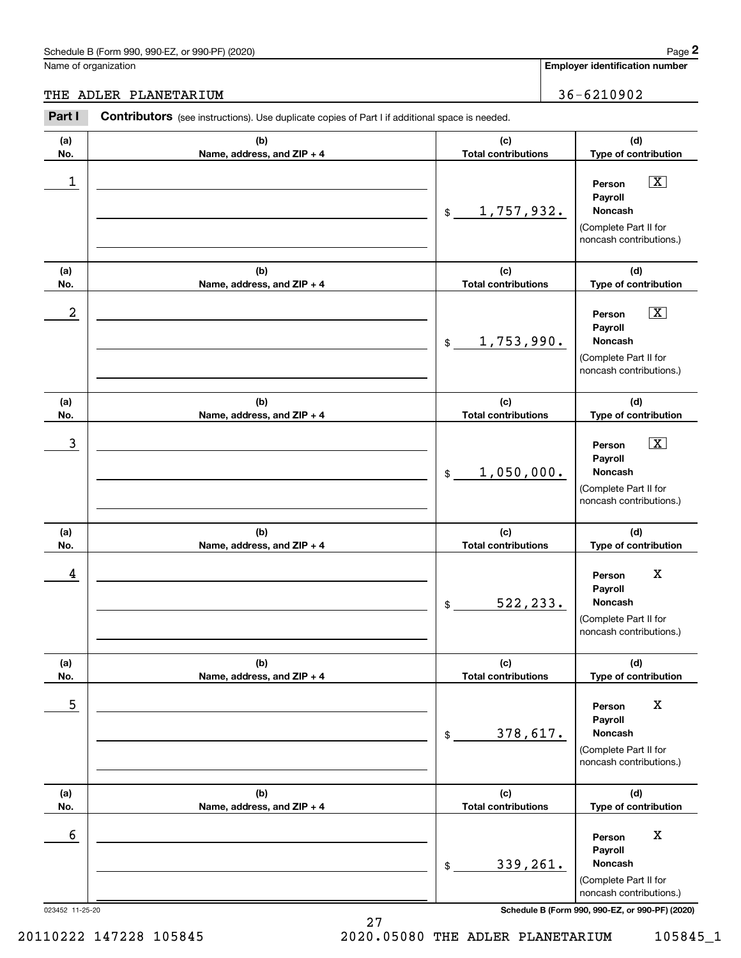## Schedule B (Form 990, 990-EZ, or 990-PF) (2020) Page 2

#### THE ADLER PLANETARIUM 36-6210902

| Name of organization |                                                                                                       |                                   |                                                                                                        |
|----------------------|-------------------------------------------------------------------------------------------------------|-----------------------------------|--------------------------------------------------------------------------------------------------------|
|                      |                                                                                                       |                                   | <b>Employer identification number</b>                                                                  |
|                      | THE ADLER PLANETARIUM                                                                                 |                                   | 36-6210902                                                                                             |
| Part I               | <b>Contributors</b> (see instructions). Use duplicate copies of Part I if additional space is needed. |                                   |                                                                                                        |
| (a)<br>No.           | (b)<br>Name, address, and ZIP + 4                                                                     | (c)<br><b>Total contributions</b> | (d)<br>Type of contribution                                                                            |
| 1                    |                                                                                                       | 1,757,932.<br>\$                  | $\boxed{\text{X}}$<br>Person<br>Payroll<br>Noncash<br>(Complete Part II for<br>noncash contributions.) |
| (a)<br>No.           | (b)<br>Name, address, and ZIP + 4                                                                     | (c)<br><b>Total contributions</b> | (d)<br>Type of contribution                                                                            |
| $\boldsymbol{2}$     |                                                                                                       | 1,753,990.<br>\$                  | $\boxed{\text{X}}$<br>Person<br>Payroll<br>Noncash<br>(Complete Part II for<br>noncash contributions.) |
| (a)<br>No.           | (b)<br>Name, address, and ZIP + 4                                                                     | (c)<br><b>Total contributions</b> | (d)<br>Type of contribution                                                                            |
| 3                    |                                                                                                       | 1,050,000.<br>\$                  | $\boxed{\text{X}}$<br>Person<br>Payroll<br>Noncash<br>(Complete Part II for<br>noncash contributions.) |
| (a)<br>No.           | (b)<br>Name, address, and ZIP + 4                                                                     | (c)<br><b>Total contributions</b> | (d)<br>Type of contribution                                                                            |
| 4                    |                                                                                                       | 522,233.<br>\$                    | Х<br>Person<br>Payroll<br>Noncash<br>(Complete Part II for<br>noncash contributions.)                  |
| (a)<br>No.           | (b)<br>Name, address, and ZIP + 4                                                                     | (c)<br><b>Total contributions</b> | (d)<br>Type of contribution                                                                            |
| 5                    |                                                                                                       | 378,617.<br>\$                    | X<br>Person<br>Payroll<br>Noncash<br>(Complete Part II for<br>noncash contributions.)                  |
| (a)<br>No.           | (b)<br>Name, address, and ZIP + 4                                                                     | (c)<br><b>Total contributions</b> | (d)<br>Type of contribution                                                                            |
| 6                    |                                                                                                       | 339,261.<br>\$                    | X<br>Person<br>Payroll<br>Noncash<br>(Complete Part II for<br>noncash contributions.)                  |

20110222 147228 105845 2020.05080 THE ADLER PLANETARIUM 105845\_1

27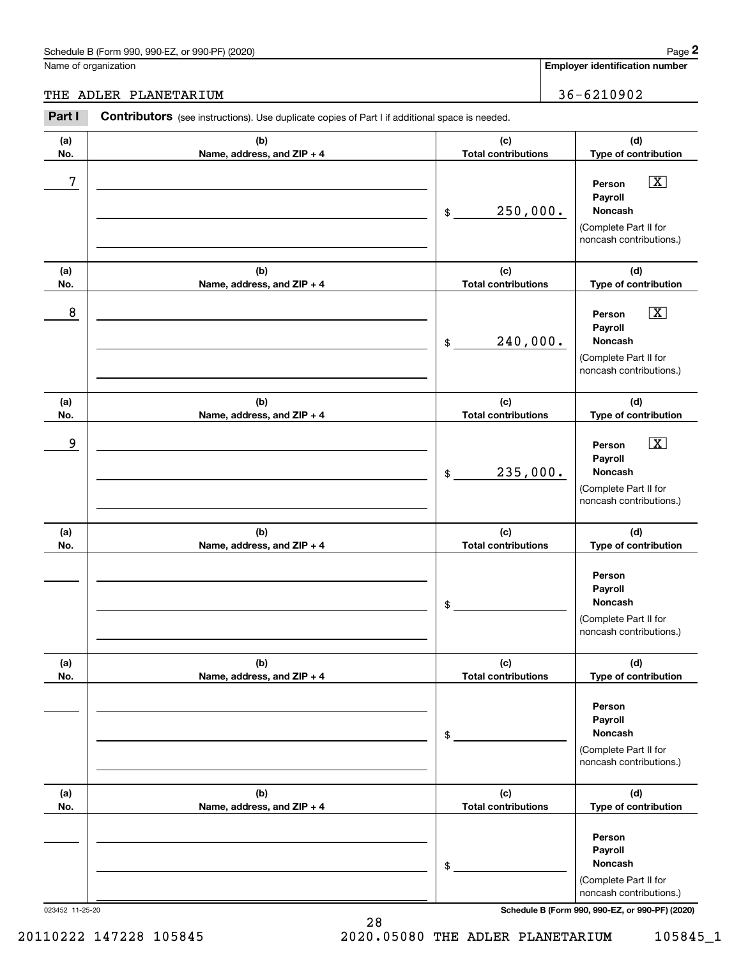## Schedule B (Form 990, 990-EZ, or 990-PF) (2020) Page 2

#### THE ADLER PLANETARIUM 36-6210902

|                 | Schedule B (Form 990, 990-EZ, or 990-PF) (2020)                                                       |                                   | Page 2                                                                                                                              |
|-----------------|-------------------------------------------------------------------------------------------------------|-----------------------------------|-------------------------------------------------------------------------------------------------------------------------------------|
|                 | Name of organization                                                                                  |                                   | <b>Employer identification number</b>                                                                                               |
|                 | THE ADLER PLANETARIUM                                                                                 |                                   | 36-6210902                                                                                                                          |
| Part I          | <b>Contributors</b> (see instructions). Use duplicate copies of Part I if additional space is needed. |                                   |                                                                                                                                     |
| (a)<br>No.      | (b)<br>Name, address, and ZIP + 4                                                                     | (c)<br><b>Total contributions</b> | (d)<br>Type of contribution                                                                                                         |
| 7               |                                                                                                       | 250,000.<br>\$                    | $\boxed{\text{X}}$<br>Person<br>Payroll<br>Noncash<br>(Complete Part II for<br>noncash contributions.)                              |
| (a)<br>No.      | (b)<br>Name, address, and ZIP + 4                                                                     | (c)<br><b>Total contributions</b> | (d)<br>Type of contribution                                                                                                         |
| 8               |                                                                                                       | 240,000.<br>\$                    | $\boxed{\text{X}}$<br>Person<br>Payroll<br>Noncash<br>(Complete Part II for<br>noncash contributions.)                              |
| (a)<br>No.      | (b)<br>Name, address, and ZIP + 4                                                                     | (c)<br><b>Total contributions</b> | (d)<br>Type of contribution                                                                                                         |
| 9               |                                                                                                       | 235,000.<br>\$                    | $\boxed{\text{X}}$<br>Person<br>Payroll<br>Noncash<br>(Complete Part II for<br>noncash contributions.)                              |
| (a)<br>No.      | (b)<br>Name, address, and ZIP + 4                                                                     | (c)<br><b>Total contributions</b> | (d)<br>Type of contribution                                                                                                         |
|                 |                                                                                                       | \$                                | Person<br>Payroll<br>Noncash<br>(Complete Part II for<br>noncash contributions.)                                                    |
| (a)<br>No.      | (b)<br>Name, address, and ZIP + 4                                                                     | (c)<br><b>Total contributions</b> | (d)<br>Type of contribution                                                                                                         |
|                 |                                                                                                       | \$                                | Person<br>Payroll<br>Noncash<br>(Complete Part II for<br>noncash contributions.)                                                    |
| (a)<br>No.      | (b)<br>Name, address, and ZIP + 4                                                                     | (c)<br><b>Total contributions</b> | (d)<br>Type of contribution                                                                                                         |
| 023452 11-25-20 |                                                                                                       | \$                                | Person<br>Payroll<br>Noncash<br>(Complete Part II for<br>noncash contributions.)<br>Schedule B (Form 990, 990-EZ, or 990-PF) (2020) |

28 20110222 147228 105845 2020.05080 THE ADLER PLANETARIUM 105845\_1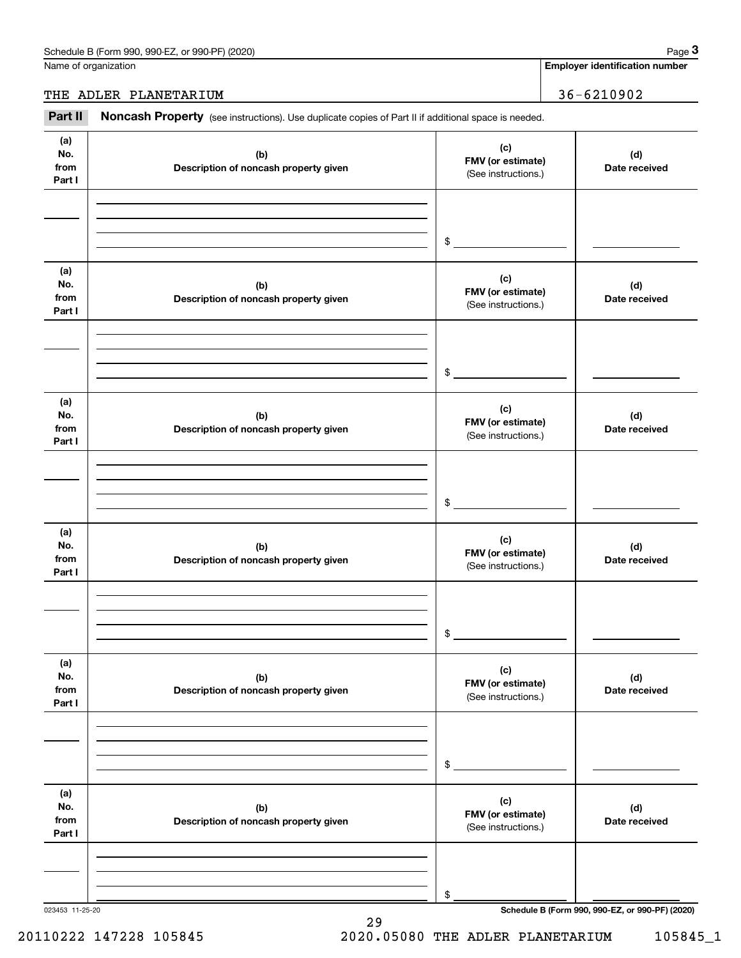Name of organization

**Employer identification number**

#### THE ADLER PLANETARIUM 36-6210902

Chedule B (Form 990, 990-EZ, or 990-PF) (2020)<br>
lame of organization<br> **29 Employer identification number**<br> **29 Employer identification number**<br>
29 THE ADLER PLANETARIUM<br>
29 THE ADLER PLANETARIUM<br>
29 THE ADLER PLANETARIUM

| (a)<br>No.<br>from<br>Part I | (b)<br>Description of noncash property given | (c)<br>FMV (or estimate)<br>(See instructions.) | (d)<br>Date received                            |
|------------------------------|----------------------------------------------|-------------------------------------------------|-------------------------------------------------|
|                              |                                              |                                                 |                                                 |
|                              |                                              | $\frac{1}{2}$                                   |                                                 |
| (a)<br>No.<br>from<br>Part I | (b)<br>Description of noncash property given | (c)<br>FMV (or estimate)<br>(See instructions.) | (d)<br>Date received                            |
|                              |                                              | $\frac{1}{2}$                                   |                                                 |
| (a)<br>No.<br>from<br>Part I | (b)<br>Description of noncash property given | (c)<br>FMV (or estimate)<br>(See instructions.) | (d)<br>Date received                            |
|                              |                                              | $\frac{1}{2}$                                   |                                                 |
| (a)<br>No.<br>from<br>Part I | (b)<br>Description of noncash property given | (c)<br>FMV (or estimate)<br>(See instructions.) | (d)<br>Date received                            |
|                              |                                              | \$                                              |                                                 |
| (a)<br>No.<br>from<br>Part I | (b)<br>Description of noncash property given | (c)<br>FMV (or estimate)<br>(See instructions.) | (d)<br>Date received                            |
|                              |                                              | \$                                              |                                                 |
| (a)<br>No.<br>from<br>Part I | (b)<br>Description of noncash property given | (c)<br>FMV (or estimate)<br>(See instructions.) | (d)<br>Date received                            |
|                              |                                              |                                                 |                                                 |
| 023453 11-25-20              |                                              | \$                                              | Schedule B (Form 990, 990-EZ, or 990-PF) (2020) |

29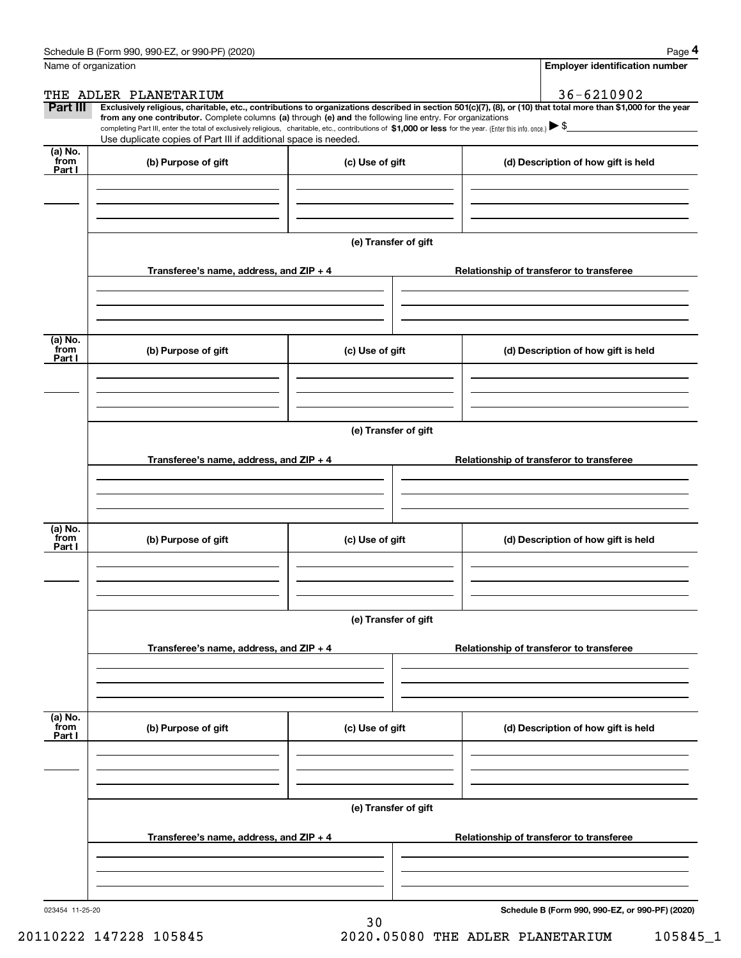|                           | Schedule B (Form 990, 990-EZ, or 990-PF) (2020)                                                                                                                                   |                      | Page 4                                                                                                                                                         |
|---------------------------|-----------------------------------------------------------------------------------------------------------------------------------------------------------------------------------|----------------------|----------------------------------------------------------------------------------------------------------------------------------------------------------------|
|                           | Name of organization                                                                                                                                                              |                      | <b>Employer identification number</b>                                                                                                                          |
|                           | THE ADLER PLANETARIUM                                                                                                                                                             |                      | 36-6210902                                                                                                                                                     |
| Part III                  | from any one contributor. Complete columns (a) through (e) and the following line entry. For organizations                                                                        |                      | Exclusively religious, charitable, etc., contributions to organizations described in section 501(c)(7), (8), or (10) that total more than \$1,000 for the year |
|                           | completing Part III, enter the total of exclusively religious, charitable, etc., contributions of \$1,000 or less for the year. (Enter this info. once.) $\blacktriangleright$ \$ |                      |                                                                                                                                                                |
| (a) No.                   | Use duplicate copies of Part III if additional space is needed.                                                                                                                   |                      |                                                                                                                                                                |
| from<br>Part I            | (b) Purpose of gift                                                                                                                                                               | (c) Use of gift      | (d) Description of how gift is held                                                                                                                            |
|                           |                                                                                                                                                                                   |                      |                                                                                                                                                                |
|                           |                                                                                                                                                                                   |                      |                                                                                                                                                                |
|                           |                                                                                                                                                                                   | (e) Transfer of gift |                                                                                                                                                                |
|                           | Transferee's name, address, and ZIP + 4                                                                                                                                           |                      | Relationship of transferor to transferee                                                                                                                       |
|                           |                                                                                                                                                                                   |                      |                                                                                                                                                                |
| (a) No.                   |                                                                                                                                                                                   |                      |                                                                                                                                                                |
| from<br>Part I            | (b) Purpose of gift                                                                                                                                                               | (c) Use of gift      | (d) Description of how gift is held                                                                                                                            |
|                           |                                                                                                                                                                                   |                      |                                                                                                                                                                |
|                           |                                                                                                                                                                                   |                      |                                                                                                                                                                |
|                           |                                                                                                                                                                                   | (e) Transfer of gift |                                                                                                                                                                |
|                           | Transferee's name, address, and ZIP + 4                                                                                                                                           |                      | Relationship of transferor to transferee                                                                                                                       |
|                           |                                                                                                                                                                                   |                      |                                                                                                                                                                |
|                           |                                                                                                                                                                                   |                      |                                                                                                                                                                |
| (a) No.<br>from<br>Part I | (b) Purpose of gift                                                                                                                                                               | (c) Use of gift      | (d) Description of how gift is held                                                                                                                            |
|                           |                                                                                                                                                                                   |                      |                                                                                                                                                                |
|                           |                                                                                                                                                                                   |                      |                                                                                                                                                                |
|                           |                                                                                                                                                                                   | (e) Transfer of gift |                                                                                                                                                                |
|                           | Transferee's name, address, and $ZIP + 4$                                                                                                                                         |                      | Relationship of transferor to transferee                                                                                                                       |
|                           |                                                                                                                                                                                   |                      |                                                                                                                                                                |
|                           |                                                                                                                                                                                   |                      |                                                                                                                                                                |
| (a) No.<br>from<br>Part I | (b) Purpose of gift                                                                                                                                                               | (c) Use of gift      | (d) Description of how gift is held                                                                                                                            |
|                           |                                                                                                                                                                                   |                      |                                                                                                                                                                |
|                           |                                                                                                                                                                                   |                      |                                                                                                                                                                |
|                           |                                                                                                                                                                                   | (e) Transfer of gift |                                                                                                                                                                |
|                           | Transferee's name, address, and ZIP + 4                                                                                                                                           |                      | Relationship of transferor to transferee                                                                                                                       |
|                           |                                                                                                                                                                                   |                      |                                                                                                                                                                |
|                           |                                                                                                                                                                                   |                      |                                                                                                                                                                |
|                           |                                                                                                                                                                                   |                      |                                                                                                                                                                |

30

023454 11-25-20

**Schedule B (Form 990, 990-EZ, or 990-PF) (2020)**

20110222 147228 105845 2020.05080 THE ADLER PLANETARIUM 105845\_1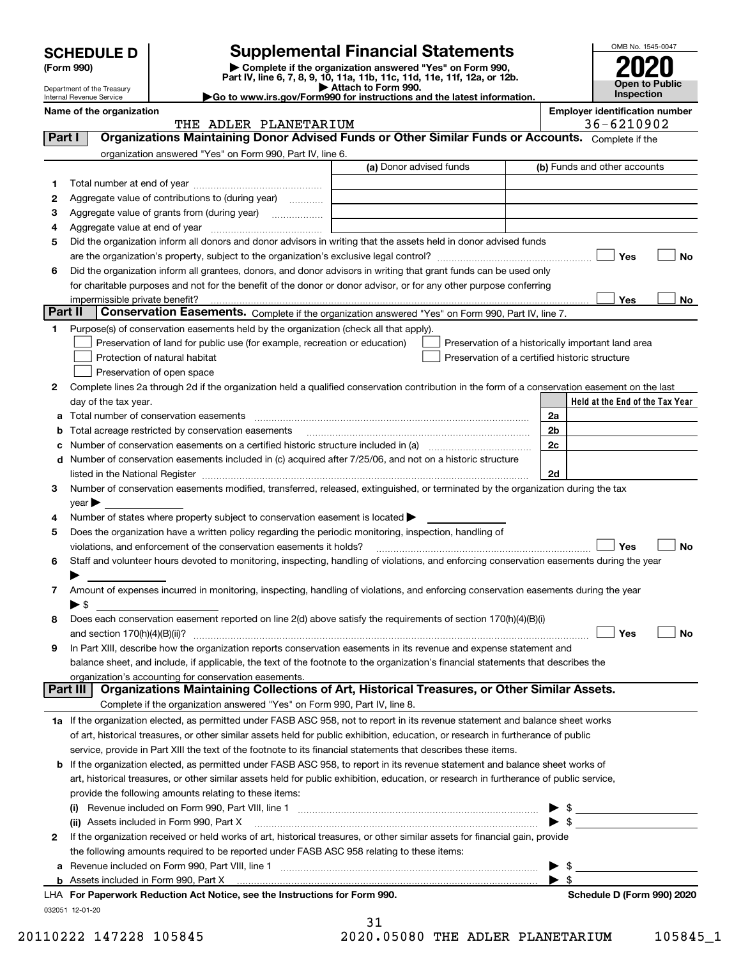|         | <b>SCHEDULE D</b>                                                                                                                                       | <b>Supplemental Financial Statements</b>                                                                                                              |                         |                                                    |                          | OMB No. 1545-0047               |  |  |  |
|---------|---------------------------------------------------------------------------------------------------------------------------------------------------------|-------------------------------------------------------------------------------------------------------------------------------------------------------|-------------------------|----------------------------------------------------|--------------------------|---------------------------------|--|--|--|
|         | (Form 990)                                                                                                                                              |                                                                                                                                                       |                         |                                                    |                          |                                 |  |  |  |
|         |                                                                                                                                                         |                                                                                                                                                       | <b>Open to Public</b>   |                                                    |                          |                                 |  |  |  |
|         | Attach to Form 990.<br>Department of the Treasury<br>Go to www.irs.gov/Form990 for instructions and the latest information.<br>Internal Revenue Service |                                                                                                                                                       |                         |                                                    |                          |                                 |  |  |  |
|         | <b>Employer identification number</b><br>Name of the organization                                                                                       |                                                                                                                                                       |                         |                                                    |                          |                                 |  |  |  |
|         | 36-6210902<br>THE ADLER PLANETARIUM<br>Organizations Maintaining Donor Advised Funds or Other Similar Funds or Accounts. Complete if the                |                                                                                                                                                       |                         |                                                    |                          |                                 |  |  |  |
| Part I  |                                                                                                                                                         |                                                                                                                                                       |                         |                                                    |                          |                                 |  |  |  |
|         |                                                                                                                                                         | organization answered "Yes" on Form 990, Part IV, line 6.                                                                                             | (a) Donor advised funds |                                                    |                          | (b) Funds and other accounts    |  |  |  |
|         |                                                                                                                                                         |                                                                                                                                                       |                         |                                                    |                          |                                 |  |  |  |
| 1<br>2  |                                                                                                                                                         | Aggregate value of contributions to (during year)                                                                                                     |                         |                                                    |                          |                                 |  |  |  |
| 3       |                                                                                                                                                         |                                                                                                                                                       |                         |                                                    |                          |                                 |  |  |  |
| 4       |                                                                                                                                                         |                                                                                                                                                       |                         |                                                    |                          |                                 |  |  |  |
| 5       |                                                                                                                                                         | Did the organization inform all donors and donor advisors in writing that the assets held in donor advised funds                                      |                         |                                                    |                          |                                 |  |  |  |
|         |                                                                                                                                                         |                                                                                                                                                       |                         |                                                    |                          | Yes<br>No                       |  |  |  |
| 6       |                                                                                                                                                         | Did the organization inform all grantees, donors, and donor advisors in writing that grant funds can be used only                                     |                         |                                                    |                          |                                 |  |  |  |
|         |                                                                                                                                                         | for charitable purposes and not for the benefit of the donor or donor advisor, or for any other purpose conferring                                    |                         |                                                    |                          |                                 |  |  |  |
|         |                                                                                                                                                         |                                                                                                                                                       |                         |                                                    |                          | <b>Yes</b><br>No                |  |  |  |
| Part II |                                                                                                                                                         | Conservation Easements. Complete if the organization answered "Yes" on Form 990, Part IV, line 7.                                                     |                         |                                                    |                          |                                 |  |  |  |
| 1       |                                                                                                                                                         | Purpose(s) of conservation easements held by the organization (check all that apply).                                                                 |                         |                                                    |                          |                                 |  |  |  |
|         |                                                                                                                                                         | Preservation of land for public use (for example, recreation or education)                                                                            |                         | Preservation of a historically important land area |                          |                                 |  |  |  |
|         |                                                                                                                                                         | Protection of natural habitat                                                                                                                         |                         | Preservation of a certified historic structure     |                          |                                 |  |  |  |
|         |                                                                                                                                                         | Preservation of open space                                                                                                                            |                         |                                                    |                          |                                 |  |  |  |
| 2       |                                                                                                                                                         | Complete lines 2a through 2d if the organization held a qualified conservation contribution in the form of a conservation easement on the last        |                         |                                                    |                          |                                 |  |  |  |
|         | day of the tax year.                                                                                                                                    |                                                                                                                                                       |                         |                                                    |                          | Held at the End of the Tax Year |  |  |  |
| a       |                                                                                                                                                         |                                                                                                                                                       |                         |                                                    | 2a                       |                                 |  |  |  |
| b       |                                                                                                                                                         | Total acreage restricted by conservation easements                                                                                                    |                         |                                                    | 2b                       |                                 |  |  |  |
| с       |                                                                                                                                                         |                                                                                                                                                       |                         |                                                    | 2c                       |                                 |  |  |  |
|         |                                                                                                                                                         | d Number of conservation easements included in (c) acquired after 7/25/06, and not on a historic structure                                            |                         |                                                    | 2d                       |                                 |  |  |  |
| 3       |                                                                                                                                                         | Number of conservation easements modified, transferred, released, extinguished, or terminated by the organization during the tax                      |                         |                                                    |                          |                                 |  |  |  |
|         | $year \blacktriangleright$                                                                                                                              |                                                                                                                                                       |                         |                                                    |                          |                                 |  |  |  |
| 4       |                                                                                                                                                         | Number of states where property subject to conservation easement is located $\blacktriangleright$                                                     |                         |                                                    |                          |                                 |  |  |  |
| 5       |                                                                                                                                                         | Does the organization have a written policy regarding the periodic monitoring, inspection, handling of                                                |                         |                                                    |                          |                                 |  |  |  |
|         |                                                                                                                                                         | violations, and enforcement of the conservation easements it holds?                                                                                   |                         |                                                    |                          | Yes<br><b>No</b>                |  |  |  |
| 6       |                                                                                                                                                         | Staff and volunteer hours devoted to monitoring, inspecting, handling of violations, and enforcing conservation easements during the year             |                         |                                                    |                          |                                 |  |  |  |
|         |                                                                                                                                                         |                                                                                                                                                       |                         |                                                    |                          |                                 |  |  |  |
| 7       |                                                                                                                                                         | Amount of expenses incurred in monitoring, inspecting, handling of violations, and enforcing conservation easements during the year                   |                         |                                                    |                          |                                 |  |  |  |
|         | $\blacktriangleright$ \$                                                                                                                                |                                                                                                                                                       |                         |                                                    |                          |                                 |  |  |  |
| 8       |                                                                                                                                                         | Does each conservation easement reported on line 2(d) above satisfy the requirements of section 170(h)(4)(B)(i)                                       |                         |                                                    |                          |                                 |  |  |  |
|         |                                                                                                                                                         |                                                                                                                                                       |                         |                                                    |                          | Yes<br>No                       |  |  |  |
| 9       |                                                                                                                                                         | In Part XIII, describe how the organization reports conservation easements in its revenue and expense statement and                                   |                         |                                                    |                          |                                 |  |  |  |
|         |                                                                                                                                                         | balance sheet, and include, if applicable, the text of the footnote to the organization's financial statements that describes the                     |                         |                                                    |                          |                                 |  |  |  |
|         | Part III                                                                                                                                                | organization's accounting for conservation easements.<br>Organizations Maintaining Collections of Art, Historical Treasures, or Other Similar Assets. |                         |                                                    |                          |                                 |  |  |  |
|         |                                                                                                                                                         | Complete if the organization answered "Yes" on Form 990, Part IV, line 8.                                                                             |                         |                                                    |                          |                                 |  |  |  |
|         |                                                                                                                                                         | 1a If the organization elected, as permitted under FASB ASC 958, not to report in its revenue statement and balance sheet works                       |                         |                                                    |                          |                                 |  |  |  |
|         |                                                                                                                                                         | of art, historical treasures, or other similar assets held for public exhibition, education, or research in furtherance of public                     |                         |                                                    |                          |                                 |  |  |  |
|         |                                                                                                                                                         | service, provide in Part XIII the text of the footnote to its financial statements that describes these items.                                        |                         |                                                    |                          |                                 |  |  |  |
|         |                                                                                                                                                         | <b>b</b> If the organization elected, as permitted under FASB ASC 958, to report in its revenue statement and balance sheet works of                  |                         |                                                    |                          |                                 |  |  |  |
|         |                                                                                                                                                         | art, historical treasures, or other similar assets held for public exhibition, education, or research in furtherance of public service,               |                         |                                                    |                          |                                 |  |  |  |
|         |                                                                                                                                                         | provide the following amounts relating to these items:                                                                                                |                         |                                                    |                          |                                 |  |  |  |
|         |                                                                                                                                                         |                                                                                                                                                       |                         |                                                    | - \$                     |                                 |  |  |  |
|         |                                                                                                                                                         | (ii) Assets included in Form 990, Part X                                                                                                              |                         |                                                    | $\blacktriangleright$ \$ |                                 |  |  |  |
| 2       |                                                                                                                                                         | If the organization received or held works of art, historical treasures, or other similar assets for financial gain, provide                          |                         |                                                    |                          |                                 |  |  |  |
|         |                                                                                                                                                         | the following amounts required to be reported under FASB ASC 958 relating to these items:                                                             |                         |                                                    |                          |                                 |  |  |  |
| а       |                                                                                                                                                         |                                                                                                                                                       |                         |                                                    | - \$                     |                                 |  |  |  |
|         |                                                                                                                                                         |                                                                                                                                                       |                         |                                                    | $\blacktriangleright$ \$ |                                 |  |  |  |

|  | <b>b</b> Assets included in Form 990, Part X |  |
|--|----------------------------------------------|--|

032051 12-01-20 **For Paperwork Reduction Act Notice, see the Instructions for Form 990. Schedule D (Form 990) 2020** LHA

31

20110222 147228 105845 2020.05080 THE ADLER PLANETARIUM 105845\_1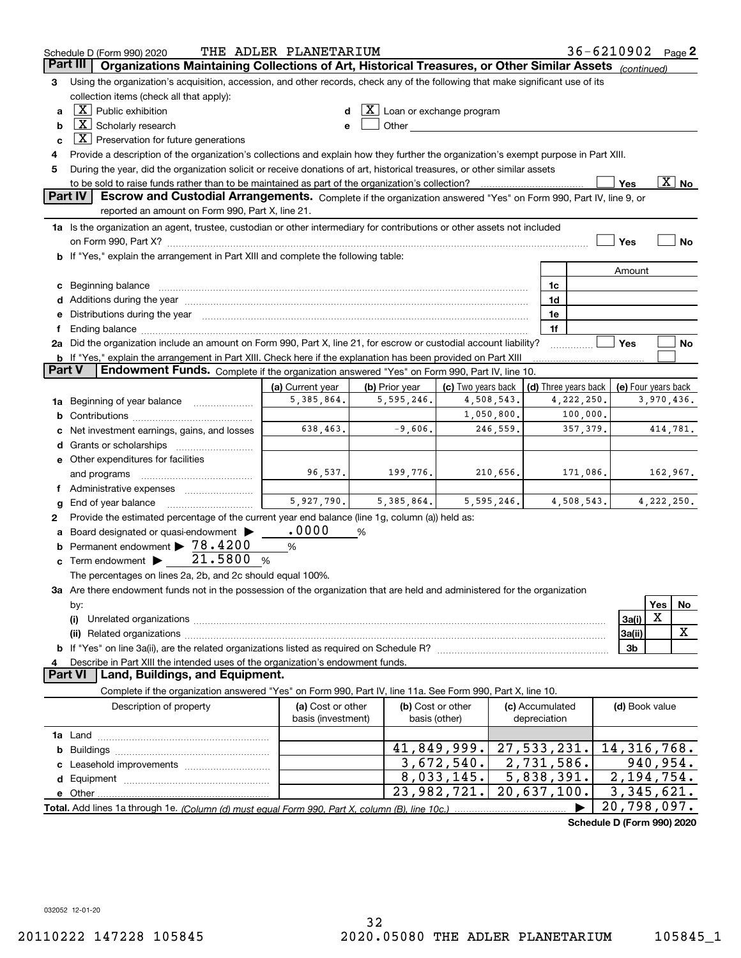|        | Schedule D (Form 990) 2020                                                                                                                                                                                                                  | THE ADLER PLANETARIUM |                                         |                                                                                                                                                                                                                                |                             |            | 36-6210902 Page 2          |            |                          |
|--------|---------------------------------------------------------------------------------------------------------------------------------------------------------------------------------------------------------------------------------------------|-----------------------|-----------------------------------------|--------------------------------------------------------------------------------------------------------------------------------------------------------------------------------------------------------------------------------|-----------------------------|------------|----------------------------|------------|--------------------------|
|        | Organizations Maintaining Collections of Art, Historical Treasures, or Other Similar Assets (continued)<br>Part III                                                                                                                         |                       |                                         |                                                                                                                                                                                                                                |                             |            |                            |            |                          |
| з      | Using the organization's acquisition, accession, and other records, check any of the following that make significant use of its                                                                                                             |                       |                                         |                                                                                                                                                                                                                                |                             |            |                            |            |                          |
|        | collection items (check all that apply):                                                                                                                                                                                                    |                       |                                         |                                                                                                                                                                                                                                |                             |            |                            |            |                          |
| a      | $X$ Public exhibition                                                                                                                                                                                                                       |                       | $ \mathbf{X} $ Loan or exchange program |                                                                                                                                                                                                                                |                             |            |                            |            |                          |
| b      | $\lfloor \mathbf{X} \rfloor$ Scholarly research                                                                                                                                                                                             |                       |                                         | Other and the control of the control of the control of the control of the control of the control of the control of the control of the control of the control of the control of the control of the control of the control of th |                             |            |                            |            |                          |
| C      | $\boxed{\textbf{X}}$ Preservation for future generations                                                                                                                                                                                    |                       |                                         |                                                                                                                                                                                                                                |                             |            |                            |            |                          |
| 4      | Provide a description of the organization's collections and explain how they further the organization's exempt purpose in Part XIII.                                                                                                        |                       |                                         |                                                                                                                                                                                                                                |                             |            |                            |            |                          |
| 5      | During the year, did the organization solicit or receive donations of art, historical treasures, or other similar assets                                                                                                                    |                       |                                         |                                                                                                                                                                                                                                |                             |            |                            |            |                          |
|        | to be sold to raise funds rather than to be maintained as part of the organization's collection?                                                                                                                                            |                       |                                         |                                                                                                                                                                                                                                |                             |            | Yes                        |            | $\overline{\text{X}}$ No |
|        | <b>Part IV</b><br>Escrow and Custodial Arrangements. Complete if the organization answered "Yes" on Form 990, Part IV, line 9, or                                                                                                           |                       |                                         |                                                                                                                                                                                                                                |                             |            |                            |            |                          |
|        | reported an amount on Form 990, Part X, line 21.                                                                                                                                                                                            |                       |                                         |                                                                                                                                                                                                                                |                             |            |                            |            |                          |
|        | 1a Is the organization an agent, trustee, custodian or other intermediary for contributions or other assets not included                                                                                                                    |                       |                                         |                                                                                                                                                                                                                                |                             |            |                            |            |                          |
|        |                                                                                                                                                                                                                                             |                       |                                         |                                                                                                                                                                                                                                |                             |            | Yes                        |            | No                       |
|        | b If "Yes," explain the arrangement in Part XIII and complete the following table:                                                                                                                                                          |                       |                                         |                                                                                                                                                                                                                                |                             |            |                            |            |                          |
|        |                                                                                                                                                                                                                                             |                       |                                         |                                                                                                                                                                                                                                |                             |            | Amount                     |            |                          |
| c      | Beginning balance manufactured and contain an account of the state of the state of the state of the state of t                                                                                                                              |                       |                                         |                                                                                                                                                                                                                                | 1c                          |            |                            |            |                          |
|        |                                                                                                                                                                                                                                             |                       |                                         |                                                                                                                                                                                                                                | 1d                          |            |                            |            |                          |
|        | e Distributions during the year manufactured and continuum and contained and the year manufactured and contained and the year manufactured and contained and contained and contained and contained and contained and contained              |                       |                                         |                                                                                                                                                                                                                                | 1e                          |            |                            |            |                          |
| f      | Ending balance manufactured and contact the contract of the contract of the contract of the contract of the contract of the contract of the contract of the contract of the contract of the contract of the contract of the co              |                       |                                         |                                                                                                                                                                                                                                | 1f                          |            |                            |            |                          |
|        | 2a Did the organization include an amount on Form 990, Part X, line 21, for escrow or custodial account liability?<br><b>b</b> If "Yes," explain the arrangement in Part XIII. Check here if the explanation has been provided on Part XIII |                       |                                         |                                                                                                                                                                                                                                |                             |            | Yes                        |            | No                       |
| Part V | Endowment Funds. Complete if the organization answered "Yes" on Form 990, Part IV, line 10.                                                                                                                                                 |                       |                                         |                                                                                                                                                                                                                                |                             |            |                            |            |                          |
|        |                                                                                                                                                                                                                                             | (a) Current year      | (b) Prior year                          | (c) Two years back                                                                                                                                                                                                             | (d) Three years back        |            | (e) Four years back        |            |                          |
| 1a     | Beginning of year balance                                                                                                                                                                                                                   | 5, 385, 864.          | 5,595,246.                              | 4,508,543.                                                                                                                                                                                                                     |                             | 4,222,250. |                            | 3,970,436. |                          |
|        |                                                                                                                                                                                                                                             |                       |                                         | 1,050,800.                                                                                                                                                                                                                     |                             | 100,000.   |                            |            |                          |
|        | Net investment earnings, gains, and losses                                                                                                                                                                                                  | 638,463.              | $-9,606.$                               | 246,559.                                                                                                                                                                                                                       |                             | 357, 379.  |                            |            | 414,781.                 |
| d      | Grants or scholarships                                                                                                                                                                                                                      |                       |                                         |                                                                                                                                                                                                                                |                             |            |                            |            |                          |
|        | e Other expenditures for facilities                                                                                                                                                                                                         |                       |                                         |                                                                                                                                                                                                                                |                             |            |                            |            |                          |
|        | and programs                                                                                                                                                                                                                                | 96,537.               | 199,776.                                | 210,656.                                                                                                                                                                                                                       |                             | 171,086.   |                            |            | 162,967.                 |
|        | f Administrative expenses                                                                                                                                                                                                                   |                       |                                         |                                                                                                                                                                                                                                |                             |            |                            |            |                          |
| g      | End of year balance                                                                                                                                                                                                                         | 5,927,790.            | 5,385,864.                              | 5,595,246.                                                                                                                                                                                                                     |                             | 4,508,543. |                            | 4,222,250. |                          |
| 2      | Provide the estimated percentage of the current year end balance (line 1g, column (a)) held as:                                                                                                                                             |                       |                                         |                                                                                                                                                                                                                                |                             |            |                            |            |                          |
|        | Board designated or quasi-endowment >                                                                                                                                                                                                       | .0000                 | %                                       |                                                                                                                                                                                                                                |                             |            |                            |            |                          |
| b      | Permanent endowment > 78.4200                                                                                                                                                                                                               | %                     |                                         |                                                                                                                                                                                                                                |                             |            |                            |            |                          |
| c      | 21.5800<br>Term endowment >                                                                                                                                                                                                                 | %                     |                                         |                                                                                                                                                                                                                                |                             |            |                            |            |                          |
|        | The percentages on lines 2a, 2b, and 2c should equal 100%.                                                                                                                                                                                  |                       |                                         |                                                                                                                                                                                                                                |                             |            |                            |            |                          |
|        | 3a Are there endowment funds not in the possession of the organization that are held and administered for the organization                                                                                                                  |                       |                                         |                                                                                                                                                                                                                                |                             |            |                            |            |                          |
|        | by:                                                                                                                                                                                                                                         |                       |                                         |                                                                                                                                                                                                                                |                             |            |                            | Yes        | No                       |
|        | (i)                                                                                                                                                                                                                                         |                       |                                         |                                                                                                                                                                                                                                |                             |            | 3a(i)                      | X          |                          |
|        |                                                                                                                                                                                                                                             |                       |                                         |                                                                                                                                                                                                                                |                             |            | 3a(ii)                     |            | х                        |
|        |                                                                                                                                                                                                                                             |                       |                                         |                                                                                                                                                                                                                                |                             |            | 3b                         |            |                          |
| 4      | Describe in Part XIII the intended uses of the organization's endowment funds.                                                                                                                                                              |                       |                                         |                                                                                                                                                                                                                                |                             |            |                            |            |                          |
|        | Land, Buildings, and Equipment.<br>Part VI                                                                                                                                                                                                  |                       |                                         |                                                                                                                                                                                                                                |                             |            |                            |            |                          |
|        | Complete if the organization answered "Yes" on Form 990, Part IV, line 11a. See Form 990, Part X, line 10.                                                                                                                                  |                       |                                         |                                                                                                                                                                                                                                |                             |            |                            |            |                          |
|        | Description of property                                                                                                                                                                                                                     | (a) Cost or other     | (b) Cost or other                       |                                                                                                                                                                                                                                | (c) Accumulated             |            | (d) Book value             |            |                          |
|        |                                                                                                                                                                                                                                             | basis (investment)    | basis (other)                           |                                                                                                                                                                                                                                | depreciation                |            |                            |            |                          |
|        |                                                                                                                                                                                                                                             |                       |                                         | 41,849,999.                                                                                                                                                                                                                    | 27,533,231.                 |            | 14, 316, 768.              |            |                          |
| b      |                                                                                                                                                                                                                                             |                       |                                         | 3,672,540.                                                                                                                                                                                                                     | 2,731,586.                  |            |                            | 940,954.   |                          |
|        |                                                                                                                                                                                                                                             |                       |                                         | 8,033,145.                                                                                                                                                                                                                     | 5,838,391.                  |            | 2,194,754.                 |            |                          |
|        |                                                                                                                                                                                                                                             |                       |                                         | 23,982,721.                                                                                                                                                                                                                    | $\overline{20}$ , 637, 100. |            | 3,345,621.                 |            |                          |
|        |                                                                                                                                                                                                                                             |                       |                                         |                                                                                                                                                                                                                                |                             |            | 20,798,097.                |            |                          |
|        |                                                                                                                                                                                                                                             |                       |                                         |                                                                                                                                                                                                                                |                             |            | Schedule D (Form 990) 2020 |            |                          |
|        |                                                                                                                                                                                                                                             |                       |                                         |                                                                                                                                                                                                                                |                             |            |                            |            |                          |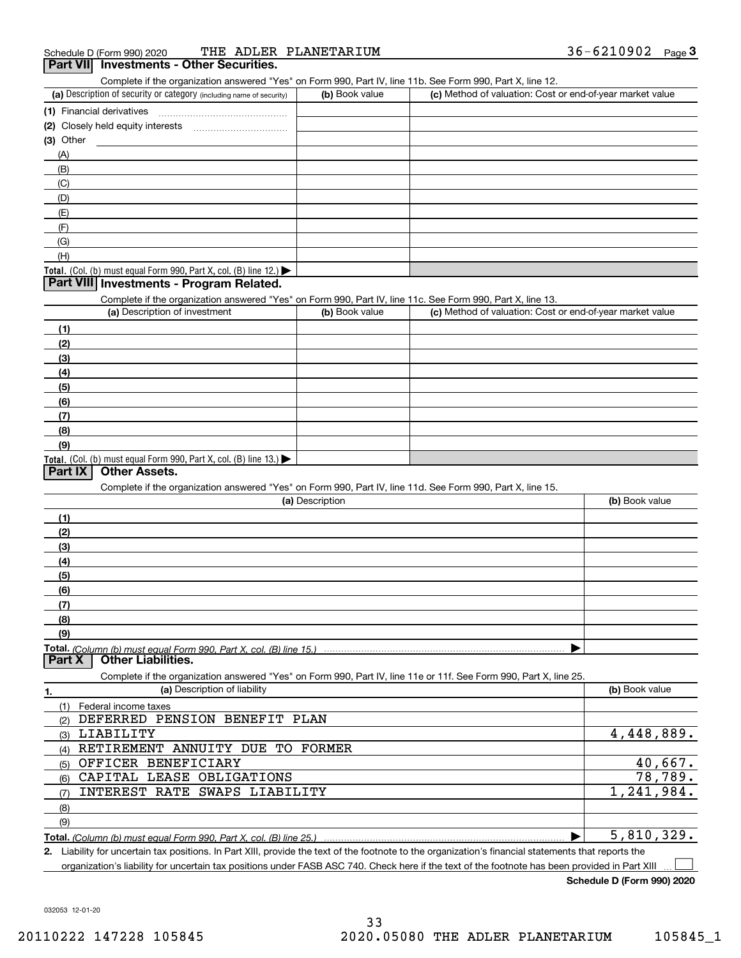| Schedule D (Form 990) 2020 |  | THE ADLER PLANETARIUM |
|----------------------------|--|-----------------------|
|----------------------------|--|-----------------------|

| THE ADLER PLANETARIUM<br>Schedule D (Form 990) 2020                                                               |                 |                                                           | 36-6210902<br>Page $\bm{3}$ |
|-------------------------------------------------------------------------------------------------------------------|-----------------|-----------------------------------------------------------|-----------------------------|
| Part VII Investments - Other Securities.                                                                          |                 |                                                           |                             |
| Complete if the organization answered "Yes" on Form 990, Part IV, line 11b. See Form 990, Part X, line 12.        |                 |                                                           |                             |
| (a) Description of security or category (including name of security)                                              | (b) Book value  | (c) Method of valuation: Cost or end-of-year market value |                             |
|                                                                                                                   |                 |                                                           |                             |
|                                                                                                                   |                 |                                                           |                             |
| $(3)$ Other                                                                                                       |                 |                                                           |                             |
| (A)                                                                                                               |                 |                                                           |                             |
| (B)                                                                                                               |                 |                                                           |                             |
| (C)                                                                                                               |                 |                                                           |                             |
| (D)                                                                                                               |                 |                                                           |                             |
| (E)                                                                                                               |                 |                                                           |                             |
| (F)                                                                                                               |                 |                                                           |                             |
| (G)                                                                                                               |                 |                                                           |                             |
| (H)                                                                                                               |                 |                                                           |                             |
| Total. (Col. (b) must equal Form 990, Part X, col. (B) line 12.)                                                  |                 |                                                           |                             |
| Part VIII Investments - Program Related.                                                                          |                 |                                                           |                             |
| Complete if the organization answered "Yes" on Form 990, Part IV, line 11c. See Form 990, Part X, line 13.        |                 |                                                           |                             |
| (a) Description of investment                                                                                     | (b) Book value  | (c) Method of valuation: Cost or end-of-year market value |                             |
| (1)                                                                                                               |                 |                                                           |                             |
| (2)                                                                                                               |                 |                                                           |                             |
| (3)                                                                                                               |                 |                                                           |                             |
| (4)                                                                                                               |                 |                                                           |                             |
| (5)                                                                                                               |                 |                                                           |                             |
| (6)                                                                                                               |                 |                                                           |                             |
| (7)                                                                                                               |                 |                                                           |                             |
| (8)                                                                                                               |                 |                                                           |                             |
| (9)                                                                                                               |                 |                                                           |                             |
| Total. (Col. (b) must equal Form 990, Part X, col. (B) line 13.)                                                  |                 |                                                           |                             |
| <b>Other Assets.</b><br>Part IX                                                                                   |                 |                                                           |                             |
| Complete if the organization answered "Yes" on Form 990, Part IV, line 11d. See Form 990, Part X, line 15.        |                 |                                                           |                             |
|                                                                                                                   | (a) Description |                                                           | (b) Book value              |
| (1)                                                                                                               |                 |                                                           |                             |
| (2)                                                                                                               |                 |                                                           |                             |
| (3)                                                                                                               |                 |                                                           |                             |
| (4)                                                                                                               |                 |                                                           |                             |
| (5)                                                                                                               |                 |                                                           |                             |
| (6)                                                                                                               |                 |                                                           |                             |
|                                                                                                                   |                 |                                                           |                             |
| (7)                                                                                                               |                 |                                                           |                             |
| (8)<br>(9)                                                                                                        |                 |                                                           |                             |
|                                                                                                                   |                 |                                                           |                             |
| <b>Other Liabilities.</b><br>Part X                                                                               |                 |                                                           |                             |
| Complete if the organization answered "Yes" on Form 990, Part IV, line 11e or 11f. See Form 990, Part X, line 25. |                 |                                                           |                             |
| (a) Description of liability                                                                                      |                 |                                                           | (b) Book value              |
| 1.<br>(1) Federal income taxes                                                                                    |                 |                                                           |                             |
| DEFERRED PENSION BENEFIT PLAN                                                                                     |                 |                                                           |                             |
| (2)<br>(3) LIABILITY                                                                                              |                 |                                                           | 4,448,889.                  |
| (4) RETIREMENT ANNUITY DUE TO FORMER                                                                              |                 |                                                           |                             |
| (5) OFFICER BENEFICIARY                                                                                           |                 |                                                           | 40,667.                     |
| (6) CAPITAL LEASE OBLIGATIONS                                                                                     |                 |                                                           | 78,789.                     |
|                                                                                                                   |                 |                                                           |                             |

**Total.**  *(Column (b) must equal Form 990, Part X, col. (B) line 25.)*  $\blacktriangleright$ 

Liability for uncertain tax positions. In Part XIII, provide the text of the footnote to the organization's financial statements that reports the

organization's liability for uncertain tax positions under FASB ASC 740. Check here if the text of the footnote has been provided in Part XIII

**Schedule D (Form 990) 2020**

1,241,984.

5,810,329.

 $\mathcal{L}^{\text{max}}$ 

032053 12-01-20

**2.**

(7)(8)(9)

INTEREST RATE SWAPS LIABILITY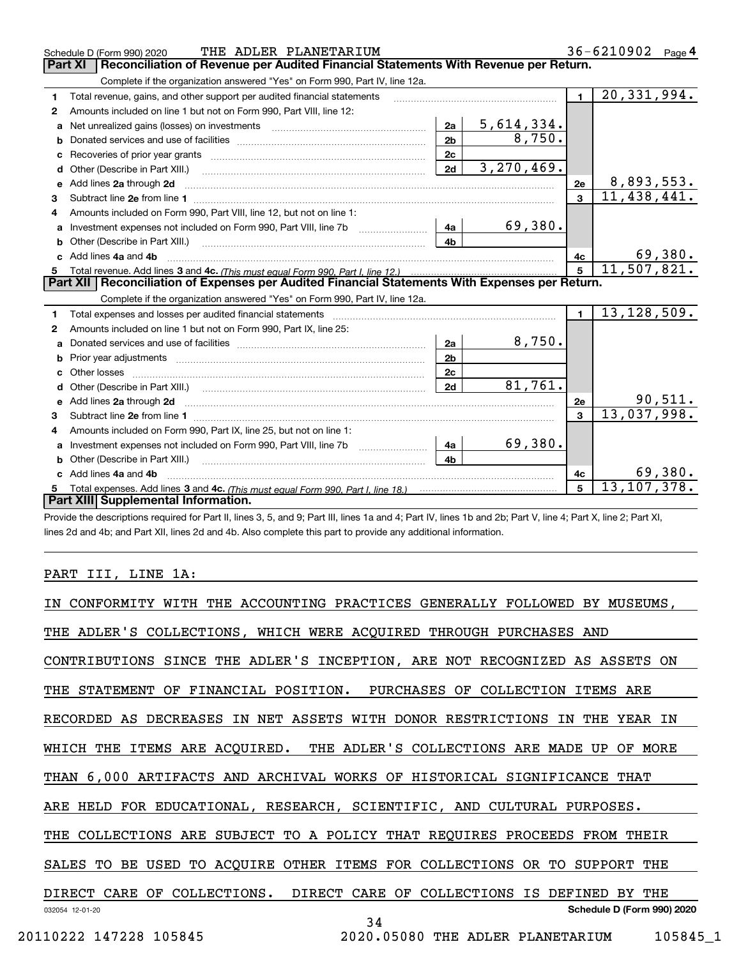|              | THE ADLER PLANETARIUM<br>Schedule D (Form 990) 2020                                                                                                                                                                                 |                |                            |                | 36-6210902<br>Page 4             |
|--------------|-------------------------------------------------------------------------------------------------------------------------------------------------------------------------------------------------------------------------------------|----------------|----------------------------|----------------|----------------------------------|
|              | Reconciliation of Revenue per Audited Financial Statements With Revenue per Return.<br><b>Part XI</b>                                                                                                                               |                |                            |                |                                  |
|              | Complete if the organization answered "Yes" on Form 990, Part IV, line 12a.                                                                                                                                                         |                |                            |                |                                  |
| 1            | Total revenue, gains, and other support per audited financial statements                                                                                                                                                            |                |                            | $\blacksquare$ | 20,331,994.                      |
| $\mathbf{2}$ | Amounts included on line 1 but not on Form 990, Part VIII, line 12:                                                                                                                                                                 |                |                            |                |                                  |
| a            |                                                                                                                                                                                                                                     | 2a             | 5,614,334.                 |                |                                  |
|              |                                                                                                                                                                                                                                     | 2 <sub>b</sub> | 8,750.                     |                |                                  |
|              |                                                                                                                                                                                                                                     | 2c             |                            |                |                                  |
| d            | Other (Describe in Part XIII.) <b>Construction Construction</b> Chern Construction Chern Chern Chern Chern Chern Chern                                                                                                              | 2d             | $\overline{3}$ , 270, 469. |                |                                  |
| е            | Add lines 2a through 2d                                                                                                                                                                                                             |                |                            | 2e             | $\frac{8,893,553.}{11,438,441.}$ |
| 3            |                                                                                                                                                                                                                                     |                |                            | $\mathbf{3}$   |                                  |
| 4            | Amounts included on Form 990, Part VIII, line 12, but not on line 1:                                                                                                                                                                |                |                            |                |                                  |
|              | Investment expenses not included on Form 990, Part VIII, line 7b [100] [100] [100] [4a]                                                                                                                                             |                | 69,380.                    |                |                                  |
| b            |                                                                                                                                                                                                                                     | 4 <sub>h</sub> |                            |                |                                  |
| c.           | Add lines 4a and 4b                                                                                                                                                                                                                 |                |                            | 4с             | 69,380.                          |
|              |                                                                                                                                                                                                                                     |                |                            | $\overline{5}$ | 11,507,821.                      |
|              | Part XII   Reconciliation of Expenses per Audited Financial Statements With Expenses per Return.                                                                                                                                    |                |                            |                |                                  |
|              |                                                                                                                                                                                                                                     |                |                            |                |                                  |
|              | Complete if the organization answered "Yes" on Form 990, Part IV, line 12a.                                                                                                                                                         |                |                            |                |                                  |
| 1            | Total expenses and losses per audited financial statements [11, 11] manuscription control expenses and losses per audited financial statements [11] manuscription of the statements and the statements and the statements and       |                |                            | $\mathbf{1}$   | 13, 128, 509.                    |
| 2            | Amounts included on line 1 but not on Form 990, Part IX, line 25:                                                                                                                                                                   |                |                            |                |                                  |
| a            |                                                                                                                                                                                                                                     | 2a             | 8,750.                     |                |                                  |
|              |                                                                                                                                                                                                                                     | 2 <sub>b</sub> |                            |                |                                  |
| с            |                                                                                                                                                                                                                                     | 2c             |                            |                |                                  |
| d            | Other (Describe in Part XIII.) (2000) (2000) (2000) (2010) (2010) (2010) (2010) (2010) (2010) (2010) (2010) (20                                                                                                                     | 2d             | 81,761.                    |                |                                  |
| е            |                                                                                                                                                                                                                                     |                |                            | 2e             | 90,511.                          |
| 3            |                                                                                                                                                                                                                                     |                |                            | $\mathbf{a}$   | 13,037,998.                      |
| 4            | Amounts included on Form 990, Part IX, line 25, but not on line 1:                                                                                                                                                                  |                |                            |                |                                  |
| a            | Investment expenses not included on Form 990, Part VIII, line 7b [1000000000000000000000000000000000                                                                                                                                | 4a             | 69,380.                    |                |                                  |
| b            | Other (Describe in Part XIII.) <b>Construction Contract Construction</b> Chemical Construction Chemical Chemical Chemical Chemical Chemical Chemical Chemical Chemical Chemical Chemical Chemical Chemical Chemical Chemical Chemic | 4b             |                            |                |                                  |
|              | Add lines 4a and 4b                                                                                                                                                                                                                 |                |                            | 4c             | 69,380.                          |
|              | Part XIII Supplemental Information.                                                                                                                                                                                                 |                |                            | $\overline{5}$ | 13, 107, 378.                    |

Provide the descriptions required for Part II, lines 3, 5, and 9; Part III, lines 1a and 4; Part IV, lines 1b and 2b; Part V, line 4; Part X, line 2; Part XI, lines 2d and 4b; and Part XII, lines 2d and 4b. Also complete this part to provide any additional information.

#### PART III, LINE 1A:

|                        | IN CONFORMITY WITH THE ACCOUNTING PRACTICES GENERALLY FOLLOWED BY MUSEUMS, |
|------------------------|----------------------------------------------------------------------------|
|                        | THE ADLER'S COLLECTIONS, WHICH WERE ACQUIRED THROUGH PURCHASES AND         |
|                        | CONTRIBUTIONS SINCE THE ADLER'S INCEPTION, ARE NOT RECOGNIZED AS ASSETS ON |
|                        | THE STATEMENT OF FINANCIAL POSITION. PURCHASES OF COLLECTION ITEMS ARE     |
|                        | RECORDED AS DECREASES IN NET ASSETS WITH DONOR RESTRICTIONS IN THE YEAR IN |
|                        | WHICH THE ITEMS ARE ACQUIRED. THE ADLER'S COLLECTIONS ARE MADE UP OF MORE  |
|                        | THAN 6,000 ARTIFACTS AND ARCHIVAL WORKS OF HISTORICAL SIGNIFICANCE THAT    |
|                        | ARE HELD FOR EDUCATIONAL, RESEARCH, SCIENTIFIC, AND CULTURAL PURPOSES.     |
|                        | THE COLLECTIONS ARE SUBJECT TO A POLICY THAT REQUIRES PROCEEDS FROM THEIR  |
|                        | SALES TO BE USED TO ACQUIRE OTHER ITEMS FOR COLLECTIONS OR TO SUPPORT THE  |
|                        | DIRECT CARE OF COLLECTIONS. DIRECT CARE OF COLLECTIONS IS DEFINED BY THE   |
| 032054 12-01-20        | Schedule D (Form 990) 2020<br>34                                           |
| 20110222 147228 105845 | 2020.05080 THE ADLER PLANETARIUM<br>105845 1                               |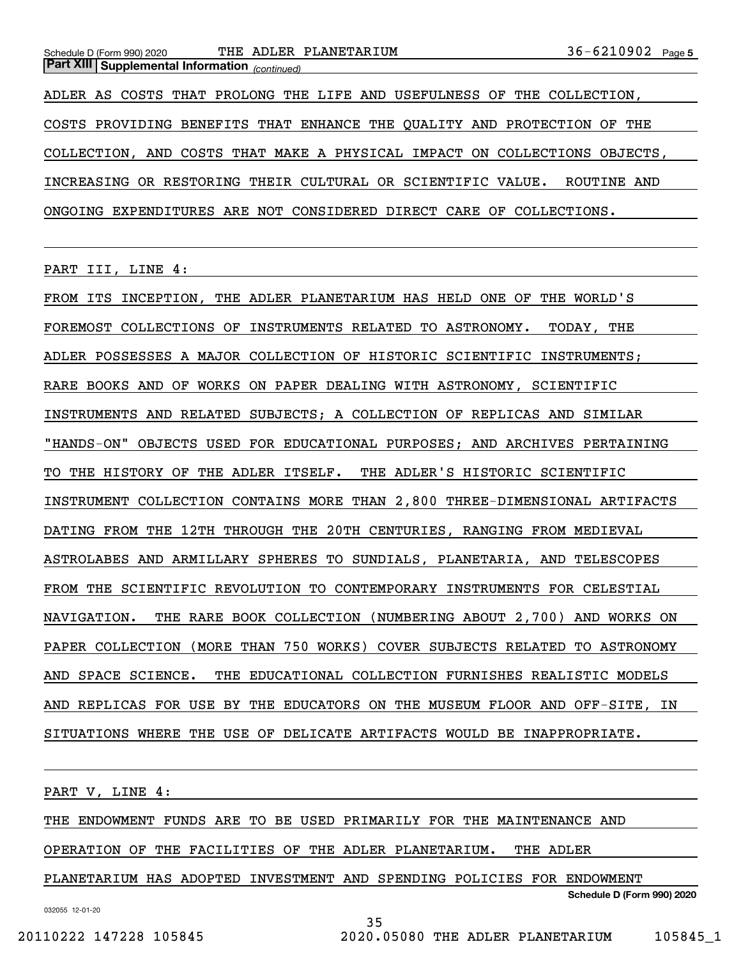*(continued)* **Part XIII Supplemental Information** 

ADLER AS COSTS THAT PROLONG THE LIFE AND USEFULNESS OF THE COLLECTION, COSTS PROVIDING BENEFITS THAT ENHANCE THE QUALITY AND PROTECTION OF THE COLLECTION, AND COSTS THAT MAKE A PHYSICAL IMPACT ON COLLECTIONS OBJECTS, INCREASING OR RESTORING THEIR CULTURAL OR SCIENTIFIC VALUE. ROUTINE AND ONGOING EXPENDITURES ARE NOT CONSIDERED DIRECT CARE OF COLLECTIONS.

PART III, LINE 4:

FROM ITS INCEPTION, THE ADLER PLANETARIUM HAS HELD ONE OF THE WORLD'S FOREMOST COLLECTIONS OF INSTRUMENTS RELATED TO ASTRONOMY. TODAY, THE ADLER POSSESSES A MAJOR COLLECTION OF HISTORIC SCIENTIFIC INSTRUMENTS; RARE BOOKS AND OF WORKS ON PAPER DEALING WITH ASTRONOMY, SCIENTIFIC INSTRUMENTS AND RELATED SUBJECTS; A COLLECTION OF REPLICAS AND SIMILAR "HANDS-ON" OBJECTS USED FOR EDUCATIONAL PURPOSES; AND ARCHIVES PERTAINING TO THE HISTORY OF THE ADLER ITSELF. THE ADLER'S HISTORIC SCIENTIFIC INSTRUMENT COLLECTION CONTAINS MORE THAN 2,800 THREE-DIMENSIONAL ARTIFACTS DATING FROM THE 12TH THROUGH THE 20TH CENTURIES, RANGING FROM MEDIEVAL ASTROLABES AND ARMILLARY SPHERES TO SUNDIALS, PLANETARIA, AND TELESCOPES FROM THE SCIENTIFIC REVOLUTION TO CONTEMPORARY INSTRUMENTS FOR CELESTIAL NAVIGATION. THE RARE BOOK COLLECTION (NUMBERING ABOUT 2,700) AND WORKS ON PAPER COLLECTION (MORE THAN 750 WORKS) COVER SUBJECTS RELATED TO ASTRONOMY AND SPACE SCIENCE. THE EDUCATIONAL COLLECTION FURNISHES REALISTIC MODELS AND REPLICAS FOR USE BY THE EDUCATORS ON THE MUSEUM FLOOR AND OFF-SITE, IN SITUATIONS WHERE THE USE OF DELICATE ARTIFACTS WOULD BE INAPPROPRIATE.

032055 12-01-20 **Schedule D (Form 990) 2020** PART V, LINE 4: THE ENDOWMENT FUNDS ARE TO BE USED PRIMARILY FOR THE MAINTENANCE AND OPERATION OF THE FACILITIES OF THE ADLER PLANETARIUM. THE ADLER PLANETARIUM HAS ADOPTED INVESTMENT AND SPENDING POLICIES FOR ENDOWMENT

35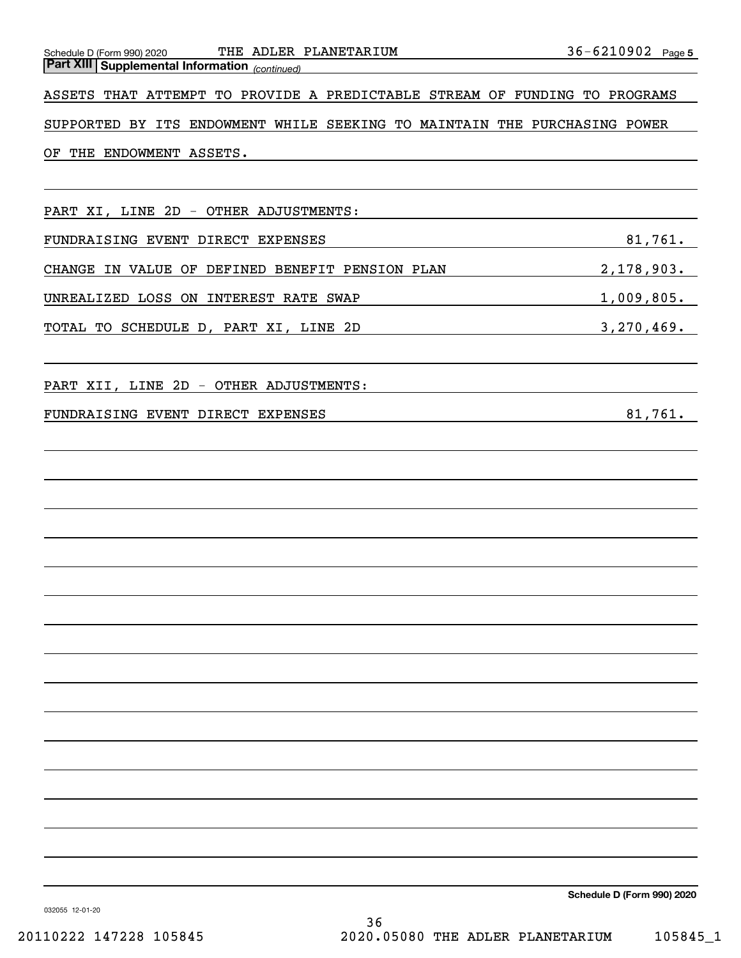| THE ADLER PLANETARIUM<br>Schedule D (Form 990) 2020                                                                                                         | 36-6210902 Page 5 |
|-------------------------------------------------------------------------------------------------------------------------------------------------------------|-------------------|
| <b>Part XIII Supplemental Information</b> (continued)                                                                                                       |                   |
| ASSETS THAT ATTEMPT TO PROVIDE A PREDICTABLE STREAM OF FUNDING TO PROGRAMS                                                                                  |                   |
| SUPPORTED BY ITS ENDOWMENT WHILE SEEKING TO MAINTAIN THE PURCHASING POWER                                                                                   |                   |
| THE ENDOWMENT ASSETS.<br>OF                                                                                                                                 |                   |
|                                                                                                                                                             |                   |
| PART XI, LINE 2D - OTHER ADJUSTMENTS:                                                                                                                       |                   |
| FUNDRAISING EVENT DIRECT EXPENSES<br><u> 1989 - Johann Stoff, deutscher Stoffen und der Stoffen und der Stoffen und der Stoffen und der Stoffen und der</u> | $81,761$ .        |
| CHANGE IN VALUE OF DEFINED BENEFIT PENSION PLAN                                                                                                             | 2,178,903.        |
| UNREALIZED LOSS ON INTEREST RATE SWAP                                                                                                                       | $1,009,805$ .     |
| TOTAL TO SCHEDULE D, PART XI, LINE 2D<br><u> 1980 - Johann Barn, mars an t-Amerikaansk kommunister (</u>                                                    | 3,270,469.        |
|                                                                                                                                                             |                   |
| PART XII, LINE 2D - OTHER ADJUSTMENTS:                                                                                                                      |                   |
| FUNDRAISING EVENT DIRECT EXPENSES<br><u> 1989 - Johann Barn, fransk politik (d. 1989)</u>                                                                   | 81,761.           |
|                                                                                                                                                             |                   |
|                                                                                                                                                             |                   |
|                                                                                                                                                             |                   |
|                                                                                                                                                             |                   |
|                                                                                                                                                             |                   |
|                                                                                                                                                             |                   |
|                                                                                                                                                             |                   |
|                                                                                                                                                             |                   |
|                                                                                                                                                             |                   |
|                                                                                                                                                             |                   |
|                                                                                                                                                             |                   |
|                                                                                                                                                             |                   |
|                                                                                                                                                             |                   |
|                                                                                                                                                             |                   |
|                                                                                                                                                             |                   |
|                                                                                                                                                             |                   |
|                                                                                                                                                             |                   |

**Schedule D (Form 990) 2020**

032055 12-01-20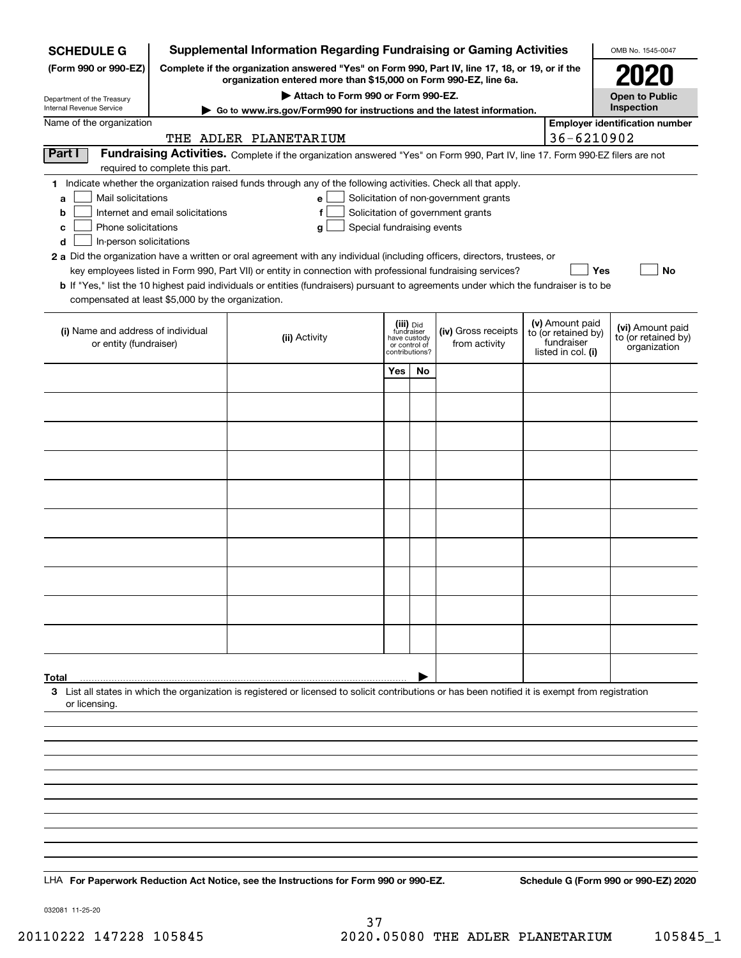| <b>SCHEDULE G</b>                                             | <b>Supplemental Information Regarding Fundraising or Gaming Activities</b>                                                                                          |                                                                                                                                                    |                                                                            |           |                                       |  |                                                                            | OMB No. 1545-0047                                       |
|---------------------------------------------------------------|---------------------------------------------------------------------------------------------------------------------------------------------------------------------|----------------------------------------------------------------------------------------------------------------------------------------------------|----------------------------------------------------------------------------|-----------|---------------------------------------|--|----------------------------------------------------------------------------|---------------------------------------------------------|
| (Form 990 or 990-EZ)                                          | Complete if the organization answered "Yes" on Form 990, Part IV, line 17, 18, or 19, or if the<br>organization entered more than \$15,000 on Form 990-EZ, line 6a. |                                                                                                                                                    |                                                                            |           |                                       |  |                                                                            | 2021                                                    |
|                                                               |                                                                                                                                                                     | Attach to Form 990 or Form 990-EZ.                                                                                                                 |                                                                            |           |                                       |  |                                                                            | <b>Open to Public</b>                                   |
| Department of the Treasury<br><b>Internal Revenue Service</b> |                                                                                                                                                                     | $\triangleright$ Go to www.irs.gov/Form990 for instructions and the latest information.                                                            |                                                                            |           |                                       |  |                                                                            | Inspection                                              |
| Name of the organization                                      |                                                                                                                                                                     | THE ADLER PLANETARIUM                                                                                                                              |                                                                            |           |                                       |  | 36-6210902                                                                 | <b>Employer identification number</b>                   |
| Part I                                                        |                                                                                                                                                                     | Fundraising Activities. Complete if the organization answered "Yes" on Form 990, Part IV, line 17. Form 990-EZ filers are not                      |                                                                            |           |                                       |  |                                                                            |                                                         |
|                                                               | required to complete this part.                                                                                                                                     | 1 Indicate whether the organization raised funds through any of the following activities. Check all that apply.                                    |                                                                            |           |                                       |  |                                                                            |                                                         |
| Mail solicitations<br>a                                       |                                                                                                                                                                     | e l                                                                                                                                                |                                                                            |           | Solicitation of non-government grants |  |                                                                            |                                                         |
| b                                                             | Internet and email solicitations                                                                                                                                    | f                                                                                                                                                  |                                                                            |           | Solicitation of government grants     |  |                                                                            |                                                         |
| Phone solicitations<br>с<br>d<br>In-person solicitations      |                                                                                                                                                                     | Special fundraising events<br>g                                                                                                                    |                                                                            |           |                                       |  |                                                                            |                                                         |
|                                                               |                                                                                                                                                                     | 2 a Did the organization have a written or oral agreement with any individual (including officers, directors, trustees, or                         |                                                                            |           |                                       |  |                                                                            |                                                         |
|                                                               |                                                                                                                                                                     | key employees listed in Form 990, Part VII) or entity in connection with professional fundraising services?                                        |                                                                            |           |                                       |  | Yes                                                                        | No                                                      |
| compensated at least \$5,000 by the organization.             |                                                                                                                                                                     | <b>b</b> If "Yes," list the 10 highest paid individuals or entities (fundraisers) pursuant to agreements under which the fundraiser is to be       |                                                                            |           |                                       |  |                                                                            |                                                         |
|                                                               |                                                                                                                                                                     |                                                                                                                                                    |                                                                            |           |                                       |  |                                                                            |                                                         |
| (i) Name and address of individual<br>or entity (fundraiser)  |                                                                                                                                                                     | (ii) Activity                                                                                                                                      | (iii) Did<br>fundraiser<br>have custody<br>or control of<br>contributions? |           | (iv) Gross receipts<br>from activity  |  | (v) Amount paid<br>to (or retained by)<br>fundraiser<br>listed in col. (i) | (vi) Amount paid<br>to (or retained by)<br>organization |
|                                                               |                                                                                                                                                                     |                                                                                                                                                    | Yes                                                                        | <b>No</b> |                                       |  |                                                                            |                                                         |
|                                                               |                                                                                                                                                                     |                                                                                                                                                    |                                                                            |           |                                       |  |                                                                            |                                                         |
|                                                               |                                                                                                                                                                     |                                                                                                                                                    |                                                                            |           |                                       |  |                                                                            |                                                         |
|                                                               |                                                                                                                                                                     |                                                                                                                                                    |                                                                            |           |                                       |  |                                                                            |                                                         |
|                                                               |                                                                                                                                                                     |                                                                                                                                                    |                                                                            |           |                                       |  |                                                                            |                                                         |
|                                                               |                                                                                                                                                                     |                                                                                                                                                    |                                                                            |           |                                       |  |                                                                            |                                                         |
|                                                               |                                                                                                                                                                     |                                                                                                                                                    |                                                                            |           |                                       |  |                                                                            |                                                         |
|                                                               |                                                                                                                                                                     |                                                                                                                                                    |                                                                            |           |                                       |  |                                                                            |                                                         |
|                                                               |                                                                                                                                                                     |                                                                                                                                                    |                                                                            |           |                                       |  |                                                                            |                                                         |
|                                                               |                                                                                                                                                                     |                                                                                                                                                    |                                                                            |           |                                       |  |                                                                            |                                                         |
|                                                               |                                                                                                                                                                     |                                                                                                                                                    |                                                                            |           |                                       |  |                                                                            |                                                         |
|                                                               |                                                                                                                                                                     |                                                                                                                                                    |                                                                            |           |                                       |  |                                                                            |                                                         |
|                                                               |                                                                                                                                                                     |                                                                                                                                                    |                                                                            |           |                                       |  |                                                                            |                                                         |
|                                                               |                                                                                                                                                                     |                                                                                                                                                    |                                                                            |           |                                       |  |                                                                            |                                                         |
|                                                               |                                                                                                                                                                     |                                                                                                                                                    |                                                                            |           |                                       |  |                                                                            |                                                         |
|                                                               |                                                                                                                                                                     |                                                                                                                                                    |                                                                            |           |                                       |  |                                                                            |                                                         |
| Total                                                         |                                                                                                                                                                     | 3 List all states in which the organization is registered or licensed to solicit contributions or has been notified it is exempt from registration |                                                                            |           |                                       |  |                                                                            |                                                         |
| or licensing.                                                 |                                                                                                                                                                     |                                                                                                                                                    |                                                                            |           |                                       |  |                                                                            |                                                         |
|                                                               |                                                                                                                                                                     |                                                                                                                                                    |                                                                            |           |                                       |  |                                                                            |                                                         |
|                                                               |                                                                                                                                                                     |                                                                                                                                                    |                                                                            |           |                                       |  |                                                                            |                                                         |
|                                                               |                                                                                                                                                                     |                                                                                                                                                    |                                                                            |           |                                       |  |                                                                            |                                                         |
|                                                               |                                                                                                                                                                     |                                                                                                                                                    |                                                                            |           |                                       |  |                                                                            |                                                         |
|                                                               |                                                                                                                                                                     |                                                                                                                                                    |                                                                            |           |                                       |  |                                                                            |                                                         |
|                                                               |                                                                                                                                                                     |                                                                                                                                                    |                                                                            |           |                                       |  |                                                                            |                                                         |
|                                                               |                                                                                                                                                                     |                                                                                                                                                    |                                                                            |           |                                       |  |                                                                            |                                                         |
|                                                               |                                                                                                                                                                     |                                                                                                                                                    |                                                                            |           |                                       |  |                                                                            |                                                         |
|                                                               |                                                                                                                                                                     | LHA For Paperwork Reduction Act Notice, see the Instructions for Form 990 or 990-EZ.                                                               |                                                                            |           |                                       |  |                                                                            | Schedule G (Form 990 or 990-EZ) 2020                    |

032081 11-25-20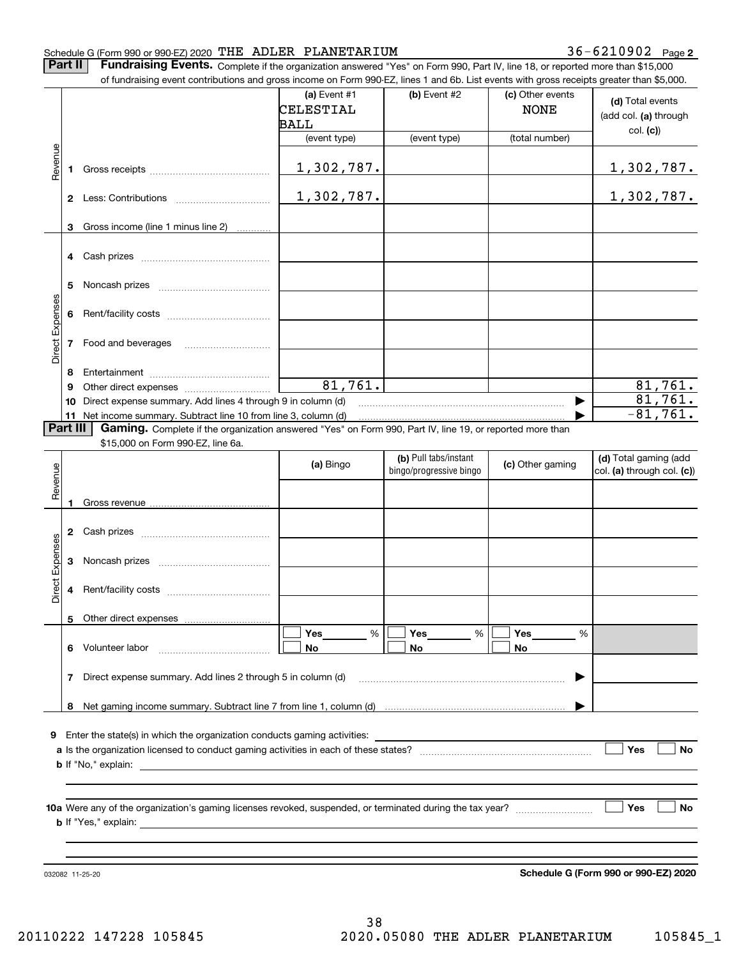**2**

**Part II** | Fundraising Events. Complete if the organization answered "Yes" on Form 990, Part IV, line 18, or reported more than \$15,000

|                 |          | of fundraising event contributions and gross income on Form 990-EZ, lines 1 and 6b. List events with gross receipts greater than \$5,000. |                   |                         |                  |                            |
|-----------------|----------|-------------------------------------------------------------------------------------------------------------------------------------------|-------------------|-------------------------|------------------|----------------------------|
|                 |          |                                                                                                                                           | (a) Event #1      | $(b)$ Event #2          | (c) Other events | (d) Total events           |
|                 |          |                                                                                                                                           | CELESTIAL         |                         | <b>NONE</b>      |                            |
|                 |          |                                                                                                                                           | BALL              |                         |                  | (add col. (a) through      |
|                 |          |                                                                                                                                           | (event type)      | (event type)            | (total number)   | col. (c)                   |
|                 |          |                                                                                                                                           |                   |                         |                  |                            |
|                 |          |                                                                                                                                           |                   |                         |                  |                            |
| Revenue         |          |                                                                                                                                           | <u>1,302,787.</u> |                         |                  | <u>1,302,787.</u>          |
|                 |          |                                                                                                                                           |                   |                         |                  |                            |
|                 |          |                                                                                                                                           | 1,302,787.        |                         |                  | 1,302,787.                 |
|                 |          |                                                                                                                                           |                   |                         |                  |                            |
|                 | 3        | Gross income (line 1 minus line 2)                                                                                                        |                   |                         |                  |                            |
|                 |          |                                                                                                                                           |                   |                         |                  |                            |
|                 |          |                                                                                                                                           |                   |                         |                  |                            |
|                 |          |                                                                                                                                           |                   |                         |                  |                            |
|                 | 5.       |                                                                                                                                           |                   |                         |                  |                            |
|                 |          |                                                                                                                                           |                   |                         |                  |                            |
|                 |          |                                                                                                                                           |                   |                         |                  |                            |
|                 | 6        |                                                                                                                                           |                   |                         |                  |                            |
| Direct Expenses |          |                                                                                                                                           |                   |                         |                  |                            |
|                 |          | 7 Food and beverages                                                                                                                      |                   |                         |                  |                            |
|                 |          |                                                                                                                                           |                   |                         |                  |                            |
|                 | 8        |                                                                                                                                           |                   |                         |                  |                            |
|                 | 9        |                                                                                                                                           | 81,761.           |                         |                  | 81,761.                    |
|                 | 10       | Direct expense summary. Add lines 4 through 9 in column (d)                                                                               |                   |                         |                  | 81,761.                    |
|                 |          | 11 Net income summary. Subtract line 10 from line 3, column (d)                                                                           |                   |                         |                  | $-81,761.$                 |
|                 | Part III | Gaming. Complete if the organization answered "Yes" on Form 990, Part IV, line 19, or reported more than                                  |                   |                         |                  |                            |
|                 |          | \$15,000 on Form 990-EZ, line 6a.                                                                                                         |                   |                         |                  |                            |
|                 |          |                                                                                                                                           |                   | (b) Pull tabs/instant   |                  | (d) Total gaming (add      |
|                 |          |                                                                                                                                           | (a) Bingo         | bingo/progressive bingo | (c) Other gaming | col. (a) through col. (c)) |
| Revenue         |          |                                                                                                                                           |                   |                         |                  |                            |
|                 |          |                                                                                                                                           |                   |                         |                  |                            |
|                 |          |                                                                                                                                           |                   |                         |                  |                            |
|                 |          |                                                                                                                                           |                   |                         |                  |                            |
|                 |          |                                                                                                                                           |                   |                         |                  |                            |
| Expenses        |          |                                                                                                                                           |                   |                         |                  |                            |
|                 | 3        |                                                                                                                                           |                   |                         |                  |                            |
|                 |          |                                                                                                                                           |                   |                         |                  |                            |
| <b>Direct</b>   |          |                                                                                                                                           |                   |                         |                  |                            |
|                 |          |                                                                                                                                           |                   |                         |                  |                            |
|                 |          | 5 Other direct expenses                                                                                                                   |                   |                         |                  |                            |
|                 |          |                                                                                                                                           | %<br>Yes          | $\%$<br>Yes             | Yes<br>%         |                            |
|                 |          | 6 Volunteer labor                                                                                                                         | No                | No                      | No               |                            |
|                 |          |                                                                                                                                           |                   |                         |                  |                            |
|                 |          | 7 Direct expense summary. Add lines 2 through 5 in column (d)                                                                             |                   |                         |                  |                            |
|                 |          |                                                                                                                                           |                   |                         |                  |                            |
|                 |          |                                                                                                                                           |                   |                         |                  |                            |
|                 |          |                                                                                                                                           |                   |                         |                  |                            |
|                 |          |                                                                                                                                           |                   |                         |                  |                            |
|                 |          | <b>9</b> Enter the state(s) in which the organization conducts gaming activities:                                                         |                   |                         |                  |                            |
|                 |          |                                                                                                                                           |                   |                         |                  | Yes<br>No                  |
|                 |          |                                                                                                                                           |                   |                         |                  |                            |
|                 |          |                                                                                                                                           |                   |                         |                  |                            |
|                 |          |                                                                                                                                           |                   |                         |                  |                            |
|                 |          |                                                                                                                                           |                   |                         |                  | Yes<br>No                  |
|                 |          |                                                                                                                                           |                   |                         |                  |                            |
|                 |          |                                                                                                                                           |                   |                         |                  |                            |
|                 |          |                                                                                                                                           |                   |                         |                  |                            |
|                 |          |                                                                                                                                           |                   |                         |                  |                            |

**Schedule G (Form 990 or 990-EZ) 2020**

032082 11-25-20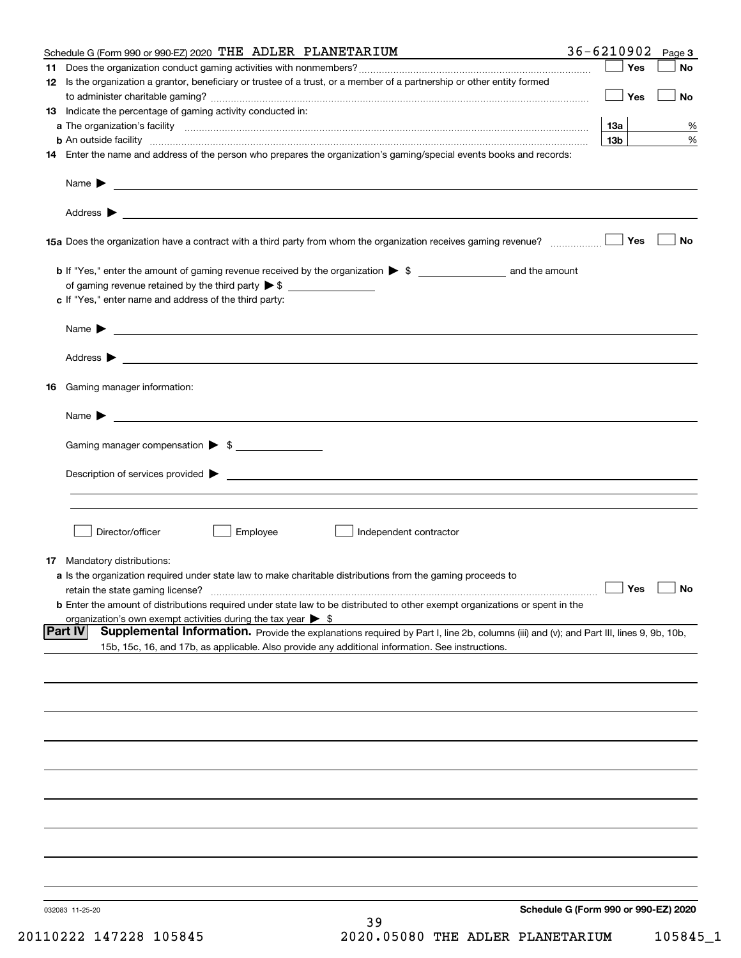|    | Schedule G (Form 990 or 990-EZ) 2020 THE ADLER PLANETARIUM                                                                                                                                                                                                   | 36-6210902                           | Page 3    |
|----|--------------------------------------------------------------------------------------------------------------------------------------------------------------------------------------------------------------------------------------------------------------|--------------------------------------|-----------|
|    |                                                                                                                                                                                                                                                              | Yes                                  | No        |
|    | 12 Is the organization a grantor, beneficiary or trustee of a trust, or a member of a partnership or other entity formed                                                                                                                                     | Yes                                  | No        |
|    | 13 Indicate the percentage of gaming activity conducted in:                                                                                                                                                                                                  |                                      |           |
|    |                                                                                                                                                                                                                                                              | 13а                                  | %         |
|    | <b>b</b> An outside facility <b>contained an according to the contract of the contract of the contract of the contract of the contract of the contract of the contract of the contract of the contract of the contract of the contrac</b>                    | 13 <sub>b</sub>                      | %         |
|    | 14 Enter the name and address of the person who prepares the organization's gaming/special events books and records:                                                                                                                                         |                                      |           |
|    |                                                                                                                                                                                                                                                              |                                      |           |
|    |                                                                                                                                                                                                                                                              |                                      |           |
|    |                                                                                                                                                                                                                                                              | Yes                                  | No        |
|    |                                                                                                                                                                                                                                                              |                                      |           |
|    | of gaming revenue retained by the third party $\triangleright$ \$                                                                                                                                                                                            |                                      |           |
|    | c If "Yes," enter name and address of the third party:                                                                                                                                                                                                       |                                      |           |
|    | <u> 1989 - Andrea Stadt Britain, amerikansk politiker (d. 1989)</u><br>Name $\blacktriangleright$                                                                                                                                                            |                                      |           |
|    |                                                                                                                                                                                                                                                              |                                      |           |
| 16 | Gaming manager information:                                                                                                                                                                                                                                  |                                      |           |
|    | $Name \rightarrow$                                                                                                                                                                                                                                           |                                      |           |
|    |                                                                                                                                                                                                                                                              |                                      |           |
|    | Gaming manager compensation > \$                                                                                                                                                                                                                             |                                      |           |
|    |                                                                                                                                                                                                                                                              |                                      |           |
|    |                                                                                                                                                                                                                                                              |                                      |           |
|    | Director/officer<br>Employee<br>Independent contractor                                                                                                                                                                                                       |                                      |           |
|    | <b>17</b> Mandatory distributions:                                                                                                                                                                                                                           |                                      |           |
|    | a Is the organization required under state law to make charitable distributions from the gaming proceeds to                                                                                                                                                  |                                      |           |
|    | retain the state gaming license?                                                                                                                                                                                                                             | $\Box$ Yes                           | $\Box$ No |
|    | <b>b</b> Enter the amount of distributions required under state law to be distributed to other exempt organizations or spent in the                                                                                                                          |                                      |           |
|    | organization's own exempt activities during the tax year $\triangleright$ \$                                                                                                                                                                                 |                                      |           |
|    | <b>Part IV</b><br>Supplemental Information. Provide the explanations required by Part I, line 2b, columns (iii) and (v); and Part III, lines 9, 9b, 10b,<br>15b, 15c, 16, and 17b, as applicable. Also provide any additional information. See instructions. |                                      |           |
|    |                                                                                                                                                                                                                                                              |                                      |           |
|    |                                                                                                                                                                                                                                                              |                                      |           |
|    |                                                                                                                                                                                                                                                              |                                      |           |
|    |                                                                                                                                                                                                                                                              |                                      |           |
|    |                                                                                                                                                                                                                                                              |                                      |           |
|    |                                                                                                                                                                                                                                                              |                                      |           |
|    |                                                                                                                                                                                                                                                              |                                      |           |
|    |                                                                                                                                                                                                                                                              |                                      |           |
|    |                                                                                                                                                                                                                                                              |                                      |           |
|    |                                                                                                                                                                                                                                                              |                                      |           |
|    | 032083 11-25-20<br>39                                                                                                                                                                                                                                        | Schedule G (Form 990 or 990-EZ) 2020 |           |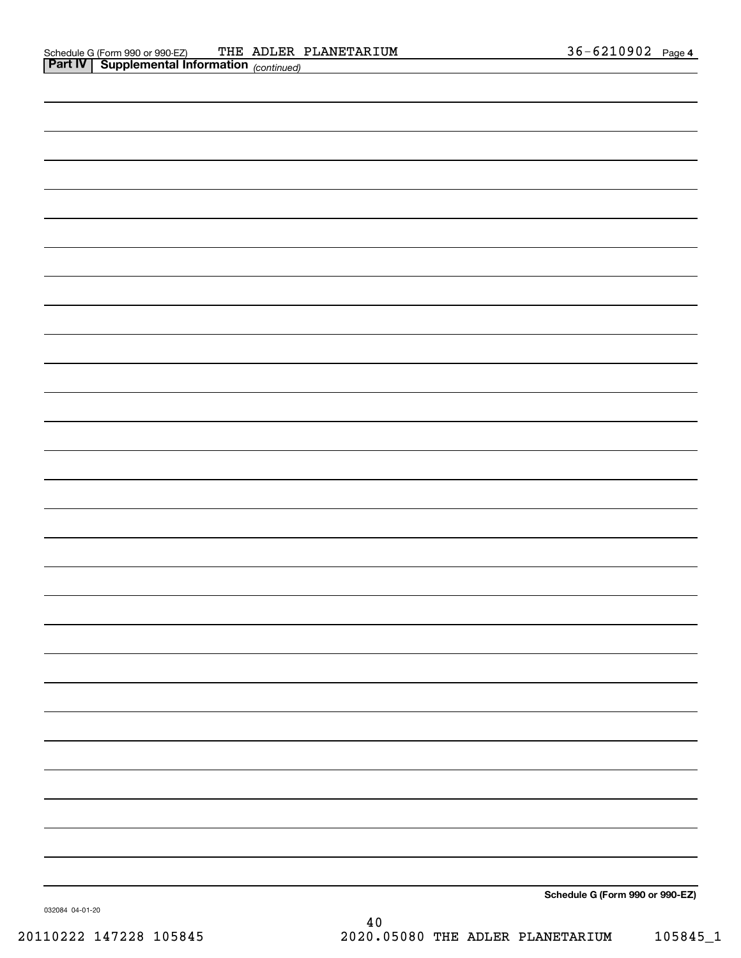| Schedule G (Form 990 or 990-EZ) |
|---------------------------------|

032084 04-01-20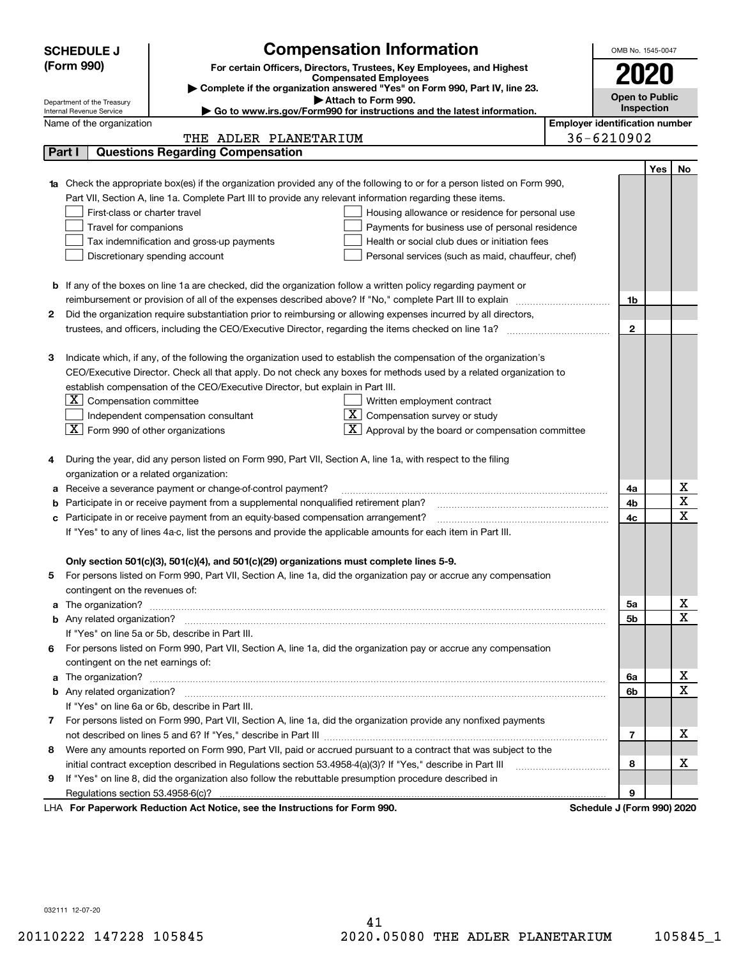|    | <b>Compensation Information</b><br><b>SCHEDULE J</b>                                                                             |  |                                       |                            |              | OMB No. 1545-0047 |              |
|----|----------------------------------------------------------------------------------------------------------------------------------|--|---------------------------------------|----------------------------|--------------|-------------------|--------------|
|    | (Form 990)<br>For certain Officers, Directors, Trustees, Key Employees, and Highest                                              |  | 2020                                  |                            |              |                   |              |
|    | <b>Compensated Employees</b>                                                                                                     |  |                                       |                            |              |                   |              |
|    | Complete if the organization answered "Yes" on Form 990, Part IV, line 23.<br>Attach to Form 990.                                |  | <b>Open to Public</b>                 |                            |              |                   |              |
|    | Department of the Treasury<br>Go to www.irs.gov/Form990 for instructions and the latest information.<br>Internal Revenue Service |  |                                       |                            | Inspection   |                   |              |
|    | Name of the organization                                                                                                         |  | <b>Employer identification number</b> |                            |              |                   |              |
|    | THE ADLER PLANETARIUM                                                                                                            |  | 36-6210902                            |                            |              |                   |              |
|    | <b>Questions Regarding Compensation</b><br>Part I                                                                                |  |                                       |                            |              |                   |              |
|    |                                                                                                                                  |  |                                       |                            |              | Yes               | No           |
|    | Check the appropriate box(es) if the organization provided any of the following to or for a person listed on Form 990,           |  |                                       |                            |              |                   |              |
|    | Part VII, Section A, line 1a. Complete Part III to provide any relevant information regarding these items.                       |  |                                       |                            |              |                   |              |
|    | First-class or charter travel<br>Housing allowance or residence for personal use                                                 |  |                                       |                            |              |                   |              |
|    | Travel for companions<br>Payments for business use of personal residence                                                         |  |                                       |                            |              |                   |              |
|    | Tax indemnification and gross-up payments<br>Health or social club dues or initiation fees                                       |  |                                       |                            |              |                   |              |
|    | Discretionary spending account<br>Personal services (such as maid, chauffeur, chef)                                              |  |                                       |                            |              |                   |              |
|    |                                                                                                                                  |  |                                       |                            |              |                   |              |
|    | <b>b</b> If any of the boxes on line 1a are checked, did the organization follow a written policy regarding payment or           |  |                                       |                            |              |                   |              |
|    | reimbursement or provision of all of the expenses described above? If "No," complete Part III to explain                         |  |                                       |                            | 1b           |                   |              |
| 2  | Did the organization require substantiation prior to reimbursing or allowing expenses incurred by all directors,                 |  |                                       |                            |              |                   |              |
|    |                                                                                                                                  |  |                                       |                            | $\mathbf{2}$ |                   |              |
|    |                                                                                                                                  |  |                                       |                            |              |                   |              |
| з  | Indicate which, if any, of the following the organization used to establish the compensation of the organization's               |  |                                       |                            |              |                   |              |
|    | CEO/Executive Director. Check all that apply. Do not check any boxes for methods used by a related organization to               |  |                                       |                            |              |                   |              |
|    | establish compensation of the CEO/Executive Director, but explain in Part III.                                                   |  |                                       |                            |              |                   |              |
|    | $ \mathbf{X} $ Compensation committee<br>Written employment contract                                                             |  |                                       |                            |              |                   |              |
|    | $X$ Compensation survey or study<br>Independent compensation consultant                                                          |  |                                       |                            |              |                   |              |
|    | $\boxed{\textbf{X}}$ Form 990 of other organizations<br>$\mathbf{X}$ Approval by the board or compensation committee             |  |                                       |                            |              |                   |              |
|    |                                                                                                                                  |  |                                       |                            |              |                   |              |
| 4  | During the year, did any person listed on Form 990, Part VII, Section A, line 1a, with respect to the filing                     |  |                                       |                            |              |                   |              |
|    | organization or a related organization:                                                                                          |  |                                       |                            |              |                   |              |
| а  | Receive a severance payment or change-of-control payment?                                                                        |  |                                       |                            | 4a           |                   | х<br>X       |
| b  | Participate in or receive payment from a supplemental nonqualified retirement plan?                                              |  |                                       |                            | 4b           |                   | $\mathbf x$  |
| c  | Participate in or receive payment from an equity-based compensation arrangement?                                                 |  |                                       |                            | 4c           |                   |              |
|    | If "Yes" to any of lines 4a-c, list the persons and provide the applicable amounts for each item in Part III.                    |  |                                       |                            |              |                   |              |
|    | Only section 501(c)(3), 501(c)(4), and 501(c)(29) organizations must complete lines 5-9.                                         |  |                                       |                            |              |                   |              |
|    | For persons listed on Form 990, Part VII, Section A, line 1a, did the organization pay or accrue any compensation                |  |                                       |                            |              |                   |              |
|    | contingent on the revenues of:                                                                                                   |  |                                       |                            |              |                   |              |
| a  |                                                                                                                                  |  |                                       |                            | 5а           |                   | x            |
|    |                                                                                                                                  |  |                                       |                            | <b>5b</b>    |                   | X            |
|    | If "Yes" on line 5a or 5b, describe in Part III.                                                                                 |  |                                       |                            |              |                   |              |
| 6. | For persons listed on Form 990, Part VII, Section A, line 1a, did the organization pay or accrue any compensation                |  |                                       |                            |              |                   |              |
|    | contingent on the net earnings of:                                                                                               |  |                                       |                            |              |                   |              |
| a  |                                                                                                                                  |  |                                       |                            | 6a           |                   | х            |
|    |                                                                                                                                  |  |                                       |                            | 6b           |                   | $\mathbf{x}$ |
|    | If "Yes" on line 6a or 6b, describe in Part III.                                                                                 |  |                                       |                            |              |                   |              |
|    | 7 For persons listed on Form 990, Part VII, Section A, line 1a, did the organization provide any nonfixed payments               |  |                                       |                            |              |                   |              |
|    |                                                                                                                                  |  |                                       |                            | 7            |                   | x            |
| 8  | Were any amounts reported on Form 990, Part VII, paid or accrued pursuant to a contract that was subject to the                  |  |                                       |                            |              |                   |              |
|    | initial contract exception described in Regulations section 53.4958-4(a)(3)? If "Yes," describe in Part III                      |  |                                       |                            | 8            |                   | х            |
| 9  | If "Yes" on line 8, did the organization also follow the rebuttable presumption procedure described in                           |  |                                       |                            |              |                   |              |
|    | Regulations section 53.4958-6(c)?                                                                                                |  |                                       |                            | 9            |                   |              |
|    | LHA For Paperwork Reduction Act Notice, see the Instructions for Form 990.                                                       |  |                                       | Schedule J (Form 990) 2020 |              |                   |              |

032111 12-07-20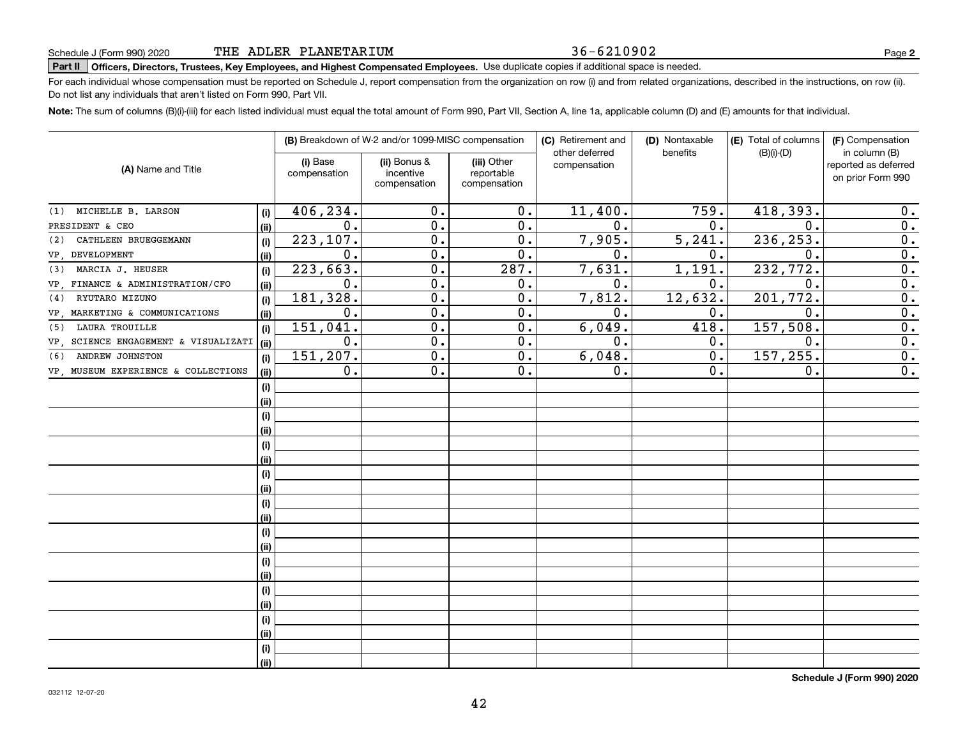#### 36-6210902

# **Part II Officers, Directors, Trustees, Key Employees, and Highest Compensated Employees.**  Schedule J (Form 990) 2020 Page Use duplicate copies if additional space is needed.

For each individual whose compensation must be reported on Schedule J, report compensation from the organization on row (i) and from related organizations, described in the instructions, on row (ii). Do not list any individuals that aren't listed on Form 990, Part VII.

**Note:**  The sum of columns (B)(i)-(iii) for each listed individual must equal the total amount of Form 990, Part VII, Section A, line 1a, applicable column (D) and (E) amounts for that individual.

|                                      |             |                          | (B) Breakdown of W-2 and/or 1099-MISC compensation |                                           | (C) Retirement and<br>other deferred | (D) Nontaxable<br>benefits | (E) Total of columns<br>$(B)(i)-(D)$ | (F) Compensation<br>in column (B)         |
|--------------------------------------|-------------|--------------------------|----------------------------------------------------|-------------------------------------------|--------------------------------------|----------------------------|--------------------------------------|-------------------------------------------|
| (A) Name and Title                   |             | (i) Base<br>compensation | (ii) Bonus &<br>incentive<br>compensation          | (iii) Other<br>reportable<br>compensation | compensation                         |                            |                                      | reported as deferred<br>on prior Form 990 |
| MICHELLE B. LARSON<br>(1)            | (i)         | 406, 234.                | 0.                                                 | 0.                                        | 11,400.                              | 759.                       | 418,393.                             | 0.                                        |
| PRESIDENT & CEO                      | (ii)        | 0.                       | $\overline{0}$ .                                   | $\overline{0}$ .                          | $\mathbf 0$ .                        | 0.                         | $\mathbf 0$ .                        | $\overline{0}$ .                          |
| CATHLEEN BRUEGGEMANN<br>(2)          | (i)         | 223, 107.                | $\overline{0}$ .                                   | 0.                                        | 7,905.                               | 5,241.                     | 236,253.                             | $\overline{0}$ .                          |
| VP DEVELOPMENT                       | (ii)        | 0.                       | $\overline{0}$ .                                   | $\overline{0}$ .                          | 0.                                   | 0.                         | $\mathbf 0$                          | $\overline{0}$ .                          |
| MARCIA J. HEUSER<br>(3)              | (i)         | 223,663.                 | $\overline{0}$ .                                   | 287.                                      | 7,631.                               | 1,191.                     | 232,772.                             | $\overline{0}$ .                          |
| VP, FINANCE & ADMINISTRATION/CFO     | (ii)        | 0.                       | $\overline{0}$ .                                   | $0$ .                                     | 0.                                   | 0.                         | $\mathbf 0$                          | $\overline{0}$ .                          |
| RYUTARO MIZUNO<br>(4)                | (i)         | 181,328.                 | $\overline{0}$ .                                   | $\overline{0}$ .                          | 7,812.                               | 12,632.                    | 201, 772.                            | $\overline{0}$ .                          |
| VP, MARKETING & COMMUNICATIONS       | (ii)        | 0.                       | $\overline{0}$ .                                   | 0.                                        | 0.                                   | 0.                         | $\mathbf 0$ .                        | $\overline{0}$ .                          |
| LAURA TROUILLE<br>(5)                | (i)         | 151,041.                 | $\mathbf 0$ .                                      | 0.                                        | 6,049.                               | 418.                       | 157,508.                             | $\overline{0}$ .                          |
| VP, SCIENCE ENGAGEMENT & VISUALIZATI | (ii)        | 0.                       | 0.                                                 | 0.                                        | 0.                                   | 0.                         | $\mathbf 0$ .                        | $\overline{0}$ .                          |
| ANDREW JOHNSTON<br>(6)               | (i)         | 151, 207.                | 0.                                                 | 0.                                        | 6,048.                               | 0.                         | 157,255.                             | $\overline{0}$ .                          |
| VP, MUSEUM EXPERIENCE & COLLECTIONS  | (ii)        | $\mathbf 0$ .            | 0.                                                 | 0.                                        | 0.                                   | 0.                         | 0.                                   | $\overline{0}$ .                          |
|                                      | (i)         |                          |                                                    |                                           |                                      |                            |                                      |                                           |
|                                      | (ii)        |                          |                                                    |                                           |                                      |                            |                                      |                                           |
|                                      | (i)         |                          |                                                    |                                           |                                      |                            |                                      |                                           |
|                                      | (ii)        |                          |                                                    |                                           |                                      |                            |                                      |                                           |
|                                      | (i)         |                          |                                                    |                                           |                                      |                            |                                      |                                           |
|                                      | (ii)        |                          |                                                    |                                           |                                      |                            |                                      |                                           |
|                                      | (i)         |                          |                                                    |                                           |                                      |                            |                                      |                                           |
|                                      | (ii)        |                          |                                                    |                                           |                                      |                            |                                      |                                           |
|                                      | (i)         |                          |                                                    |                                           |                                      |                            |                                      |                                           |
|                                      | (ii)        |                          |                                                    |                                           |                                      |                            |                                      |                                           |
|                                      | (i)         |                          |                                                    |                                           |                                      |                            |                                      |                                           |
|                                      | (ii)        |                          |                                                    |                                           |                                      |                            |                                      |                                           |
|                                      | (i)         |                          |                                                    |                                           |                                      |                            |                                      |                                           |
|                                      | (ii)        |                          |                                                    |                                           |                                      |                            |                                      |                                           |
|                                      | (i)<br>(ii) |                          |                                                    |                                           |                                      |                            |                                      |                                           |
|                                      | (i)         |                          |                                                    |                                           |                                      |                            |                                      |                                           |
|                                      | (ii)        |                          |                                                    |                                           |                                      |                            |                                      |                                           |
|                                      | (i)         |                          |                                                    |                                           |                                      |                            |                                      |                                           |
|                                      | (ii)        |                          |                                                    |                                           |                                      |                            |                                      |                                           |
|                                      |             |                          |                                                    |                                           |                                      |                            |                                      |                                           |

**Schedule J (Form 990) 2020**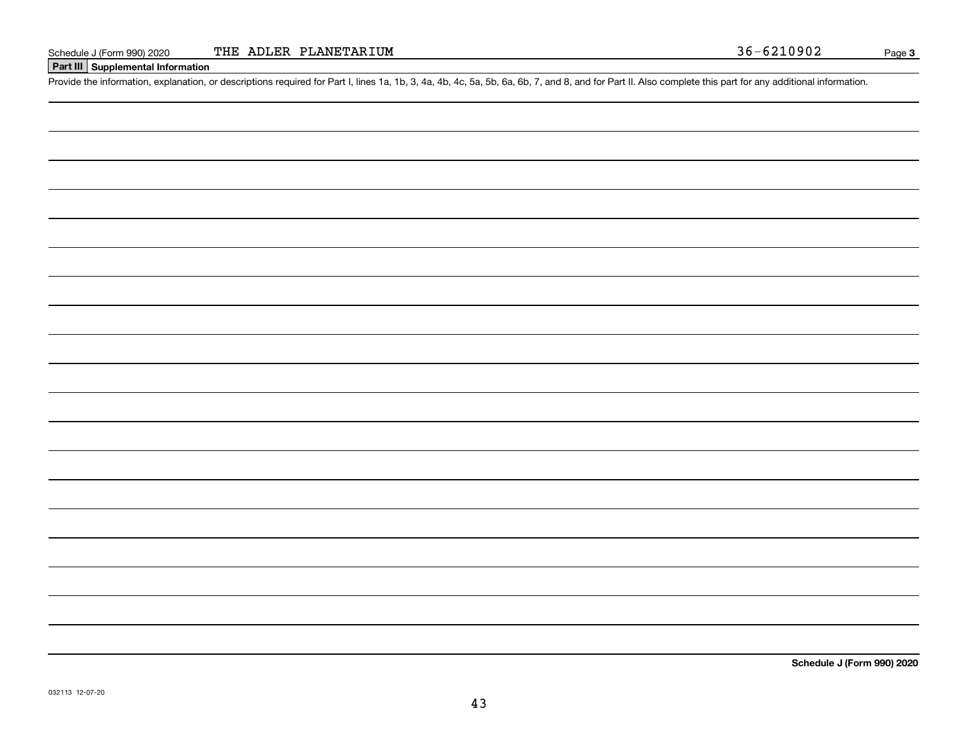#### **Part III Supplemental Information**

Schedule J (Form 990) 2020 THE ADLER PLANETARIUM 36-6210902<br>Part III Supplemental Information<br>Provide the information, explanation, or descriptions required for Part I, lines 1a, 1b, 3, 4a, 4b, 4c, 5a, 5b, 6a, 6b, 7, and 8

**Schedule J (Form 990) 2020**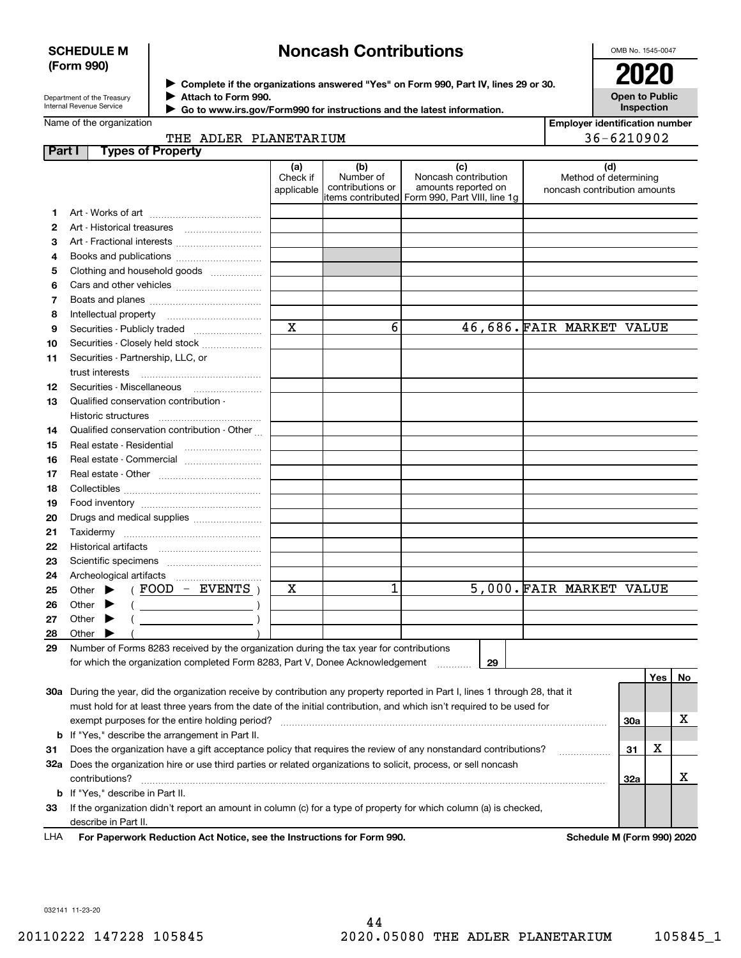#### **SCHEDULE M (Form 990)**

# **Noncash Contributions**

OMB No. 1545-0047

| Department of the Treasury |
|----------------------------|
| Internal Revenue Service   |

**Complete if the organizations answered "Yes" on Form 990, Part IV, lines 29 or 30.** <sup>J</sup>**2020 Attach to Form 990.** J

**Open to Public Inspection**

|  |  | Go to www.irs.gov/Form990 for instructions and the latest information. |  |
|--|--|------------------------------------------------------------------------|--|
|--|--|------------------------------------------------------------------------|--|

| <b>Part Types of Property</b> |                 |  |
|-------------------------------|-----------------|--|
|                               | THE ADLER PLANE |  |
| Name of the organization      |                 |  |

| Employer identification number |  |
|--------------------------------|--|
| 36-6210902                     |  |

| LER | PLANETARIUM |  |  |
|-----|-------------|--|--|
|     |             |  |  |
|     | ∽<br>1a I   |  |  |

|    |                                                                                                                                | (a)<br>Check if | (b)<br>Number of | (c)<br>Noncash contribution                    | (d)<br>Method of determining |     |     |    |
|----|--------------------------------------------------------------------------------------------------------------------------------|-----------------|------------------|------------------------------------------------|------------------------------|-----|-----|----|
|    |                                                                                                                                | applicable      | contributions or | amounts reported on                            | noncash contribution amounts |     |     |    |
|    |                                                                                                                                |                 |                  | items contributed Form 990, Part VIII, line 1g |                              |     |     |    |
| 1  |                                                                                                                                |                 |                  |                                                |                              |     |     |    |
| 2  |                                                                                                                                |                 |                  |                                                |                              |     |     |    |
| 3  |                                                                                                                                |                 |                  |                                                |                              |     |     |    |
| 4  |                                                                                                                                |                 |                  |                                                |                              |     |     |    |
| 5  | Clothing and household goods                                                                                                   |                 |                  |                                                |                              |     |     |    |
| 6  |                                                                                                                                |                 |                  |                                                |                              |     |     |    |
| 7  |                                                                                                                                |                 |                  |                                                |                              |     |     |    |
| 8  |                                                                                                                                |                 |                  |                                                |                              |     |     |    |
| 9  |                                                                                                                                | $\mathbf x$     | $6 \mid$         |                                                | 46,686. FAIR MARKET VALUE    |     |     |    |
| 10 | Securities - Closely held stock                                                                                                |                 |                  |                                                |                              |     |     |    |
| 11 | Securities - Partnership, LLC, or                                                                                              |                 |                  |                                                |                              |     |     |    |
|    | trust interests                                                                                                                |                 |                  |                                                |                              |     |     |    |
| 12 | Securities - Miscellaneous                                                                                                     |                 |                  |                                                |                              |     |     |    |
| 13 | Qualified conservation contribution -                                                                                          |                 |                  |                                                |                              |     |     |    |
|    |                                                                                                                                |                 |                  |                                                |                              |     |     |    |
| 14 | Qualified conservation contribution - Other                                                                                    |                 |                  |                                                |                              |     |     |    |
| 15 | Real estate - Residential                                                                                                      |                 |                  |                                                |                              |     |     |    |
| 16 | Real estate - Commercial                                                                                                       |                 |                  |                                                |                              |     |     |    |
| 17 |                                                                                                                                |                 |                  |                                                |                              |     |     |    |
| 18 |                                                                                                                                |                 |                  |                                                |                              |     |     |    |
| 19 |                                                                                                                                |                 |                  |                                                |                              |     |     |    |
| 20 | Drugs and medical supplies                                                                                                     |                 |                  |                                                |                              |     |     |    |
| 21 |                                                                                                                                |                 |                  |                                                |                              |     |     |    |
| 22 |                                                                                                                                |                 |                  |                                                |                              |     |     |    |
| 23 |                                                                                                                                |                 |                  |                                                |                              |     |     |    |
| 24 |                                                                                                                                |                 |                  |                                                |                              |     |     |    |
| 25 | Other $\triangleright$ (FOOD – EVENTS)                                                                                         | x               | 1                |                                                | 5,000. FAIR MARKET VALUE     |     |     |    |
| 26 | $($ $)$<br>Other $\blacktriangleright$                                                                                         |                 |                  |                                                |                              |     |     |    |
| 27 | Other $\blacktriangleright$                                                                                                    |                 |                  |                                                |                              |     |     |    |
| 28 | Other $\blacktriangleright$                                                                                                    |                 |                  |                                                |                              |     |     |    |
| 29 | Number of Forms 8283 received by the organization during the tax year for contributions                                        |                 |                  |                                                |                              |     |     |    |
|    | for which the organization completed Form 8283, Part V, Donee Acknowledgement                                                  |                 |                  | 29                                             |                              |     |     |    |
|    |                                                                                                                                |                 |                  |                                                |                              |     | Yes | No |
|    | 30a During the year, did the organization receive by contribution any property reported in Part I, lines 1 through 28, that it |                 |                  |                                                |                              |     |     |    |
|    | must hold for at least three years from the date of the initial contribution, and which isn't required to be used for          |                 |                  |                                                |                              |     |     |    |
|    | exempt purposes for the entire holding period?                                                                                 |                 |                  |                                                |                              | 30a |     | х  |
|    | <b>b</b> If "Yes," describe the arrangement in Part II.                                                                        |                 |                  |                                                |                              |     |     |    |
| 31 | Does the organization have a gift acceptance policy that requires the review of any nonstandard contributions?                 |                 |                  |                                                |                              | 31  | х   |    |
|    | 32a Does the organization hire or use third parties or related organizations to solicit, process, or sell noncash              |                 |                  |                                                |                              |     |     |    |
|    | contributions?                                                                                                                 |                 |                  |                                                |                              | 32a |     | х  |
|    | <b>b</b> If "Yes," describe in Part II.                                                                                        |                 |                  |                                                |                              |     |     |    |
| 33 | If the organization didn't report an amount in column (c) for a type of property for which column (a) is checked,              |                 |                  |                                                |                              |     |     |    |
|    | describe in Part II.                                                                                                           |                 |                  |                                                |                              |     |     |    |

**For Paperwork Reduction Act Notice, see the Instructions for Form 990. Schedule M (Form 990) 2020** LHA

032141 11-23-20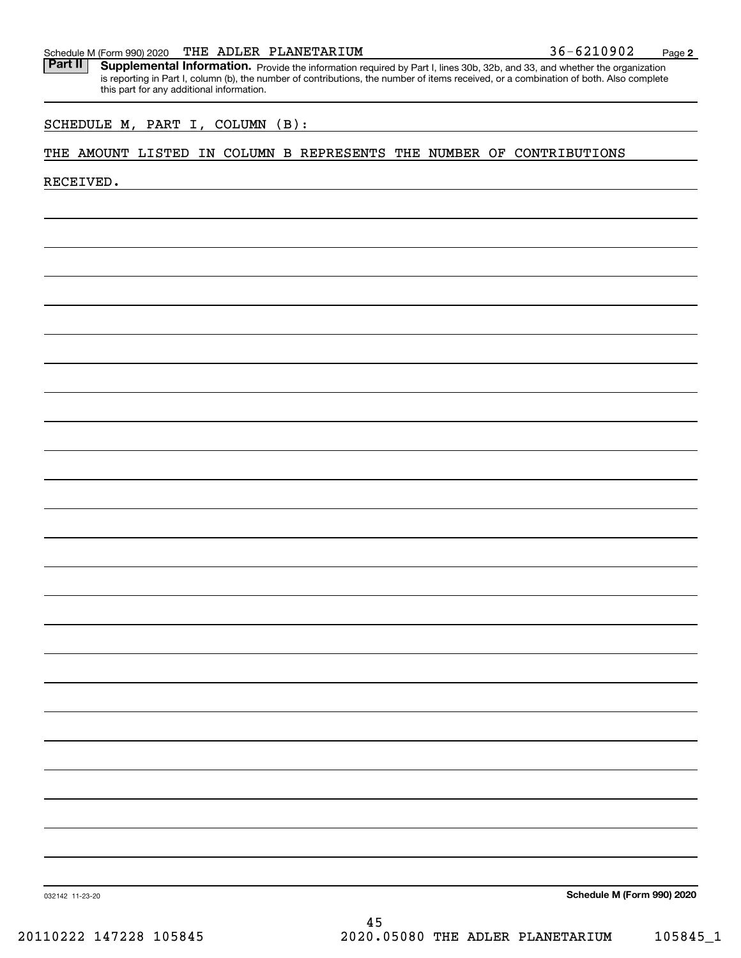Part II | Supplemental Information. Provide the information required by Part I, lines 30b, 32b, and 33, and whether the organization is reporting in Part I, column (b), the number of contributions, the number of items received, or a combination of both. Also complete this part for any additional information.

#### SCHEDULE M, PART I, COLUMN (B):

#### THE AMOUNT LISTED IN COLUMN B REPRESENTS THE NUMBER OF CONTRIBUTIONS

RECEIVED.

**Schedule M (Form 990) 2020**

**2**

032142 11-23-20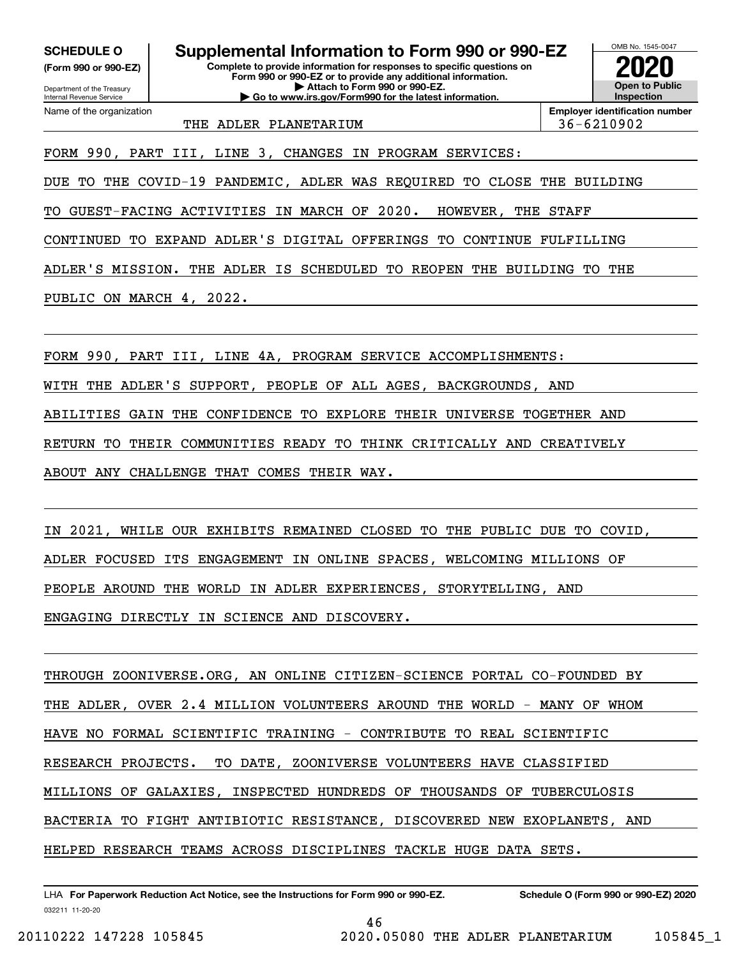**(Form 990 or 990-EZ)**

Department of the Treasury Internal Revenue Service Name of the organization

**Complete to provide information for responses to specific questions on Form 990 or 990-EZ or to provide any additional information. | Attach to Form 990 or 990-EZ. | Go to www.irs.gov/Form990 for the latest information. SCHEDULE O Supplemental Information to Form 990 or 990-EZ**



THE ADLER PLANETARIUM  $\vert$  36-6210902

**Employer identification number**

FORM 990, PART III, LINE 3, CHANGES IN PROGRAM SERVICES:

DUE TO THE COVID-19 PANDEMIC, ADLER WAS REQUIRED TO CLOSE THE BUILDING

TO GUEST-FACING ACTIVITIES IN MARCH OF 2020. HOWEVER, THE STAFF

CONTINUED TO EXPAND ADLER'S DIGITAL OFFERINGS TO CONTINUE FULFILLING

ADLER'S MISSION. THE ADLER IS SCHEDULED TO REOPEN THE BUILDING TO THE

PUBLIC ON MARCH 4, 2022.

FORM 990, PART III, LINE 4A, PROGRAM SERVICE ACCOMPLISHMENTS:

WITH THE ADLER'S SUPPORT, PEOPLE OF ALL AGES, BACKGROUNDS, AND

ABILITIES GAIN THE CONFIDENCE TO EXPLORE THEIR UNIVERSE TOGETHER AND

RETURN TO THEIR COMMUNITIES READY TO THINK CRITICALLY AND CREATIVELY

ABOUT ANY CHALLENGE THAT COMES THEIR WAY.

IN 2021, WHILE OUR EXHIBITS REMAINED CLOSED TO THE PUBLIC DUE TO COVID, ADLER FOCUSED ITS ENGAGEMENT IN ONLINE SPACES, WELCOMING MILLIONS OF PEOPLE AROUND THE WORLD IN ADLER EXPERIENCES, STORYTELLING, AND ENGAGING DIRECTLY IN SCIENCE AND DISCOVERY.

THROUGH ZOONIVERSE.ORG, AN ONLINE CITIZEN-SCIENCE PORTAL CO-FOUNDED BY THE ADLER, OVER 2.4 MILLION VOLUNTEERS AROUND THE WORLD - MANY OF WHOM HAVE NO FORMAL SCIENTIFIC TRAINING - CONTRIBUTE TO REAL SCIENTIFIC RESEARCH PROJECTS. TO DATE, ZOONIVERSE VOLUNTEERS HAVE CLASSIFIED MILLIONS OF GALAXIES, INSPECTED HUNDREDS OF THOUSANDS OF TUBERCULOSIS BACTERIA TO FIGHT ANTIBIOTIC RESISTANCE, DISCOVERED NEW EXOPLANETS, AND HELPED RESEARCH TEAMS ACROSS DISCIPLINES TACKLE HUGE DATA SETS.

032211 11-20-20 LHA For Paperwork Reduction Act Notice, see the Instructions for Form 990 or 990-EZ. Schedule O (Form 990 or 990-EZ) 2020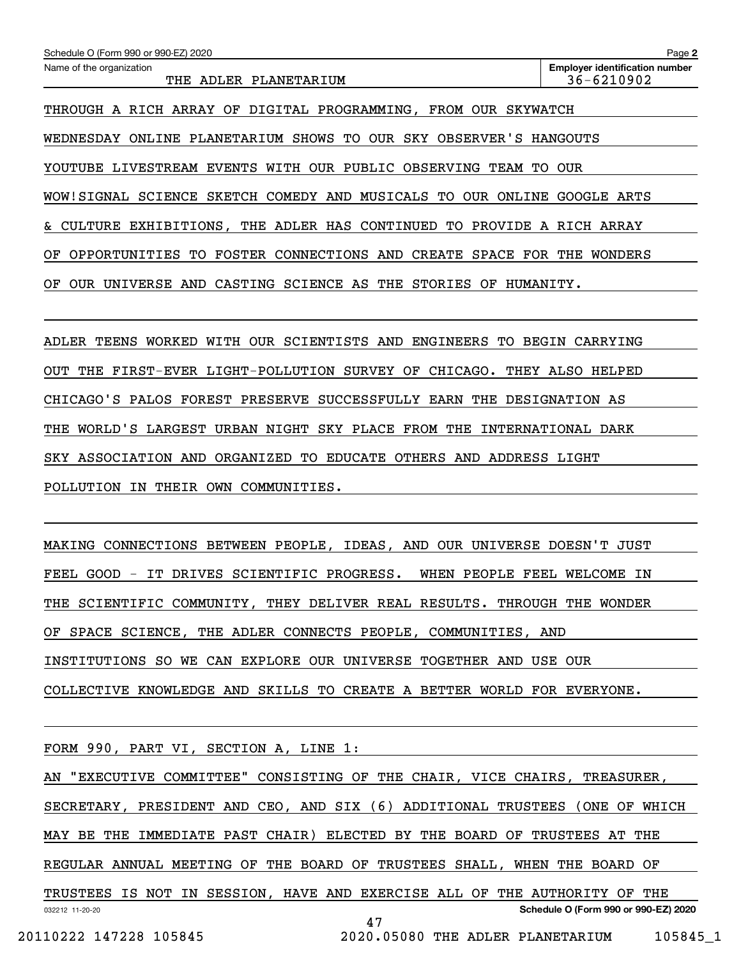| Schedule O (Form 990 or 990-EZ) 2020                                                                      | Page 2                                              |
|-----------------------------------------------------------------------------------------------------------|-----------------------------------------------------|
| Name of the organization<br>ADLER PLANETARIUM<br>THE                                                      | <b>Employer identification number</b><br>36-6210902 |
| THROUGH A RICH ARRAY OF DIGITAL PROGRAMMING, FROM OUR SKYWATCH                                            |                                                     |
| ONLINE PLANETARIUM SHOWS TO OUR SKY OBSERVER'S<br>WEDNESDAY                                               | HANGOUTS                                            |
| EVENTS WITH OUR PUBLIC OBSERVING<br>YOUTUBE LIVESTREAM<br>TEAM                                            | TO.<br>OUR                                          |
| COMEDY AND MUSICALS TO OUR<br>WOW!SIGNAL SCIENCE SKETCH<br>ONLINE                                         | GOOGLE<br>ARTS                                      |
| EXHIBITIONS, THE ADLER HAS CONTINUED TO<br>PROVIDE<br>CULTURE<br>&.                                       | A RICH<br>ARRAY                                     |
| FOSTER<br>CONNECTIONS<br><b>CREATE</b><br><b>SPACE</b><br><b>FOR</b><br>OPPORTUNITIES<br>TO.<br>AND<br>OF | THE<br>WONDERS                                      |
| SCIENCE AS<br>UNIVERSE<br>AND<br>CASTING<br>THE<br>STORIES<br>OF<br><b>OUR</b><br>OF                      | HUMANITY.                                           |
|                                                                                                           |                                                     |

ADLER TEENS WORKED WITH OUR SCIENTISTS AND ENGINEERS TO BEGIN CARRYING OUT THE FIRST-EVER LIGHT-POLLUTION SURVEY OF CHICAGO. THEY ALSO HELPED CHICAGO'S PALOS FOREST PRESERVE SUCCESSFULLY EARN THE DESIGNATION AS THE WORLD'S LARGEST URBAN NIGHT SKY PLACE FROM THE INTERNATIONAL DARK SKY ASSOCIATION AND ORGANIZED TO EDUCATE OTHERS AND ADDRESS LIGHT POLLUTION IN THEIR OWN COMMUNITIES.

MAKING CONNECTIONS BETWEEN PEOPLE, IDEAS, AND OUR UNIVERSE DOESN'T JUST FEEL GOOD - IT DRIVES SCIENTIFIC PROGRESS. WHEN PEOPLE FEEL WELCOME IN THE SCIENTIFIC COMMUNITY, THEY DELIVER REAL RESULTS. THROUGH THE WONDER OF SPACE SCIENCE, THE ADLER CONNECTS PEOPLE, COMMUNITIES, AND INSTITUTIONS SO WE CAN EXPLORE OUR UNIVERSE TOGETHER AND USE OUR COLLECTIVE KNOWLEDGE AND SKILLS TO CREATE A BETTER WORLD FOR EVERYONE.

FORM 990, PART VI, SECTION A, LINE 1:

032212 11-20-20 **Schedule O (Form 990 or 990-EZ) 2020** AN "EXECUTIVE COMMITTEE" CONSISTING OF THE CHAIR, VICE CHAIRS, TREASURER, SECRETARY, PRESIDENT AND CEO, AND SIX (6) ADDITIONAL TRUSTEES (ONE OF WHICH MAY BE THE IMMEDIATE PAST CHAIR) ELECTED BY THE BOARD OF TRUSTEES AT THE REGULAR ANNUAL MEETING OF THE BOARD OF TRUSTEES SHALL, WHEN THE BOARD OF TRUSTEES IS NOT IN SESSION, HAVE AND EXERCISE ALL OF THE AUTHORITY OF THE 47

20110222 147228 105845 2020.05080 THE ADLER PLANETARIUM 105845\_1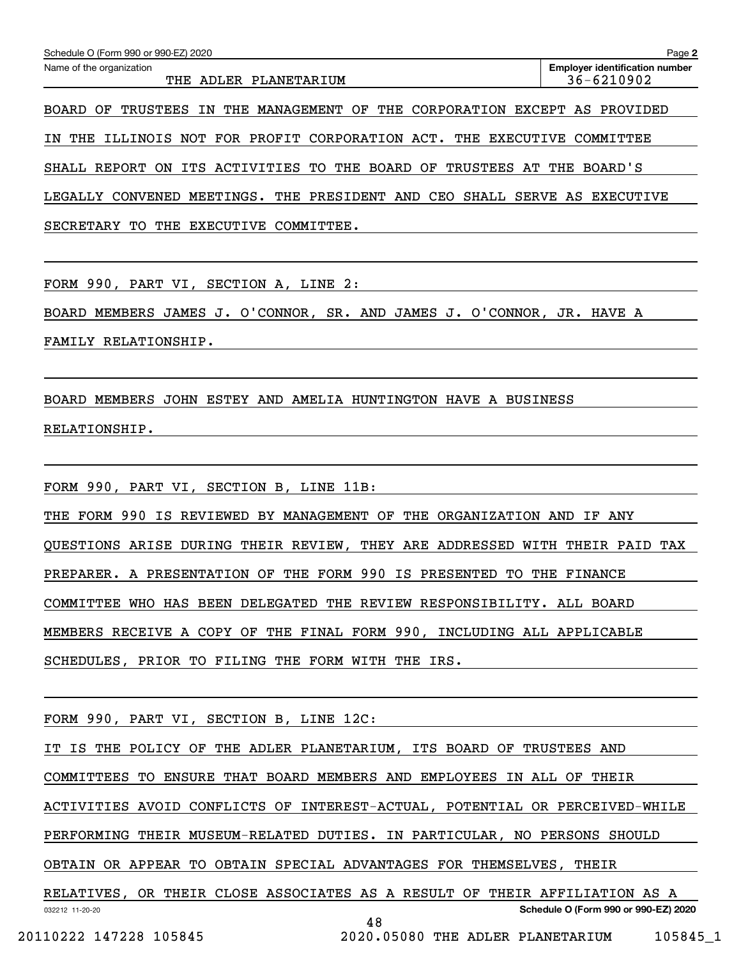| Schedule O (Form 990 or 990-EZ) 2020<br>Page 2    |                                                         |  |  |
|---------------------------------------------------|---------------------------------------------------------|--|--|
| Name of the organization<br>THE ADLER PLANETARIUM | <b>Employer identification number</b><br>$36 - 6210902$ |  |  |
|                                                   |                                                         |  |  |

BOARD OF TRUSTEES IN THE MANAGEMENT OF THE CORPORATION EXCEPT AS PROVIDED

IN THE ILLINOIS NOT FOR PROFIT CORPORATION ACT. THE EXECUTIVE COMMITTEE

SHALL REPORT ON ITS ACTIVITIES TO THE BOARD OF TRUSTEES AT THE BOARD'S

LEGALLY CONVENED MEETINGS. THE PRESIDENT AND CEO SHALL SERVE AS EXECUTIVE

SECRETARY TO THE EXECUTIVE COMMITTEE.

FORM 990, PART VI, SECTION A, LINE 2:

BOARD MEMBERS JAMES J. O'CONNOR, SR. AND JAMES J. O'CONNOR, JR. HAVE A

FAMILY RELATIONSHIP.

BOARD MEMBERS JOHN ESTEY AND AMELIA HUNTINGTON HAVE A BUSINESS RELATIONSHIP.

FORM 990, PART VI, SECTION B, LINE 11B:

THE FORM 990 IS REVIEWED BY MANAGEMENT OF THE ORGANIZATION AND IF ANY QUESTIONS ARISE DURING THEIR REVIEW, THEY ARE ADDRESSED WITH THEIR PAID TAX PREPARER. A PRESENTATION OF THE FORM 990 IS PRESENTED TO THE FINANCE COMMITTEE WHO HAS BEEN DELEGATED THE REVIEW RESPONSIBILITY. ALL BOARD MEMBERS RECEIVE A COPY OF THE FINAL FORM 990, INCLUDING ALL APPLICABLE SCHEDULES, PRIOR TO FILING THE FORM WITH THE IRS.

FORM 990, PART VI, SECTION B, LINE 12C:

IT IS THE POLICY OF THE ADLER PLANETARIUM, ITS BOARD OF TRUSTEES AND

COMMITTEES TO ENSURE THAT BOARD MEMBERS AND EMPLOYEES IN ALL OF THEIR

ACTIVITIES AVOID CONFLICTS OF INTEREST-ACTUAL, POTENTIAL OR PERCEIVED-WHILE

PERFORMING THEIR MUSEUM-RELATED DUTIES. IN PARTICULAR, NO PERSONS SHOULD

OBTAIN OR APPEAR TO OBTAIN SPECIAL ADVANTAGES FOR THEMSELVES, THEIR

032212 11-20-20 **Schedule O (Form 990 or 990-EZ) 2020** RELATIVES, OR THEIR CLOSE ASSOCIATES AS A RESULT OF THEIR AFFILIATION AS A 48

20110222 147228 105845 2020.05080 THE ADLER PLANETARIUM 105845\_1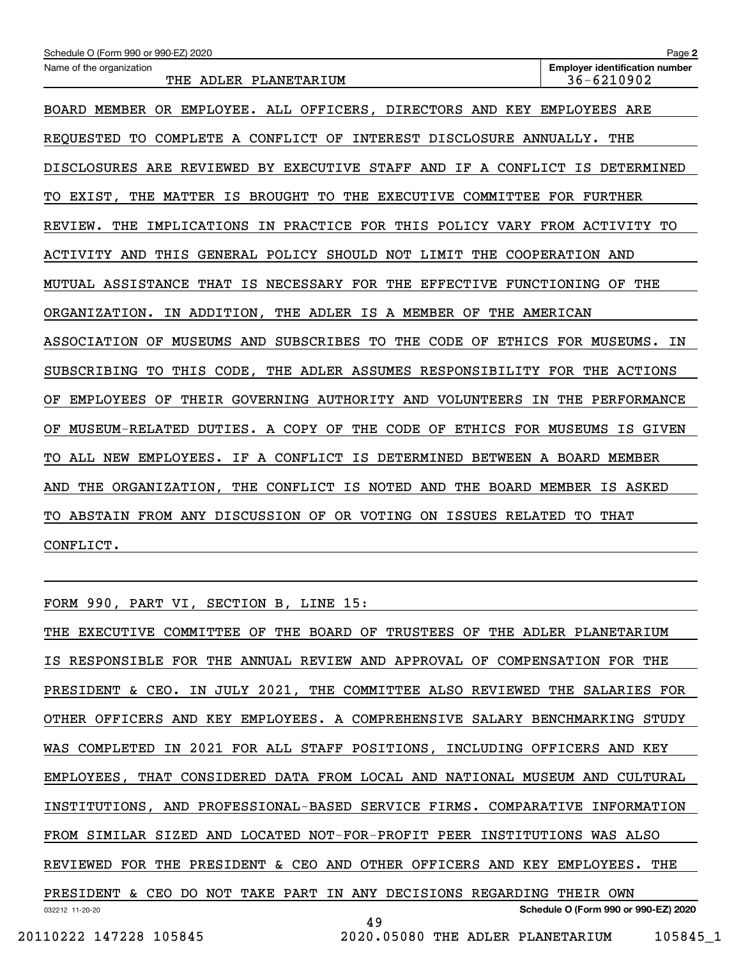| Schedule O (Form 990 or 990-EZ) 2020                                                    | Page 2                                              |  |  |  |
|-----------------------------------------------------------------------------------------|-----------------------------------------------------|--|--|--|
| Name of the organization<br>THE ADLER PLANETARIUM                                       | <b>Employer identification number</b><br>36-6210902 |  |  |  |
| BOARD MEMBER OR EMPLOYEE. ALL OFFICERS, DIRECTORS AND KEY EMPLOYEES ARE                 |                                                     |  |  |  |
| REOUESTED TO COMPLETE A CONFLICT OF<br>INTEREST DISCLOSURE ANNUALLY. THE                |                                                     |  |  |  |
| DISCLOSURES ARE REVIEWED BY EXECUTIVE STAFF AND IF A CONFLICT IS DETERMINED             |                                                     |  |  |  |
| THE EXECUTIVE COMMITTEE FOR FURTHER<br>EXIST,<br>THE<br>MATTER IS BROUGHT<br>TO<br>TO.  |                                                     |  |  |  |
| THE<br>IMPLICATIONS<br>IN PRACTICE FOR THIS POLICY VARY FROM ACTIVITY TO<br>REVIEW.     |                                                     |  |  |  |
| THIS GENERAL POLICY SHOULD NOT LIMIT THE COOPERATION AND<br>ACTIVITY AND                |                                                     |  |  |  |
| IS NECESSARY FOR THE<br>MUTUAL ASSISTANCE THAT<br>EFFECTIVE FUNCTIONING OF<br>THE       |                                                     |  |  |  |
| THE AMERICAN<br>ORGANIZATION.<br>IN ADDITION, THE ADLER IS A MEMBER OF                  |                                                     |  |  |  |
| ETHICS FOR MUSEUMS.<br>ASSOCIATION OF<br>MUSEUMS AND<br>SUBSCRIBES TO THE CODE OF<br>ΙN |                                                     |  |  |  |
| SUBSCRIBING TO THIS CODE, THE ADLER ASSUMES RESPONSIBILITY FOR THE ACTIONS              |                                                     |  |  |  |
| EMPLOYEES OF THEIR GOVERNING AUTHORITY AND VOLUNTEERS IN THE PERFORMANCE<br>ΟF          |                                                     |  |  |  |
| MUSEUM-RELATED DUTIES. A COPY OF THE CODE OF ETHICS FOR MUSEUMS IS GIVEN<br>ΟF          |                                                     |  |  |  |
| ALL NEW EMPLOYEES.<br>IF A CONFLICT IS DETERMINED BETWEEN A BOARD MEMBER<br>TО          |                                                     |  |  |  |
| THE CONFLICT IS NOTED AND THE BOARD MEMBER IS ASKED<br>THE ORGANIZATION,<br>AND         |                                                     |  |  |  |
| ABSTAIN FROM ANY DISCUSSION OF OR VOTING ON<br>ISSUES RELATED<br>THAT<br>TO.<br>TO.     |                                                     |  |  |  |
| CONFLICT.                                                                               |                                                     |  |  |  |

FORM 990, PART VI, SECTION B, LINE 15:

032212 11-20-20 **Schedule O (Form 990 or 990-EZ) 2020** THE EXECUTIVE COMMITTEE OF THE BOARD OF TRUSTEES OF THE ADLER PLANETARIUM IS RESPONSIBLE FOR THE ANNUAL REVIEW AND APPROVAL OF COMPENSATION FOR THE PRESIDENT & CEO. IN JULY 2021, THE COMMITTEE ALSO REVIEWED THE SALARIES FOR OTHER OFFICERS AND KEY EMPLOYEES. A COMPREHENSIVE SALARY BENCHMARKING STUDY WAS COMPLETED IN 2021 FOR ALL STAFF POSITIONS, INCLUDING OFFICERS AND KEY EMPLOYEES, THAT CONSIDERED DATA FROM LOCAL AND NATIONAL MUSEUM AND CULTURAL INSTITUTIONS, AND PROFESSIONAL-BASED SERVICE FIRMS. COMPARATIVE INFORMATION FROM SIMILAR SIZED AND LOCATED NOT-FOR-PROFIT PEER INSTITUTIONS WAS ALSO REVIEWED FOR THE PRESIDENT & CEO AND OTHER OFFICERS AND KEY EMPLOYEES. THE PRESIDENT & CEO DO NOT TAKE PART IN ANY DECISIONS REGARDING THEIR OWN 49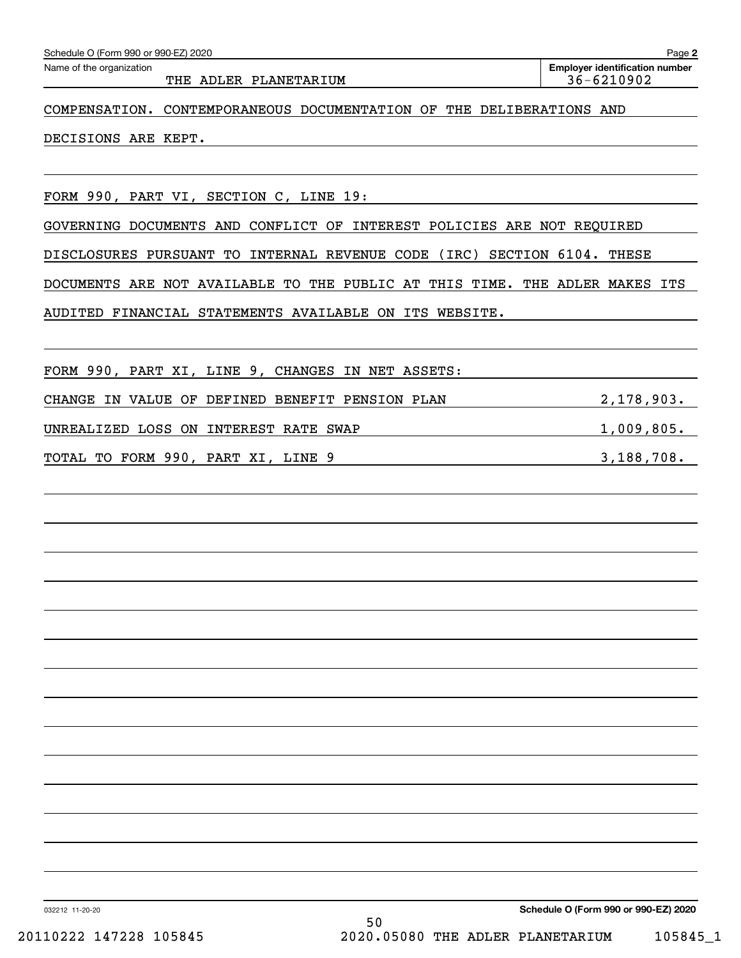| Schedule O (Form 990 or 990-EZ) 2020                                        | Page 2                                              |
|-----------------------------------------------------------------------------|-----------------------------------------------------|
| Name of the organization<br>THE ADLER PLANETARIUM                           | <b>Employer identification number</b><br>36-6210902 |
| COMPENSATION. CONTEMPORANEOUS DOCUMENTATION OF THE DELIBERATIONS AND        |                                                     |
| DECISIONS ARE KEPT.                                                         |                                                     |
|                                                                             |                                                     |
| FORM 990, PART VI, SECTION C, LINE 19:                                      |                                                     |
| GOVERNING DOCUMENTS AND CONFLICT OF INTEREST POLICIES ARE NOT REQUIRED      |                                                     |
| DISCLOSURES PURSUANT TO INTERNAL REVENUE CODE (IRC)                         | SECTION 6104. THESE                                 |
| DOCUMENTS ARE NOT AVAILABLE TO THE PUBLIC AT THIS TIME. THE ADLER MAKES ITS |                                                     |
| AUDITED FINANCIAL STATEMENTS AVAILABLE ON ITS WEBSITE.                      |                                                     |
|                                                                             |                                                     |
| FORM 990, PART XI, LINE 9, CHANGES IN NET ASSETS:                           |                                                     |
| CHANGE IN VALUE OF DEFINED BENEFIT PENSION PLAN                             | 2,178,903.                                          |
| UNREALIZED LOSS ON INTEREST RATE SWAP                                       | 1,009,805.                                          |
| TOTAL TO FORM 990, PART XI, LINE 9                                          | 3,188,708.                                          |
|                                                                             |                                                     |
|                                                                             |                                                     |
|                                                                             |                                                     |